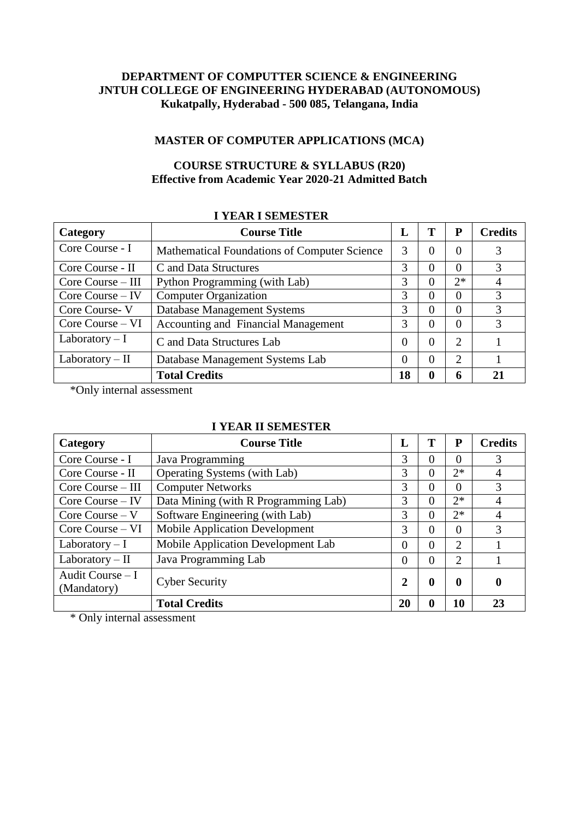## **DEPARTMENT OF COMPUTTER SCIENCE & ENGINEERING JNTUH COLLEGE OF ENGINEERING HYDERABAD (AUTONOMOUS) Kukatpally, Hyderabad - 500 085, Telangana, India**

## **MASTER OF COMPUTER APPLICATIONS (MCA)**

## **COURSE STRUCTURE & SYLLABUS (R20) Effective from Academic Year 2020-21 Admitted Batch**

| Category             | <b>Course Title</b>                                 | L        | Т        | P              | <b>Credits</b> |
|----------------------|-----------------------------------------------------|----------|----------|----------------|----------------|
| Core Course - I      | <b>Mathematical Foundations of Computer Science</b> | 3        | $\Omega$ | $\theta$       | 3              |
| Core Course - II     | C and Data Structures                               | 3        | $\Omega$ | $\Omega$       | 3              |
| Core Course – III    | Python Programming (with Lab)                       | 3        | $\Omega$ | $2^*$          | 4              |
| $Core$ Course $-$ IV | <b>Computer Organization</b>                        | 3        | $\Omega$ | $\Omega$       | 3              |
| Core Course-V        | Database Management Systems                         | 3        | $\Omega$ | $\Omega$       | 3              |
| Core Course – VI     | <b>Accounting and Financial Management</b>          | 3        | $\Omega$ | $\Omega$       | 3              |
| Laboratory $-I$      | C and Data Structures Lab                           | $\Omega$ | $\Omega$ | $\overline{2}$ |                |
| Laboratory – II      | Database Management Systems Lab                     | $\Omega$ | $\Omega$ | $\overline{2}$ |                |
|                      | <b>Total Credits</b>                                | 18       | 0        | 6              | 21             |

\*Only internal assessment

#### **I YEAR II SEMESTER**

| Category                         | <b>Course Title</b>                   | L              | Т                | P           | <b>Credits</b>   |
|----------------------------------|---------------------------------------|----------------|------------------|-------------|------------------|
| Core Course - I                  | Java Programming                      | 3              | $\Omega$         | 0           | 3                |
| Core Course - II                 | Operating Systems (with Lab)          | 3              | $\theta$         | $2*$        | $\overline{A}$   |
| Core Course – III                | <b>Computer Networks</b>              | 3              | $\Omega$         | $\Omega$    | 3                |
| $Core$ Course $-$ IV             | Data Mining (with R Programming Lab)  | 3              | $\Omega$         | $2*$        | $\overline{4}$   |
| Core Course $-V$                 | Software Engineering (with Lab)       | 3              | $\Omega$         | $2*$        | $\overline{4}$   |
| Core Course – VI                 | <b>Mobile Application Development</b> | 3              | $\Omega$         | $\theta$    | 3                |
| Laboratory $-I$                  | Mobile Application Development Lab    | $\Omega$       | $\Omega$         | 2           |                  |
| Laboratory $-$ II                | Java Programming Lab                  | $\theta$       | $\overline{0}$   | 2           |                  |
| Audit Course $-I$<br>(Mandatory) | <b>Cyber Security</b>                 | $\overline{2}$ | $\boldsymbol{0}$ | $\mathbf 0$ | $\boldsymbol{0}$ |
|                                  | <b>Total Credits</b>                  | 20             | $\boldsymbol{0}$ | 10          | 23               |

\* Only internal assessment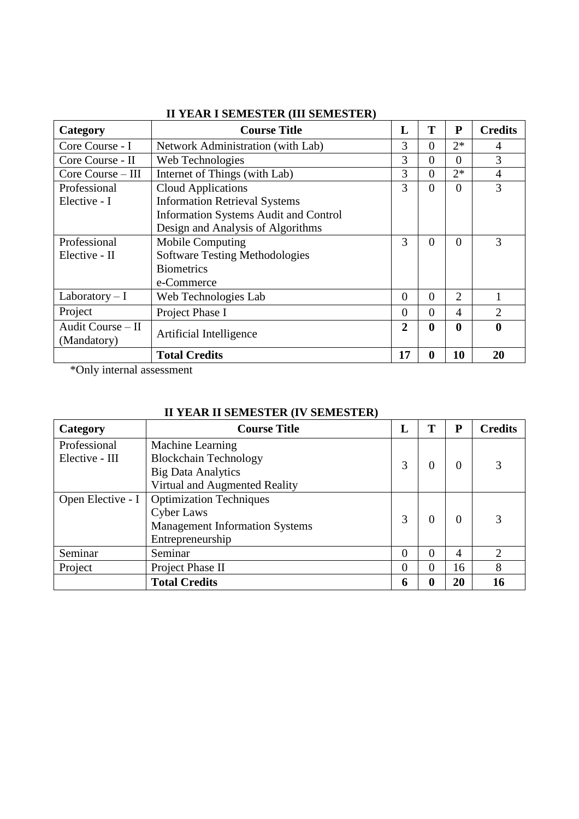| Category          | <b>Course Title</b>                          | L              | T              | ${\bf P}$        | <b>Credits</b> |
|-------------------|----------------------------------------------|----------------|----------------|------------------|----------------|
| Core Course - I   | Network Administration (with Lab)            | 3              | $\theta$       | $2*$             | 4              |
| Core Course - II  | Web Technologies                             | 3              | $\theta$       | $\Omega$         | 3              |
| Core Course – III | Internet of Things (with Lab)                | 3              | $\theta$       | $2*$             | $\overline{4}$ |
| Professional      | <b>Cloud Applications</b>                    | 3              | $\theta$       | $\Omega$         | 3              |
| Elective - I      | <b>Information Retrieval Systems</b>         |                |                |                  |                |
|                   | <b>Information Systems Audit and Control</b> |                |                |                  |                |
|                   | Design and Analysis of Algorithms            |                |                |                  |                |
| Professional      | <b>Mobile Computing</b>                      | 3              | $\theta$       | $\theta$         | 3              |
| Elective - II     | <b>Software Testing Methodologies</b>        |                |                |                  |                |
|                   | <b>Biometrics</b>                            |                |                |                  |                |
|                   | e-Commerce                                   |                |                |                  |                |
| Laboratory $-I$   | Web Technologies Lab                         | $\overline{0}$ | $\overline{0}$ | $\overline{2}$   |                |
| Project           | Project Phase I                              | $\Omega$       | $\Omega$       | $\overline{4}$   | $\overline{2}$ |
| Audit Course - II | Artificial Intelligence                      | 2              | $\mathbf 0$    | $\boldsymbol{0}$ | $\bf{0}$       |
| (Mandatory)       |                                              |                |                |                  |                |
|                   | <b>Total Credits</b>                         | 17             | $\mathbf 0$    | 10               | 20             |

## **II YEAR I SEMESTER (III SEMESTER)**

\*Only internal assessment

## **II YEAR II SEMESTER (IV SEMESTER)**

| Category          | <b>Course Title</b>                   | L | T                 | P              | <b>Credits</b> |
|-------------------|---------------------------------------|---|-------------------|----------------|----------------|
| Professional      | Machine Learning                      |   |                   |                |                |
| Elective - III    | <b>Blockchain Technology</b>          | 3 | $_{0}$            | 0              | 3              |
|                   | <b>Big Data Analytics</b>             |   |                   |                |                |
|                   | Virtual and Augmented Reality         |   |                   |                |                |
| Open Elective - I | <b>Optimization Techniques</b>        | 3 | $\mathbf{\Omega}$ | $\Omega$       | 3              |
|                   | <b>Cyber Laws</b>                     |   |                   |                |                |
|                   | <b>Management Information Systems</b> |   |                   |                |                |
|                   | Entrepreneurship                      |   |                   |                |                |
| Seminar           | Seminar                               | 0 | 0                 | $\overline{A}$ | $\overline{2}$ |
| Project           | Project Phase II                      | 0 | 0                 | 16             | 8              |
|                   | <b>Total Credits</b>                  | 6 | 0                 | 20             | 16             |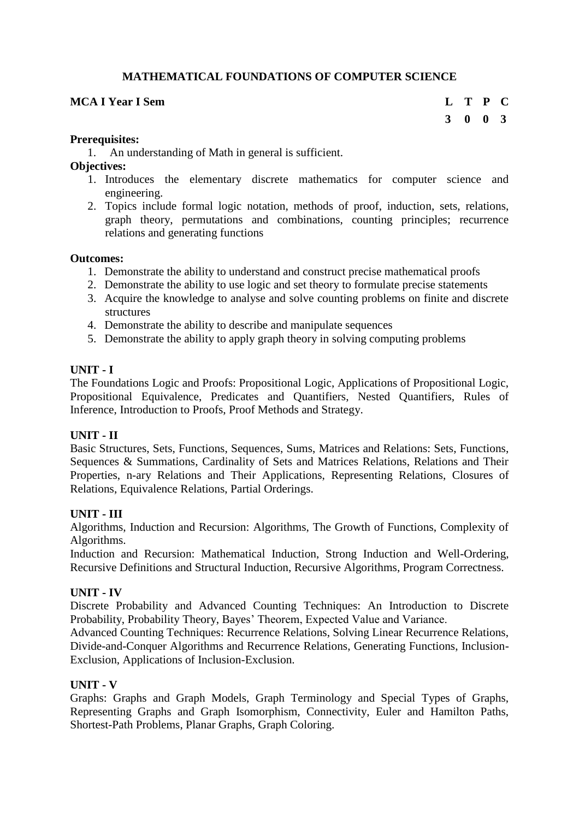## **MATHEMATICAL FOUNDATIONS OF COMPUTER SCIENCE**

## **MCA I Year I Sem L T P C**

## **3 0 0 3**

#### **Prerequisites:**

1. An understanding of Math in general is sufficient.

**Objectives:** 

- 1. Introduces the elementary discrete mathematics for computer science and engineering.
- 2. Topics include formal logic notation, methods of proof, induction, sets, relations, graph theory, permutations and combinations, counting principles; recurrence relations and generating functions

#### **Outcomes:**

- 1. Demonstrate the ability to understand and construct precise mathematical proofs
- 2. Demonstrate the ability to use logic and set theory to formulate precise statements
- 3. Acquire the knowledge to analyse and solve counting problems on finite and discrete structures
- 4. Demonstrate the ability to describe and manipulate sequences
- 5. Demonstrate the ability to apply graph theory in solving computing problems

#### **UNIT - I**

The Foundations Logic and Proofs: Propositional Logic, Applications of Propositional Logic, Propositional Equivalence, Predicates and Quantifiers, Nested Quantifiers, Rules of Inference, Introduction to Proofs, Proof Methods and Strategy.

#### **UNIT - II**

Basic Structures, Sets, Functions, Sequences, Sums, Matrices and Relations: Sets, Functions, Sequences & Summations, Cardinality of Sets and Matrices Relations, Relations and Their Properties, n-ary Relations and Their Applications, Representing Relations, Closures of Relations, Equivalence Relations, Partial Orderings.

#### **UNIT - III**

Algorithms, Induction and Recursion: Algorithms, The Growth of Functions, Complexity of Algorithms.

Induction and Recursion: Mathematical Induction, Strong Induction and Well-Ordering, Recursive Definitions and Structural Induction, Recursive Algorithms, Program Correctness.

#### **UNIT - IV**

Discrete Probability and Advanced Counting Techniques: An Introduction to Discrete Probability, Probability Theory, Bayes' Theorem, Expected Value and Variance.

Advanced Counting Techniques: Recurrence Relations, Solving Linear Recurrence Relations, Divide-and-Conquer Algorithms and Recurrence Relations, Generating Functions, Inclusion-Exclusion, Applications of Inclusion-Exclusion.

#### **UNIT - V**

Graphs: Graphs and Graph Models, Graph Terminology and Special Types of Graphs, Representing Graphs and Graph Isomorphism, Connectivity, Euler and Hamilton Paths, Shortest-Path Problems, Planar Graphs, Graph Coloring.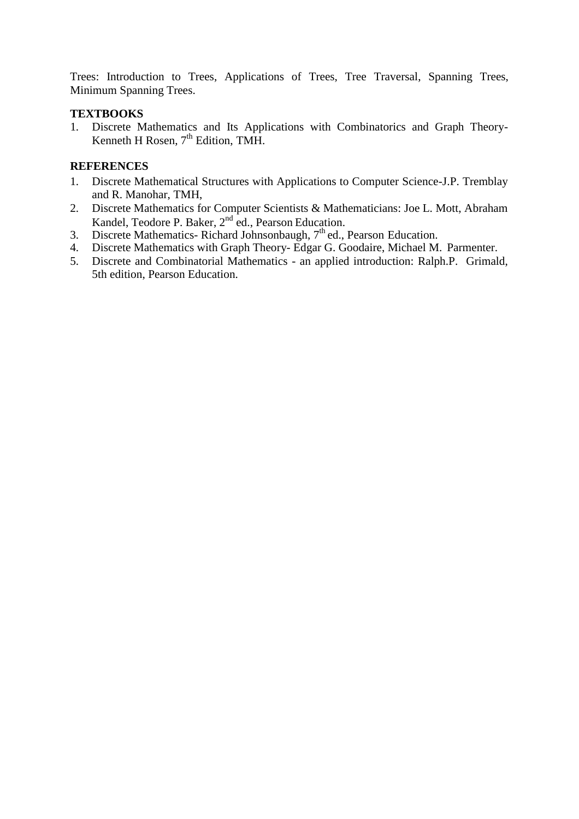Trees: Introduction to Trees, Applications of Trees, Tree Traversal, Spanning Trees, Minimum Spanning Trees.

### **TEXTBOOKS**

1. Discrete Mathematics and Its Applications with Combinatorics and Graph Theory-Kenneth H Rosen,  $7<sup>th</sup>$  Edition, TMH.

- 1. Discrete Mathematical Structures with Applications to Computer Science-J.P. Tremblay and R. Manohar, TMH,
- 2. Discrete Mathematics for Computer Scientists & Mathematicians: Joe L. Mott, Abraham Kandel, Teodore P. Baker, 2nd ed., Pearson Education.
- 3. Discrete Mathematics- Richard Johnsonbaugh, 7<sup>th</sup> ed., Pearson Education.
- 4. Discrete Mathematics with Graph Theory- Edgar G. Goodaire, Michael M. Parmenter.
- 5. Discrete and Combinatorial Mathematics an applied introduction: Ralph.P. Grimald, 5th edition, Pearson Education.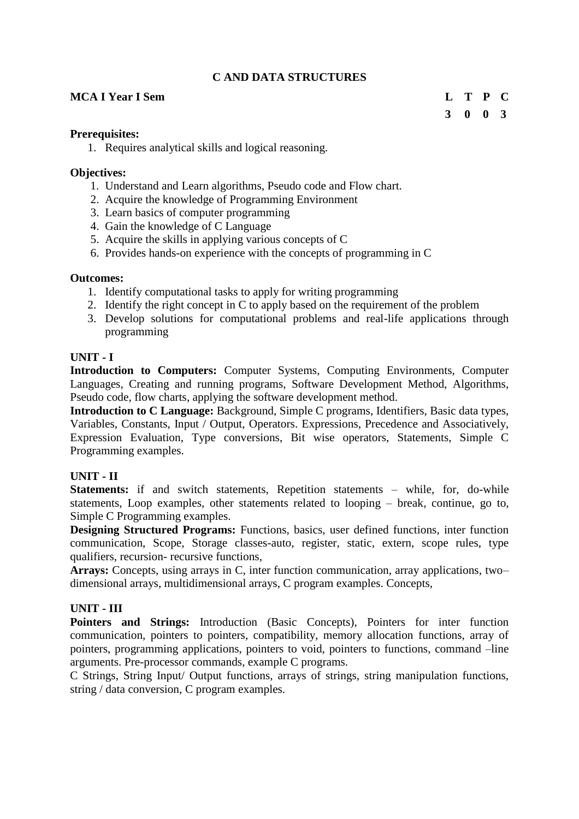## **C AND DATA STRUCTURES**

#### **MCA I Year I Sem L T P C**

## **3 0 0 3**

#### **Prerequisites:**

1. Requires analytical skills and logical reasoning.

#### **Objectives:**

- 1. Understand and Learn algorithms, Pseudo code and Flow chart.
- 2. Acquire the knowledge of Programming Environment
- 3. Learn basics of computer programming
- 4. Gain the knowledge of C Language
- 5. Acquire the skills in applying various concepts of C
- 6. Provides hands-on experience with the concepts of programming in C

#### **Outcomes:**

- 1. Identify computational tasks to apply for writing programming
- 2. Identify the right concept in C to apply based on the requirement of the problem
- 3. Develop solutions for computational problems and real-life applications through programming

#### **UNIT - I**

**Introduction to Computers:** Computer Systems, Computing Environments, Computer Languages, Creating and running programs, Software Development Method, Algorithms, Pseudo code, flow charts, applying the software development method.

**Introduction to C Language:** Background, Simple C programs, Identifiers, Basic data types, Variables, Constants, Input / Output, Operators. Expressions, Precedence and Associatively, Expression Evaluation, Type conversions, Bit wise operators, Statements, Simple C Programming examples.

## **UNIT - II**

**Statements:** if and switch statements, Repetition statements – while, for, do-while statements, Loop examples, other statements related to looping – break, continue, go to, Simple C Programming examples.

**Designing Structured Programs:** Functions, basics, user defined functions, inter function communication, Scope, Storage classes-auto, register, static, extern, scope rules, type qualifiers, recursion- recursive functions,

**Arrays:** Concepts, using arrays in C, inter function communication, array applications, two– dimensional arrays, multidimensional arrays, C program examples. Concepts,

#### **UNIT - III**

Pointers and Strings: Introduction (Basic Concepts), Pointers for inter function communication, pointers to pointers, compatibility, memory allocation functions, array of pointers, programming applications, pointers to void, pointers to functions, command –line arguments. Pre-processor commands, example C programs.

C Strings, String Input/ Output functions, arrays of strings, string manipulation functions, string / data conversion, C program examples.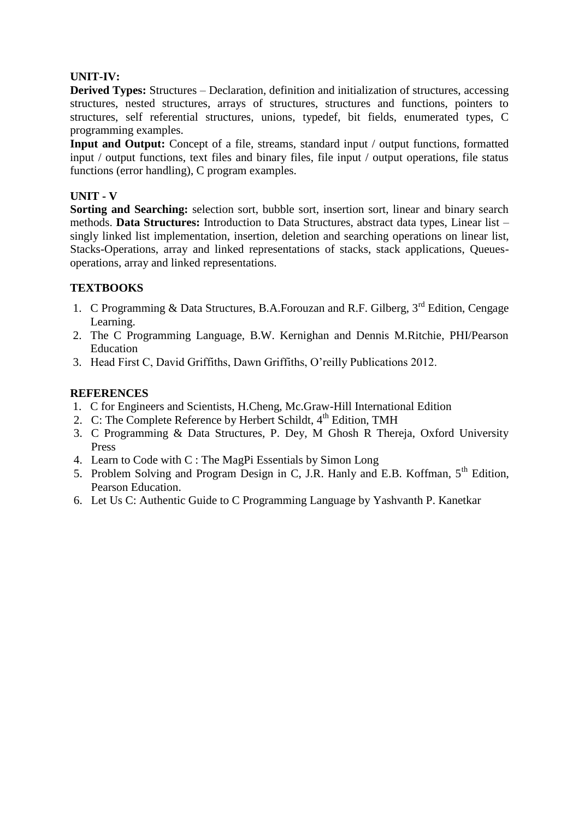## **UNIT-IV:**

**Derived Types:** Structures – Declaration, definition and initialization of structures, accessing structures, nested structures, arrays of structures, structures and functions, pointers to structures, self referential structures, unions, typedef, bit fields, enumerated types, C programming examples.

**Input and Output:** Concept of a file, streams, standard input / output functions, formatted input / output functions, text files and binary files, file input / output operations, file status functions (error handling), C program examples.

## **UNIT - V**

**Sorting and Searching:** selection sort, bubble sort, insertion sort, linear and binary search methods. **Data Structures:** Introduction to Data Structures, abstract data types, Linear list – singly linked list implementation, insertion, deletion and searching operations on linear list, Stacks-Operations, array and linked representations of stacks, stack applications, Queuesoperations, array and linked representations.

## **TEXTBOOKS**

- 1. C Programming & Data Structures, B.A.Forouzan and R.F. Gilberg,  $3<sup>rd</sup>$  Edition, Cengage Learning.
- 2. The C Programming Language, B.W. Kernighan and Dennis M.Ritchie, PHI/Pearson Education
- 3. Head First C, David Griffiths, Dawn Griffiths, O'reilly Publications 2012[.](https://books.google.co.in/books?id=WaYatLKywDYC&printsec=frontcover&dq=head+first+c&hl=en&newbks=1&newbks_redir=1&sa=X&ved=2ahUKEwjG8t78pdTtAhVn73MBHUjQD1sQ6AEwAHoECAAQAg)

- 1. C for Engineers and Scientists, H.Cheng, Mc.Graw-Hill International Edition
- 2. C: The Complete Reference by Herbert Schildt,  $4<sup>th</sup>$  Edition, TMH
- 3. C Programming & Data Structures, P. Dey, M Ghosh R Thereja, Oxford University Press
- 4. Learn to Code with C : The MagPi Essentials by Simon Long
- 5. Problem Solving and Program Design in C, J.R. Hanly and E.B. Koffman, 5<sup>th</sup> Edition, Pearson Education.
- 6. Let Us C: Authentic Guide to C Programming Language by Yashvanth P. Kanetkar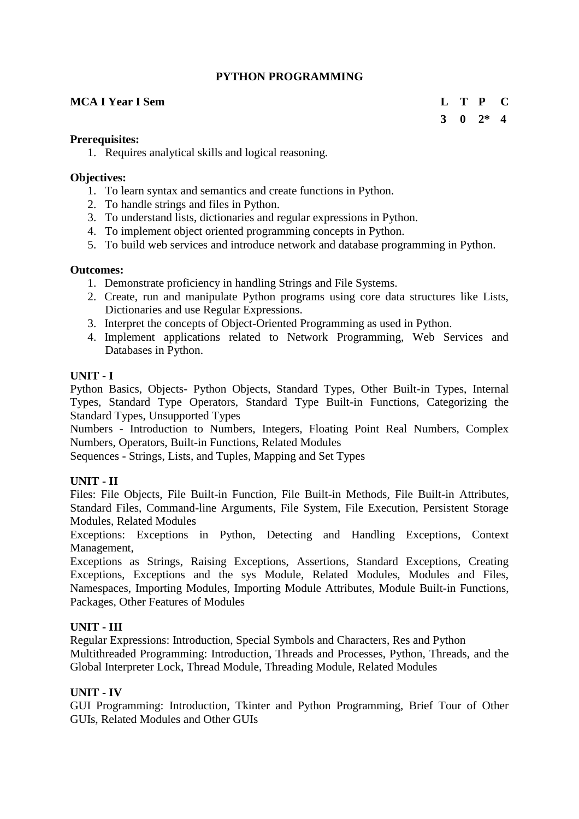## **PYTHON PROGRAMMING**

## **MCA I Year I Sem L T P C**

## **3 0 2\* 4**

#### **Prerequisites:**

1. Requires analytical skills and logical reasoning.

#### **Objectives:**

- 1. To learn syntax and semantics and create functions in Python.
- 2. To handle strings and files in Python.
- 3. To understand lists, dictionaries and regular expressions in Python.
- 4. To implement object oriented programming concepts in Python.
- 5. To build web services and introduce network and database programming in Python.

#### **Outcomes:**

- 1. Demonstrate proficiency in handling Strings and File Systems.
- 2. Create, run and manipulate Python programs using core data structures like Lists, Dictionaries and use Regular Expressions.
- 3. Interpret the concepts of Object-Oriented Programming as used in Python.
- 4. Implement applications related to Network Programming, Web Services and Databases in Python.

#### **UNIT - I**

Python Basics, Objects- Python Objects, Standard Types, Other Built-in Types, Internal Types, Standard Type Operators, Standard Type Built-in Functions, Categorizing the Standard Types, Unsupported Types

Numbers - Introduction to Numbers, Integers, Floating Point Real Numbers, Complex Numbers, Operators, Built-in Functions, Related Modules

Sequences - Strings, Lists, and Tuples, Mapping and Set Types

#### **UNIT - II**

Files: File Objects, File Built-in Function, File Built-in Methods, File Built-in Attributes, Standard Files, Command-line Arguments, File System, File Execution, Persistent Storage Modules, Related Modules

Exceptions: Exceptions in Python, Detecting and Handling Exceptions, Context Management,

Exceptions as Strings, Raising Exceptions, Assertions, Standard Exceptions, Creating Exceptions, Exceptions and the sys Module, Related Modules, Modules and Files, Namespaces, Importing Modules, Importing Module Attributes, Module Built-in Functions, Packages, Other Features of Modules

#### **UNIT - III**

Regular Expressions: Introduction, Special Symbols and Characters, Res and Python Multithreaded Programming: Introduction, Threads and Processes, Python, Threads, and the Global Interpreter Lock, Thread Module, Threading Module, Related Modules

#### **UNIT - IV**

GUI Programming: Introduction, Tkinter and Python Programming, Brief Tour of Other GUIs, Related Modules and Other GUIs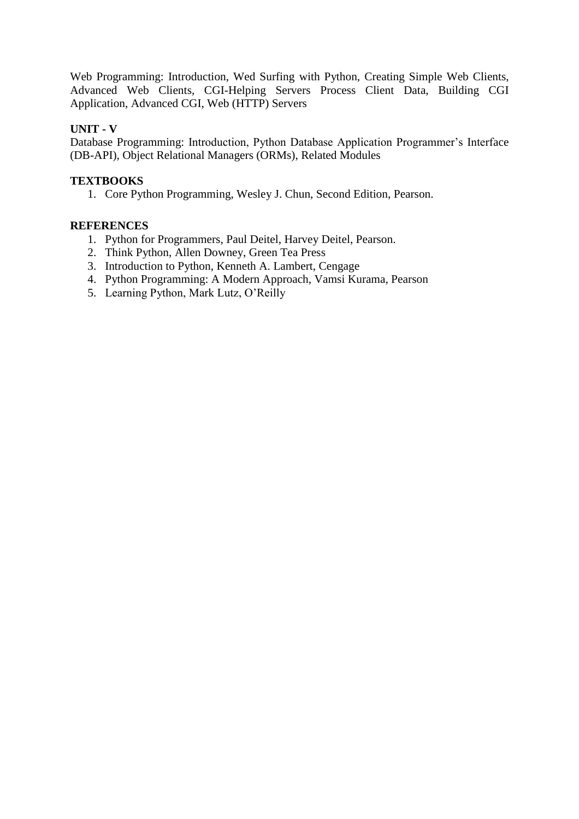Web Programming: Introduction, Wed Surfing with Python, Creating Simple Web Clients, Advanced Web Clients, CGI-Helping Servers Process Client Data, Building CGI Application, Advanced CGI, Web (HTTP) Servers

## **UNIT - V**

Database Programming: Introduction, Python Database Application Programmer's Interface (DB-API), Object Relational Managers (ORMs), Related Modules

## **TEXTBOOKS**

1. Core Python Programming, Wesley J. Chun, Second Edition, Pearson.

- 1. Python for Programmers, Paul Deitel, Harvey Deitel, Pearson.
- 2. Think Python, Allen Downey, Green Tea Press
- 3. Introduction to Python, Kenneth A. Lambert, Cengage
- 4. Python Programming: A Modern Approach, Vamsi Kurama, Pearson
- 5. Learning Python, Mark Lutz, O'Reilly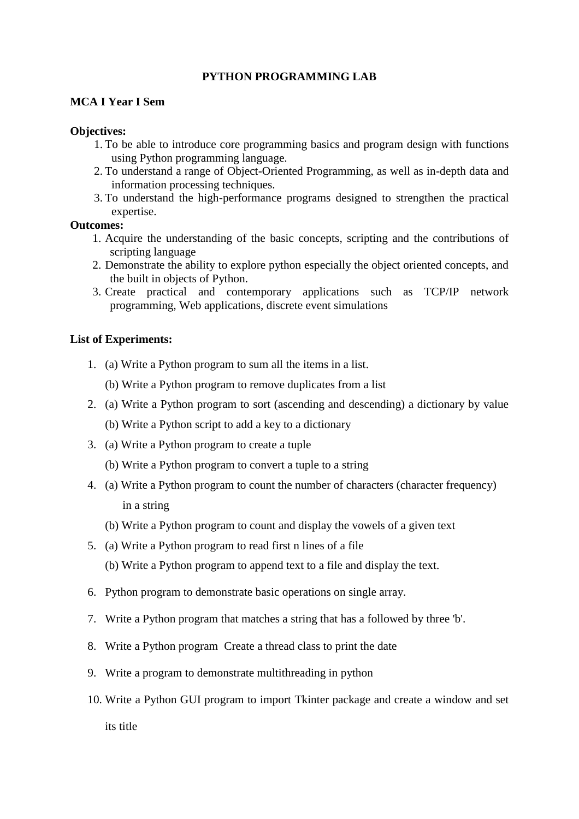#### **PYTHON PROGRAMMING LAB**

#### **MCA I Year I Sem**

#### **Objectives:**

- 1. To be able to introduce core programming basics and program design with functions using Python programming language.
- 2. To understand a range of Object-Oriented Programming, as well as in-depth data and information processing techniques.
- 3. To understand the high-performance programs designed to strengthen the practical expertise.

#### **Outcomes:**

- 1. Acquire the understanding of the basic concepts, scripting and the contributions of scripting language
- 2. Demonstrate the ability to explore python especially the object oriented concepts, and the built in objects of Python.
- 3. Create practical and contemporary applications such as TCP/IP network programming, Web applications, discrete event simulations

#### **List of Experiments:**

- 1. (a) Write a Python program to sum all the items in a list.
	- (b) Write a Python program to remove duplicates from a list
- 2. (a) Write a Python program to sort (ascending and descending) a dictionary by value
	- (b) Write a Python script to add a key to a dictionary
- 3. (a) Write a Python program to create a tuple
	- (b) Write a Python program to convert a tuple to a string
- 4. (a) Write a Python program to count the number of characters (character frequency) in a string
	- (b) Write a Python program to count and display the vowels of a given text
- 5. (a) Write a Python program to read first n lines of a file
	- (b) Write a Python program to append text to a file and display the text.
- 6. Python program to demonstrate basic operations on single array.
- 7. Write a Python program that matches a string that has a followed by three 'b'.
- 8. Write a Python program Create a thread class to print the date
- 9. Write a program to demonstrate multithreading in python
- 10. Write a Python GUI program to import Tkinter package and create a window and set its title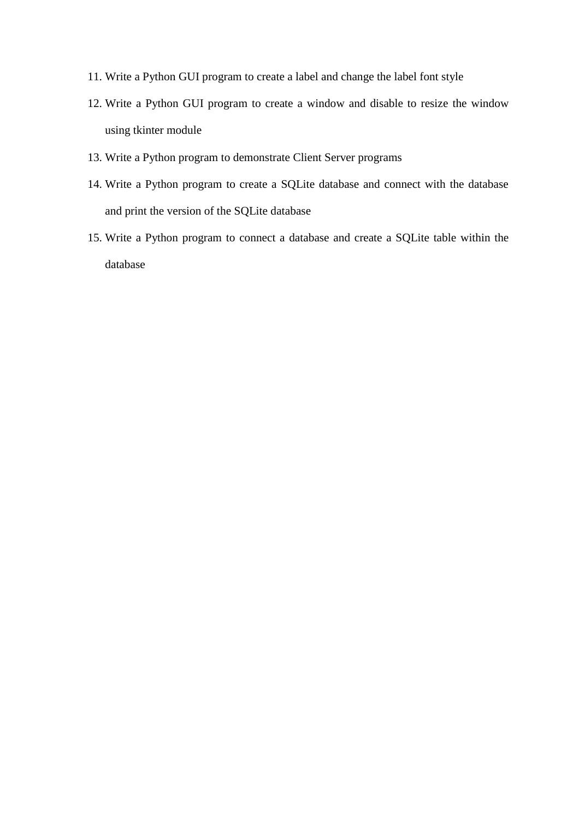- 11. Write a Python GUI program to create a label and change the label font style
- 12. Write a Python GUI program to create a window and disable to resize the window using tkinter module
- 13. Write a Python program to demonstrate Client Server programs
- 14. Write a Python program to create a SQLite database and connect with the database and print the version of the SQLite database
- 15. Write a Python program to connect a database and create a SQLite table within the database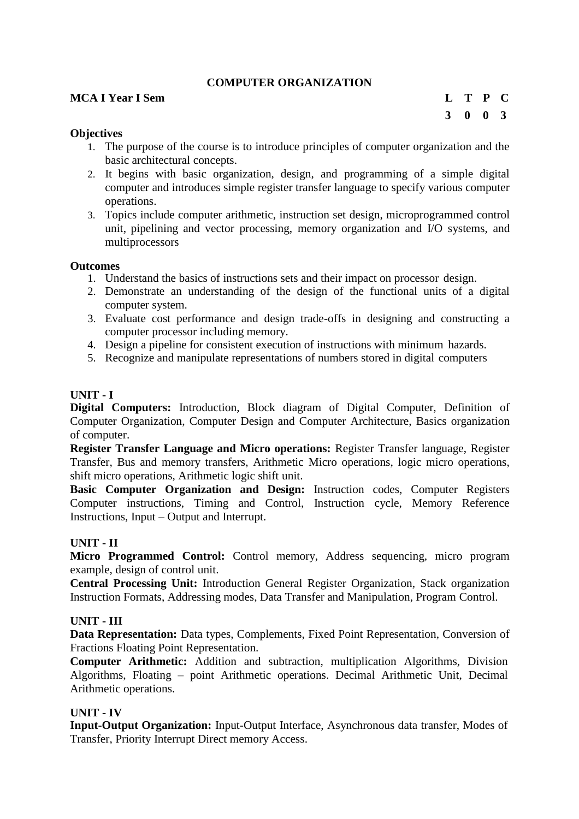## **COMPUTER ORGANIZATION**

#### **MCA I Year I Sem L T P C**

**3 0 0 3**

#### **Objectives**

- 1. The purpose of the course is to introduce principles of computer organization and the basic architectural concepts.
- 2. It begins with basic organization, design, and programming of a simple digital computer and introduces simple register transfer language to specify various computer operations.
- 3. Topics include computer arithmetic, instruction set design, microprogrammed control unit, pipelining and vector processing, memory organization and I/O systems, and multiprocessors

#### **Outcomes**

- 1. Understand the basics of instructions sets and their impact on processor design.
- 2. Demonstrate an understanding of the design of the functional units of a digital computer system.
- 3. Evaluate cost performance and design trade-offs in designing and constructing a computer processor including memory.
- 4. Design a pipeline for consistent execution of instructions with minimum hazards.
- 5. Recognize and manipulate representations of numbers stored in digital computers

#### **UNIT - I**

**Digital Computers:** Introduction, Block diagram of Digital Computer, Definition of Computer Organization, Computer Design and Computer Architecture, Basics organization of computer.

**Register Transfer Language and Micro operations:** Register Transfer language, Register Transfer, Bus and memory transfers, Arithmetic Micro operations, logic micro operations, shift micro operations, Arithmetic logic shift unit.

**Basic Computer Organization and Design:** Instruction codes, Computer Registers Computer instructions, Timing and Control, Instruction cycle, Memory Reference Instructions, Input – Output and Interrupt.

#### **UNIT - II**

**Micro Programmed Control:** Control memory, Address sequencing, micro program example, design of control unit.

**Central Processing Unit:** Introduction General Register Organization, Stack organization Instruction Formats, Addressing modes, Data Transfer and Manipulation, Program Control.

#### **UNIT - III**

**Data Representation:** Data types, Complements, Fixed Point Representation, Conversion of Fractions Floating Point Representation.

**Computer Arithmetic:** Addition and subtraction, multiplication Algorithms, Division Algorithms, Floating – point Arithmetic operations. Decimal Arithmetic Unit, Decimal Arithmetic operations.

#### **UNIT - IV**

**Input-Output Organization:** Input-Output Interface, Asynchronous data transfer, Modes of Transfer, Priority Interrupt Direct memory Access.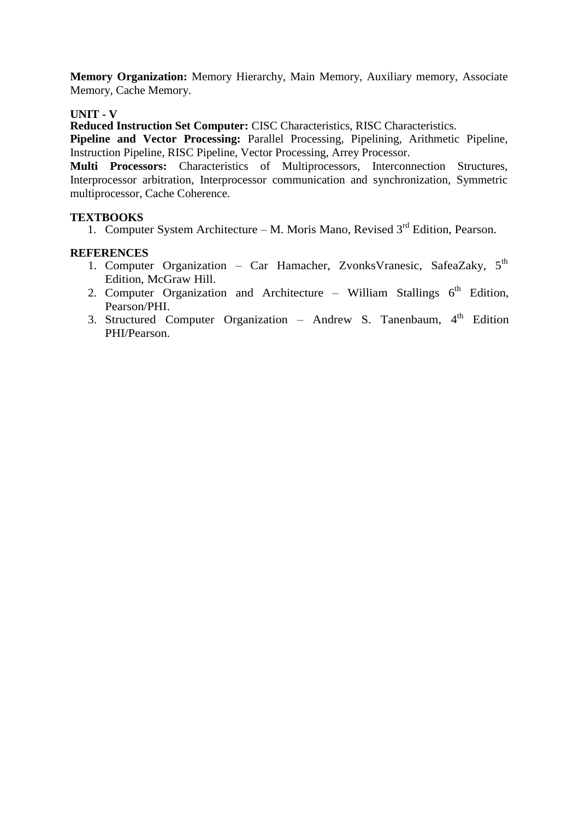**Memory Organization:** Memory Hierarchy, Main Memory, Auxiliary memory, Associate Memory, Cache Memory.

## **UNIT - V**

**Reduced Instruction Set Computer:** CISC Characteristics, RISC Characteristics.

**Pipeline and Vector Processing:** Parallel Processing, Pipelining, Arithmetic Pipeline, Instruction Pipeline, RISC Pipeline, Vector Processing, Arrey Processor.

**Multi Processors:** Characteristics of Multiprocessors, Interconnection Structures, Interprocessor arbitration, Interprocessor communication and synchronization, Symmetric multiprocessor, Cache Coherence.

## **TEXTBOOKS**

1. Computer System Architecture – M. Moris Mano, Revised  $3<sup>rd</sup>$  Edition, Pearson.

- 1. Computer Organization Car Hamacher, ZvonksVranesic, SafeaZaky, 5<sup>th</sup> Edition, McGraw Hill.
- 2. Computer Organization and Architecture William Stallings  $6<sup>th</sup>$  Edition, Pearson/PHI.
- 3. Structured Computer Organization Andrew S. Tanenbaum, 4<sup>th</sup> Edition PHI/Pearson.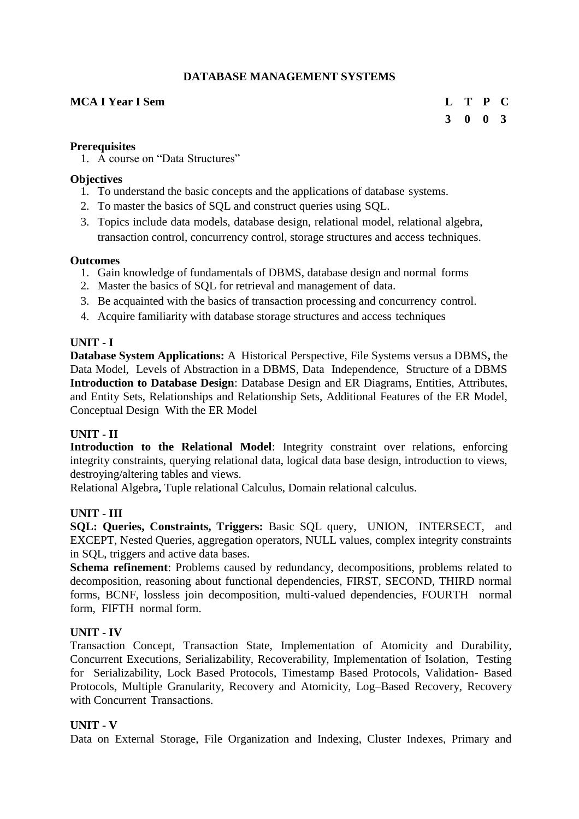## **DATABASE MANAGEMENT SYSTEMS**

## **MCA I Year I Sem L T P C**

# **3 0 0 3**

#### **Prerequisites**

1. A course on "Data Structures"

#### **Objectives**

- 1. To understand the basic concepts and the applications of database systems.
- 2. To master the basics of SQL and construct queries using SQL.
- 3. Topics include data models, database design, relational model, relational algebra, transaction control, concurrency control, storage structures and access techniques.

#### **Outcomes**

- 1. Gain knowledge of fundamentals of DBMS, database design and normal forms
- 2. Master the basics of SQL for retrieval and management of data.
- 3. Be acquainted with the basics of transaction processing and concurrency control.
- 4. Acquire familiarity with database storage structures and access techniques

#### **UNIT - I**

**Database System Applications:** A Historical Perspective, File Systems versus a DBMS**,** the Data Model, Levels of Abstraction in a DBMS, Data Independence, Structure of a DBMS **Introduction to Database Design**: Database Design and ER Diagrams, Entities, Attributes, and Entity Sets, Relationships and Relationship Sets, Additional Features of the ER Model, Conceptual Design With the ER Model

## **UNIT - II**

**Introduction to the Relational Model**: Integrity constraint over relations, enforcing integrity constraints, querying relational data, logical data base design, introduction to views, destroying/altering tables and views.

Relational Algebra**,** Tuple relational Calculus, Domain relational calculus.

## **UNIT - III**

**SQL: Queries, Constraints, Triggers:** Basic SQL query, UNION, INTERSECT, and EXCEPT, Nested Queries, aggregation operators, NULL values, complex integrity constraints in SQL, triggers and active data bases.

**Schema refinement**: Problems caused by redundancy, decompositions, problems related to decomposition, reasoning about functional dependencies, FIRST, SECOND, THIRD normal forms, BCNF, lossless join decomposition, multi-valued dependencies, FOURTH normal form, FIFTH normal form.

#### **UNIT - IV**

Transaction Concept, Transaction State, Implementation of Atomicity and Durability, Concurrent Executions, Serializability, Recoverability, Implementation of Isolation, Testing for Serializability, Lock Based Protocols, Timestamp Based Protocols, Validation- Based Protocols, Multiple Granularity, Recovery and Atomicity, Log–Based Recovery, Recovery with Concurrent Transactions.

## **UNIT - V**

Data on External Storage, File Organization and Indexing, Cluster Indexes, Primary and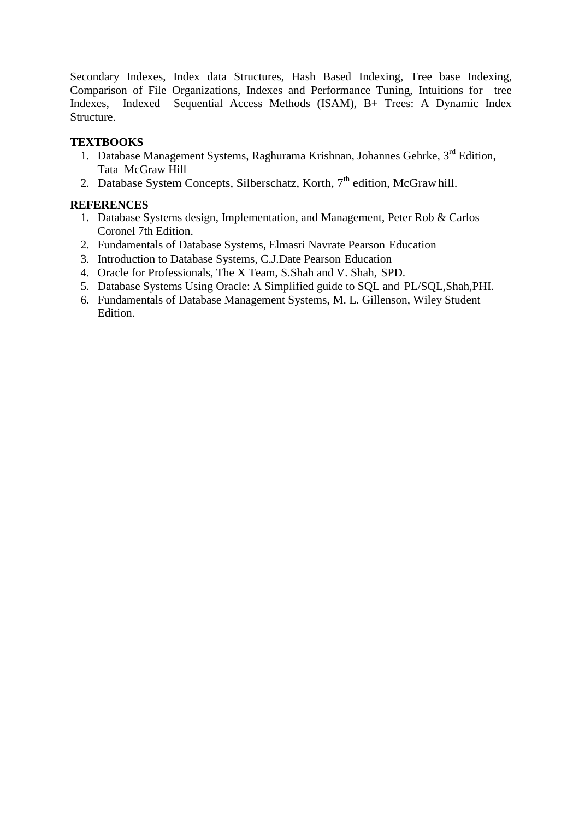Secondary Indexes, Index data Structures, Hash Based Indexing, Tree base Indexing, Comparison of File Organizations, Indexes and Performance Tuning, Intuitions for tree Indexes, Indexed Sequential Access Methods (ISAM), B+ Trees: A Dynamic Index Structure.

## **TEXTBOOKS**

- 1. Database Management Systems, Raghurama Krishnan, Johannes Gehrke, 3<sup>rd</sup> Edition, Tata McGraw Hill
- 2. Database System Concepts, Silberschatz, Korth, 7<sup>th</sup> edition, McGrawhill.

- 1. Database Systems design, Implementation, and Management, Peter Rob & Carlos Coronel 7th Edition.
- 2. Fundamentals of Database Systems, Elmasri Navrate Pearson Education
- 3. Introduction to Database Systems, C.J.Date Pearson Education
- 4. Oracle for Professionals, The X Team, S.Shah and V. Shah, SPD.
- 5. Database Systems Using Oracle: A Simplified guide to SQL and PL/SQL,Shah,PHI.
- 6. Fundamentals of Database Management Systems, M. L. Gillenson, Wiley Student Edition.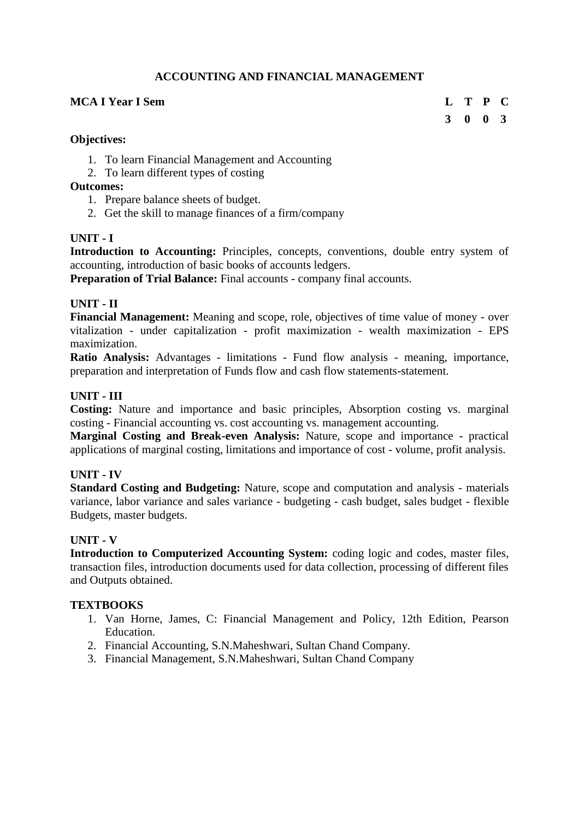## **ACCOUNTING AND FINANCIAL MANAGEMENT**

### **MCA I Year I Sem L T P C**

**3 0 0 3**

#### **Objectives:**

- 1. To learn Financial Management and Accounting
- 2. To learn different types of costing

## **Outcomes:**

- 1. Prepare balance sheets of budget.
- 2. Get the skill to manage finances of a firm/company

## **UNIT - I**

Introduction to Accounting: Principles, concepts, conventions, double entry system of accounting, introduction of basic books of accounts ledgers.

**Preparation of Trial Balance:** Final accounts - company final accounts.

## **UNIT - II**

**Financial Management:** Meaning and scope, role, objectives of time value of money - over vitalization - under capitalization - profit maximization - wealth maximization - EPS maximization.

**Ratio Analysis:** Advantages - limitations - Fund flow analysis - meaning, importance, preparation and interpretation of Funds flow and cash flow statements-statement.

## **UNIT - III**

**Costing:** Nature and importance and basic principles, Absorption costing vs. marginal costing - Financial accounting vs. cost accounting vs. management accounting.

**Marginal Costing and Break-even Analysis:** Nature, scope and importance - practical applications of marginal costing, limitations and importance of cost - volume, profit analysis.

## **UNIT - IV**

**Standard Costing and Budgeting:** Nature, scope and computation and analysis - materials variance, labor variance and sales variance - budgeting - cash budget, sales budget - flexible Budgets, master budgets.

## **UNIT - V**

**Introduction to Computerized Accounting System:** coding logic and codes, master files, transaction files, introduction documents used for data collection, processing of different files and Outputs obtained.

## **TEXTBOOKS**

- 1. Van Horne, James, C: Financial Management and Policy, 12th Edition, Pearson Education.
- 2. Financial Accounting, S.N.Maheshwari, Sultan Chand Company.
- 3. Financial Management, S.N.Maheshwari, Sultan Chand Company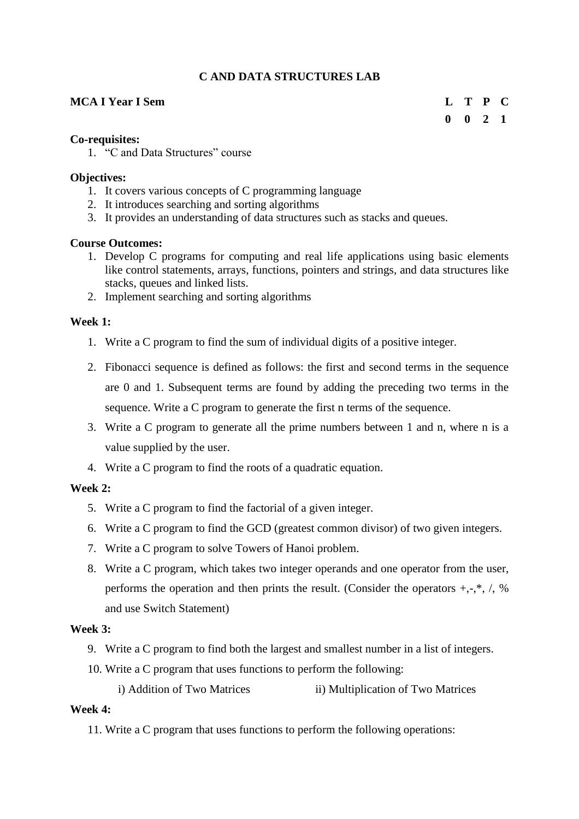## **C AND DATA STRUCTURES LAB**

## **MCA I Year I Sem L T P C**

# **0 0 2 1**

## **Co-requisites:**

1. "C and Data Structures" course

## **Objectives:**

- 1. It covers various concepts of C programming language
- 2. It introduces searching and sorting algorithms
- 3. It provides an understanding of data structures such as stacks and queues.

## **Course Outcomes:**

- 1. Develop C programs for computing and real life applications using basic elements like control statements, arrays, functions, pointers and strings, and data structures like stacks, queues and linked lists.
- 2. Implement searching and sorting algorithms

## **Week 1:**

- 1. Write a C program to find the sum of individual digits of a positive integer.
- 2. Fibonacci sequence is defined as follows: the first and second terms in the sequence are 0 and 1. Subsequent terms are found by adding the preceding two terms in the sequence. Write a C program to generate the first n terms of the sequence.
- 3. Write a C program to generate all the prime numbers between 1 and n, where n is a value supplied by the user.
- 4. Write a C program to find the roots of a quadratic equation.

## **Week 2:**

- 5. Write a C program to find the factorial of a given integer.
- 6. Write a C program to find the GCD (greatest common divisor) of two given integers.
- 7. Write a C program to solve Towers of Hanoi problem.
- 8. Write a C program, which takes two integer operands and one operator from the user, performs the operation and then prints the result. (Consider the operators  $+, \cdot, *, ', \cdot, \mathcal{S}$ and use Switch Statement)

## **Week 3:**

- 9. Write a C program to find both the largest and smallest number in a list of integers.
- 10. Write a C program that uses functions to perform the following:
	- i) Addition of Two Matrices ii) Multiplication of Two Matrices

## **Week 4:**

11. Write a C program that uses functions to perform the following operations: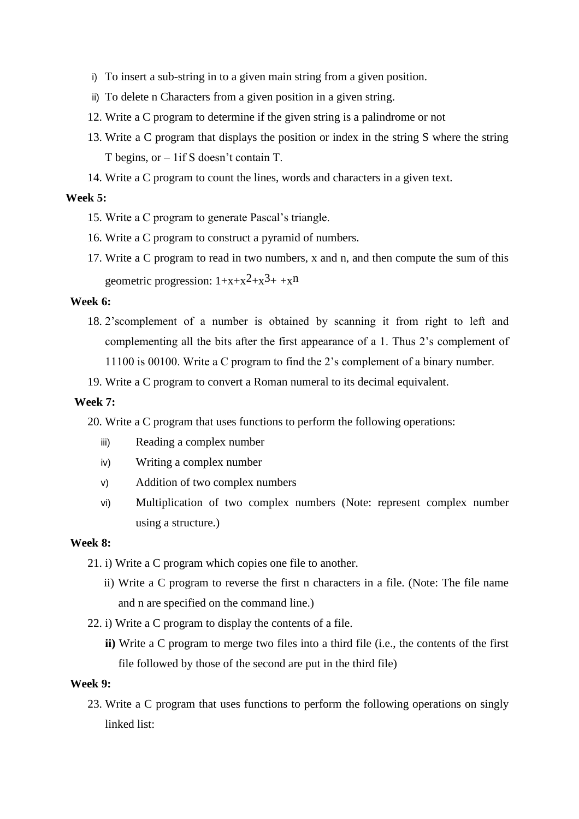- i) To insert a sub-string in to a given main string from a given position.
- ii) To delete n Characters from a given position in a given string.
- 12. Write a C program to determine if the given string is a palindrome or not
- 13. Write a C program that displays the position or index in the string S where the string T begins, or – 1if S doesn't contain T.
- 14. Write a C program to count the lines, words and characters in a given text.

#### **Week 5:**

- 15. Write a C program to generate Pascal's triangle.
- 16. Write a C program to construct a pyramid of numbers.
- 17. Write a C program to read in two numbers, x and n, and then compute the sum of this geometric progression:  $1+x+x^2+x^3+x^n$

#### **Week 6:**

- 18. 2'scomplement of a number is obtained by scanning it from right to left and complementing all the bits after the first appearance of a 1. Thus 2's complement of 11100 is 00100. Write a C program to find the 2's complement of a binary number.
- 19. Write a C program to convert a Roman numeral to its decimal equivalent.

#### **Week 7:**

20. Write a C program that uses functions to perform the following operations:

- iii) Reading a complex number
- iv) Writing a complex number
- v) Addition of two complex numbers
- vi) Multiplication of two complex numbers (Note: represent complex number using a structure.)

#### **Week 8:**

- 21. i) Write a C program which copies one file to another.
	- ii) Write a C program to reverse the first n characters in a file. (Note: The file name and n are specified on the command line.)
- 22. i) Write a C program to display the contents of a file.
	- **ii)** Write a C program to merge two files into a third file (i.e., the contents of the first file followed by those of the second are put in the third file)

#### **Week 9:**

23. Write a C program that uses functions to perform the following operations on singly linked list: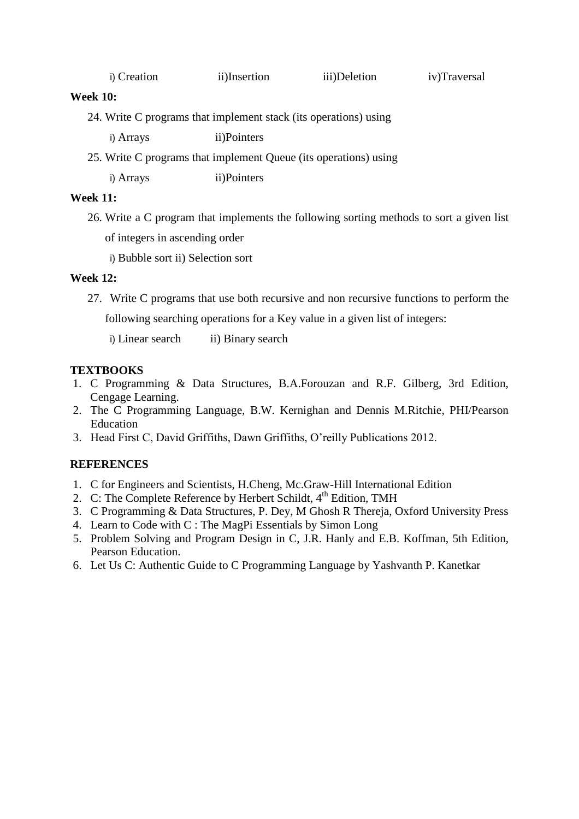| iii)Deletion<br>i) Creation<br>ii)Insertion<br>iv)Traversal |  |
|-------------------------------------------------------------|--|
|-------------------------------------------------------------|--|

#### **Week 10:**

24. Write C programs that implement stack (its operations) using

i) Arrays ii)Pointers

25. Write C programs that implement Queue (its operations) using

i) Arrays ii)Pointers

## **Week 11:**

26. Write a C program that implements the following sorting methods to sort a given list of integers in ascending order

i) Bubble sort ii) Selection sort

## **Week 12:**

27. Write C programs that use both recursive and non recursive functions to perform the

following searching operations for a Key value in a given list of integers:

i) Linear search ii) Binary search

## **TEXTBOOKS**

- 1. C Programming & Data Structures, B.A.Forouzan and R.F. Gilberg, 3rd Edition, Cengage Learning.
- 2. The C Programming Language, B.W. Kernighan and Dennis M.Ritchie, PHI/Pearson Education
- 3. Head First C, David Griffiths, Dawn Griffiths, O'reilly Publications 2012[.](https://books.google.co.in/books?id=WaYatLKywDYC&printsec=frontcover&dq=head+first+c&hl=en&newbks=1&newbks_redir=1&sa=X&ved=2ahUKEwjG8t78pdTtAhVn73MBHUjQD1sQ6AEwAHoECAAQAg)

- 1. C for Engineers and Scientists, H.Cheng, Mc.Graw-Hill International Edition
- 2. C: The Complete Reference by Herbert Schildt,  $4<sup>th</sup>$  Edition, TMH
- 3. C Programming & Data Structures, P. Dey, M Ghosh R Thereja, Oxford University Press
- 4. Learn to Code with C : The MagPi Essentials by Simon Long
- 5. Problem Solving and Program Design in C, J.R. Hanly and E.B. Koffman, 5th Edition, Pearson Education.
- 6. Let Us C: Authentic Guide to C Programming Language by Yashvanth P. Kanetkar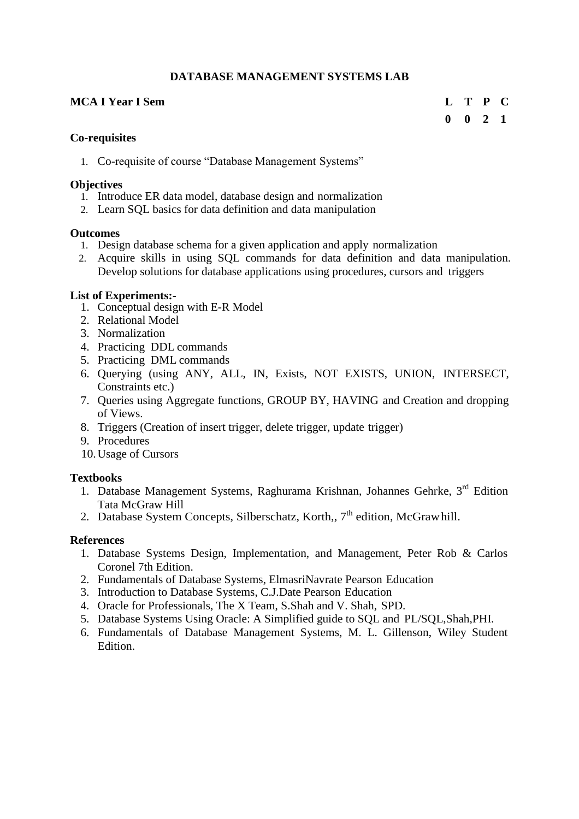## **DATABASE MANAGEMENT SYSTEMS LAB**

## **MCA I Year I Sem L T P C**

## **0 0 2 1**

#### **Co-requisites**

1. Co-requisite of course "Database Management Systems"

#### **Objectives**

- 1. Introduce ER data model, database design and normalization
- 2. Learn SQL basics for data definition and data manipulation

#### **Outcomes**

- 1. Design database schema for a given application and apply normalization
- 2. Acquire skills in using SQL commands for data definition and data manipulation. Develop solutions for database applications using procedures, cursors and triggers

## **List of Experiments:-**

- 1. Conceptual design with E-R Model
- 2. Relational Model
- 3. Normalization
- 4. Practicing DDL commands
- 5. Practicing DML commands
- 6. Querying (using ANY, ALL, IN, Exists, NOT EXISTS, UNION, INTERSECT, Constraints etc.)
- 7. Queries using Aggregate functions, GROUP BY, HAVING and Creation and dropping of Views.
- 8. Triggers (Creation of insert trigger, delete trigger, update trigger)
- 9. Procedures
- 10.Usage of Cursors

## **Textbooks**

- 1. Database Management Systems, Raghurama Krishnan, Johannes Gehrke, 3<sup>rd</sup> Edition Tata McGraw Hill
- 2. Database System Concepts, Silberschatz, Korth., 7<sup>th</sup> edition, McGrawhill.

## **References**

- 1. Database Systems Design, Implementation, and Management, Peter Rob & Carlos Coronel 7th Edition.
- 2. Fundamentals of Database Systems, ElmasriNavrate Pearson Education
- 3. Introduction to Database Systems, C.J.Date Pearson Education
- 4. Oracle for Professionals, The X Team, S.Shah and V. Shah, SPD.
- 5. Database Systems Using Oracle: A Simplified guide to SQL and PL/SQL,Shah,PHI.
- 6. Fundamentals of Database Management Systems, M. L. Gillenson, Wiley Student Edition.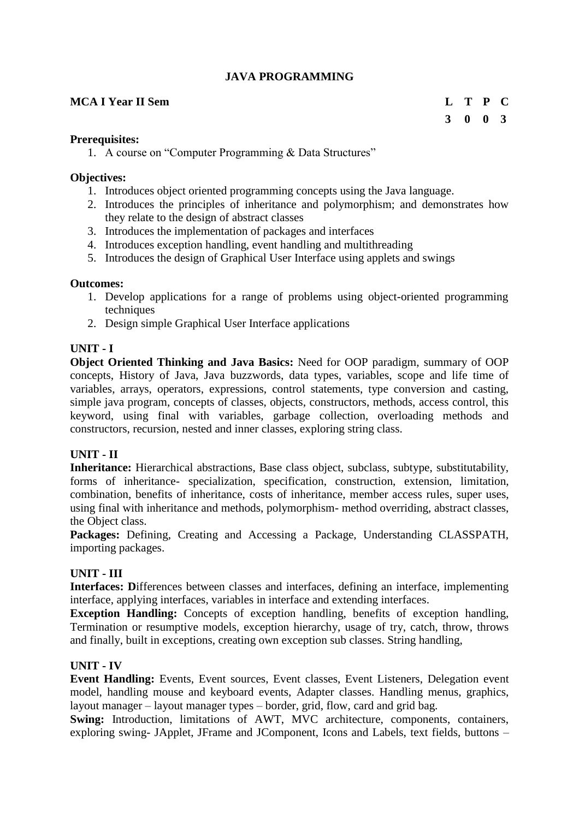## **JAVA PROGRAMMING**

### **MCA I Year II Sem L T P C**

## **3 0 0 3**

#### **Prerequisites:**

1. A course on "Computer Programming & Data Structures"

#### **Objectives:**

- 1. Introduces object oriented programming concepts using the Java language.
- 2. Introduces the principles of inheritance and polymorphism; and demonstrates how they relate to the design of abstract classes
- 3. Introduces the implementation of packages and interfaces
- 4. Introduces exception handling, event handling and multithreading
- 5. Introduces the design of Graphical User Interface using applets and swings

#### **Outcomes:**

- 1. Develop applications for a range of problems using object-oriented programming techniques
- 2. Design simple Graphical User Interface applications

## **UNIT - I**

**Object Oriented Thinking and Java Basics:** Need for OOP paradigm, summary of OOP concepts, History of Java, Java buzzwords, data types, variables, scope and life time of variables, arrays, operators, expressions, control statements, type conversion and casting, simple java program, concepts of classes, objects, constructors, methods, access control, this keyword, using final with variables, garbage collection, overloading methods and constructors, recursion, nested and inner classes, exploring string class.

## **UNIT - II**

**Inheritance:** Hierarchical abstractions, Base class object, subclass, subtype, substitutability, forms of inheritance- specialization, specification, construction, extension, limitation, combination, benefits of inheritance, costs of inheritance, member access rules, super uses, using final with inheritance and methods, polymorphism- method overriding, abstract classes, the Object class.

**Packages:** Defining, Creating and Accessing a Package, Understanding CLASSPATH, importing packages.

## **UNIT - III**

**Interfaces: D**ifferences between classes and interfaces, defining an interface, implementing interface, applying interfaces, variables in interface and extending interfaces.

**Exception Handling:** Concepts of exception handling, benefits of exception handling, Termination or resumptive models, exception hierarchy, usage of try, catch, throw, throws and finally, built in exceptions, creating own exception sub classes. String handling,

## **UNIT - IV**

**Event Handling:** Events, Event sources, Event classes, Event Listeners, Delegation event model, handling mouse and keyboard events, Adapter classes. Handling menus, graphics, layout manager – layout manager types – border, grid, flow, card and grid bag.

**Swing:** Introduction, limitations of AWT, MVC architecture, components, containers, exploring swing- JApplet, JFrame and JComponent, Icons and Labels, text fields, buttons –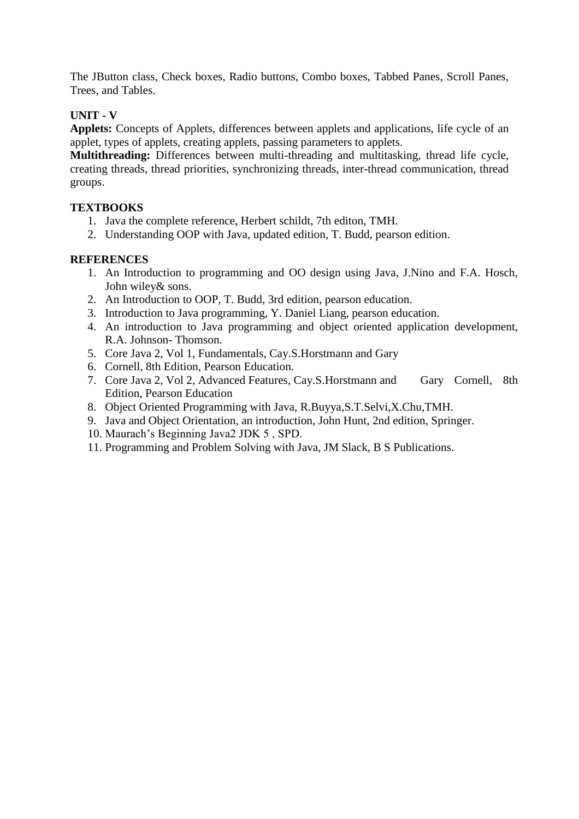The JButton class, Check boxes, Radio buttons, Combo boxes, Tabbed Panes, Scroll Panes, Trees, and Tables.

## **UNIT - V**

**Applets:** Concepts of Applets, differences between applets and applications, life cycle of an applet, types of applets, creating applets, passing parameters to applets.

**Multithreading:** Differences between multi-threading and multitasking, thread life cycle, creating threads, thread priorities, synchronizing threads, inter-thread communication, thread groups.

## **TEXTBOOKS**

- 1. Java the complete reference, Herbert schildt, 7th editon, TMH.
- 2. Understanding OOP with Java, updated edition, T. Budd, pearson edition.

- 1. An Introduction to programming and OO design using Java, J.Nino and F.A. Hosch, John wiley& sons.
- 2. An Introduction to OOP, T. Budd, 3rd edition, pearson education.
- 3. Introduction to Java programming, Y. Daniel Liang, pearson education.
- 4. An introduction to Java programming and object oriented application development, R.A. Johnson- Thomson.
- 5. Core Java 2, Vol 1, Fundamentals, Cay.S.Horstmann and Gary
- 6. Cornell, 8th Edition, Pearson Education.
- 7. Core Java 2, Vol 2, Advanced Features, Cay.S.Horstmann and Gary Cornell, 8th Edition, Pearson Education
- 8. Object Oriented Programming with Java, R.Buyya,S.T.Selvi,X.Chu,TMH.
- 9. Java and Object Orientation, an introduction, John Hunt, 2nd edition, Springer.
- 10. Maurach's Beginning Java2 JDK 5 , SPD.
- 11. Programming and Problem Solving with Java, JM Slack, B S Publications.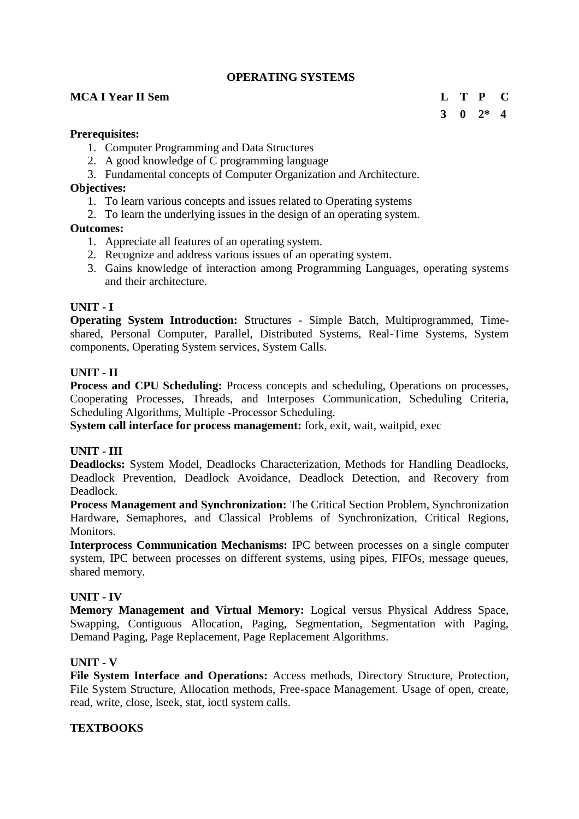## **OPERATING SYSTEMS**

#### **MCA I Year II Sem L T P C**

## **3 0 2\* 4**

#### **Prerequisites:**

- 1. Computer Programming and Data Structures
- 2. A good knowledge of C programming language
- 3. Fundamental concepts of Computer Organization and Architecture.

#### **Objectives:**

- 1. To learn various concepts and issues related to Operating systems
- 2. To learn the underlying issues in the design of an operating system.

#### **Outcomes:**

- 1. Appreciate all features of an operating system.
- 2. Recognize and address various issues of an operating system.
- 3. Gains knowledge of interaction among Programming Languages, operating systems and their architecture.

#### **UNIT - I**

**Operating System Introduction:** Structures - Simple Batch, Multiprogrammed, Timeshared, Personal Computer, Parallel, Distributed Systems, Real-Time Systems, System components, Operating System services, System Calls.

#### **UNIT - II**

**Process and CPU Scheduling:** Process concepts and scheduling, Operations on processes, Cooperating Processes, Threads, and Interposes Communication, Scheduling Criteria, Scheduling Algorithms, Multiple -Processor Scheduling.

**System call interface for process management:** fork, exit, wait, waitpid, exec

#### **UNIT - III**

**Deadlocks:** System Model, Deadlocks Characterization, Methods for Handling Deadlocks, Deadlock Prevention, Deadlock Avoidance, Deadlock Detection, and Recovery from Deadlock.

**Process Management and Synchronization:** The Critical Section Problem, Synchronization Hardware, Semaphores, and Classical Problems of Synchronization, Critical Regions, Monitors.

**Interprocess Communication Mechanisms:** IPC between processes on a single computer system, IPC between processes on different systems, using pipes, FIFOs, message queues, shared memory.

#### **UNIT - IV**

**Memory Management and Virtual Memory:** Logical versus Physical Address Space, Swapping, Contiguous Allocation, Paging, Segmentation, Segmentation with Paging, Demand Paging, Page Replacement, Page Replacement Algorithms.

#### **UNIT - V**

**File System Interface and Operations:** Access methods, Directory Structure, Protection, File System Structure, Allocation methods, Free-space Management. Usage of open, create, read, write, close, lseek, stat, ioctl system calls.

#### **TEXTBOOKS**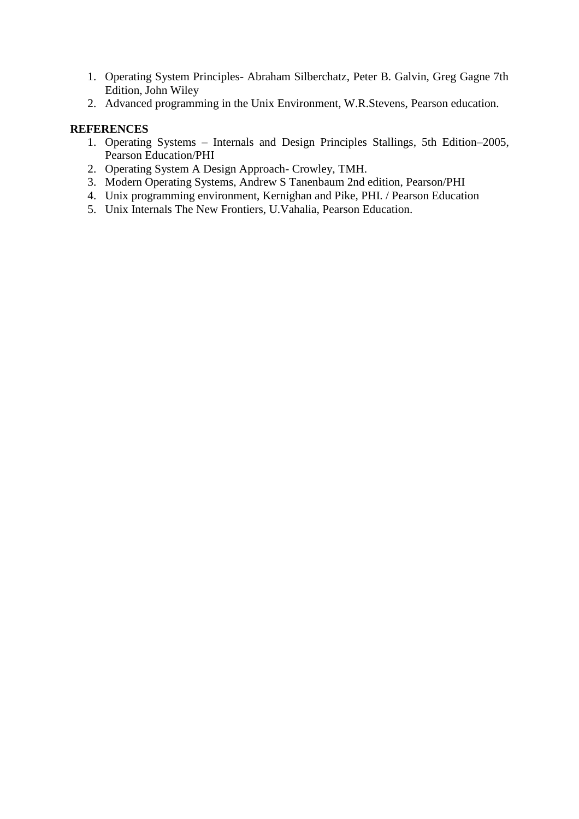- 1. Operating System Principles- Abraham Silberchatz, Peter B. Galvin, Greg Gagne 7th Edition, John Wiley
- 2. Advanced programming in the Unix Environment, W.R.Stevens, Pearson education.

- 1. Operating Systems Internals and Design Principles Stallings, 5th Edition–2005, Pearson Education/PHI
- 2. Operating System A Design Approach- Crowley, TMH.
- 3. Modern Operating Systems, Andrew S Tanenbaum 2nd edition, Pearson/PHI
- 4. Unix programming environment, Kernighan and Pike, PHI. / Pearson Education
- 5. Unix Internals The New Frontiers, U.Vahalia, Pearson Education.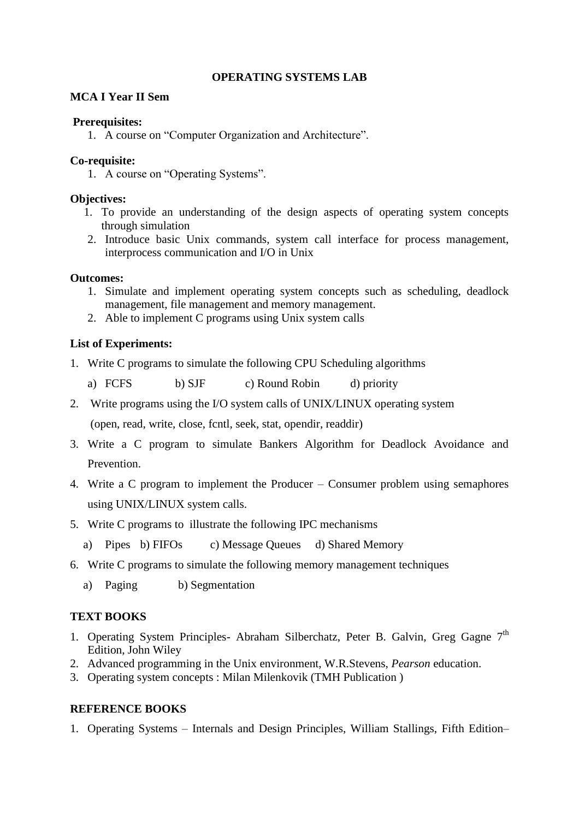## **OPERATING SYSTEMS LAB**

#### **MCA I Year II Sem**

#### **Prerequisites:**

1. A course on "Computer Organization and Architecture".

## **Co-requisite:**

1. A course on "Operating Systems".

#### **Objectives:**

- 1. To provide an understanding of the design aspects of operating system concepts through simulation
- 2. Introduce basic Unix commands, system call interface for process management, interprocess communication and I/O in Unix

#### **Outcomes:**

- 1. Simulate and implement operating system concepts such as scheduling, deadlock management, file management and memory management.
- 2. Able to implement C programs using Unix system calls

## **List of Experiments:**

- 1. Write C programs to simulate the following CPU Scheduling algorithms
	- a) FCFS b) SJF c) Round Robin d) priority
- 2. Write programs using the I/O system calls of UNIX/LINUX operating system (open, read, write, close, fcntl, seek, stat, opendir, readdir)
- 3. Write a C program to simulate Bankers Algorithm for Deadlock Avoidance and Prevention.
- 4. Write a C program to implement the Producer Consumer problem using semaphores using UNIX/LINUX system calls.
- 5. Write C programs to illustrate the following IPC mechanisms
	- a) Pipes b) FIFOs c) Message Queues d) Shared Memory
- 6. Write C programs to simulate the following memory management techniques
	- a) Paging b) Segmentation

## **TEXT BOOKS**

- 1. Operating System Principles- Abraham Silberchatz, Peter B. Galvin, Greg Gagne 7<sup>th</sup> Edition, John Wiley
- 2. Advanced programming in the Unix environment, W.R.Stevens, *Pearson* education.
- 3. Operating system concepts : Milan Milenkovik (TMH Publication )

## **REFERENCE BOOKS**

1. Operating Systems – Internals and Design Principles, William Stallings, Fifth Edition–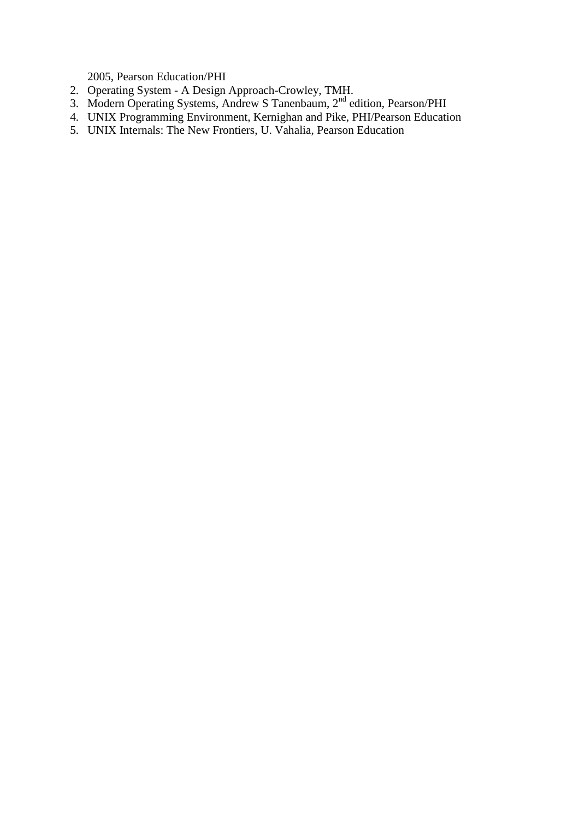2005, Pearson Education/PHI

- 2. Operating System A Design Approach-Crowley, TMH.
- 3. Modern Operating Systems, Andrew S Tanenbaum, 2<sup>nd</sup> edition, Pearson/PHI
- 4. UNIX Programming Environment, Kernighan and Pike, PHI/Pearson Education
- 5. UNIX Internals: The New Frontiers, U. Vahalia, Pearson Education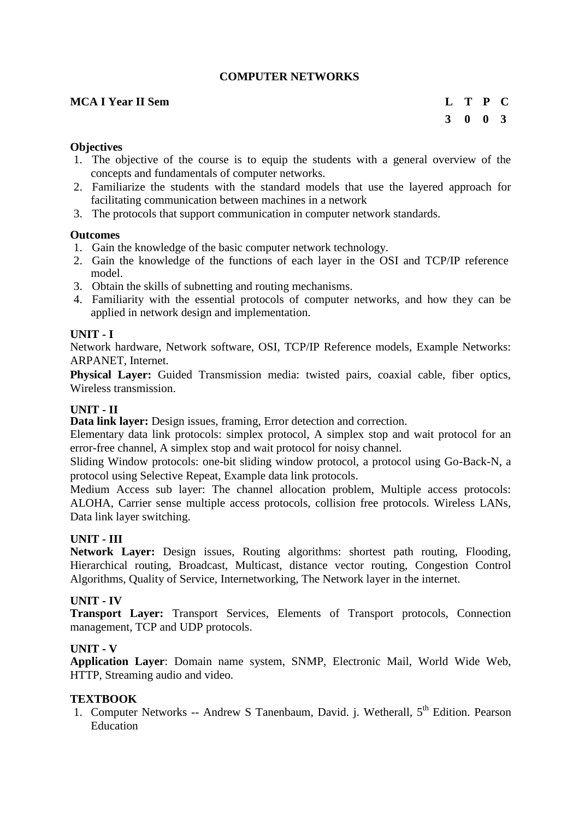## **COMPUTER NETWORKS**

#### **MCA I Year II Sem L T P C**

#### **Objectives**

- 1. The objective of the course is to equip the students with a general overview of the concepts and fundamentals of computer networks.
- 2. Familiarize the students with the standard models that use the layered approach for facilitating communication between machines in a network
- 3. The protocols that support communication in computer network standards.

#### **Outcomes**

- 1. Gain the knowledge of the basic computer network technology.
- 2. Gain the knowledge of the functions of each layer in the OSI and TCP/IP reference model.
- 3. Obtain the skills of subnetting and routing mechanisms.
- 4. Familiarity with the essential protocols of computer networks, and how they can be applied in network design and implementation.

#### **UNIT - I**

Network hardware, Network software, OSI, TCP/IP Reference models, Example Networks: ARPANET, Internet.

**Physical Layer:** Guided Transmission media: twisted pairs, coaxial cable, fiber optics, Wireless transmission.

#### **UNIT - II**

**Data link layer:** Design issues, framing, Error detection and correction.

Elementary data link protocols: simplex protocol, A simplex stop and wait protocol for an error-free channel, A simplex stop and wait protocol for noisy channel.

Sliding Window protocols: one-bit sliding window protocol, a protocol using Go-Back-N, a protocol using Selective Repeat, Example data link protocols.

Medium Access sub layer: The channel allocation problem, Multiple access protocols: ALOHA, Carrier sense multiple access protocols, collision free protocols. Wireless LANs, Data link layer switching.

#### **UNIT - III**

**Network Layer:** Design issues, Routing algorithms: shortest path routing, Flooding, Hierarchical routing, Broadcast, Multicast, distance vector routing, Congestion Control Algorithms, Quality of Service, Internetworking, The Network layer in the internet.

#### **UNIT - IV**

**Transport Layer:** Transport Services, Elements of Transport protocols, Connection management, TCP and UDP protocols.

#### **UNIT - V**

**Application Layer**: Domain name system, SNMP, Electronic Mail, World Wide Web, HTTP, Streaming audio and video.

#### **TEXTBOOK**

1. Computer Networks -- Andrew S Tanenbaum, David. j. Wetherall, 5<sup>th</sup> Edition. Pearson Education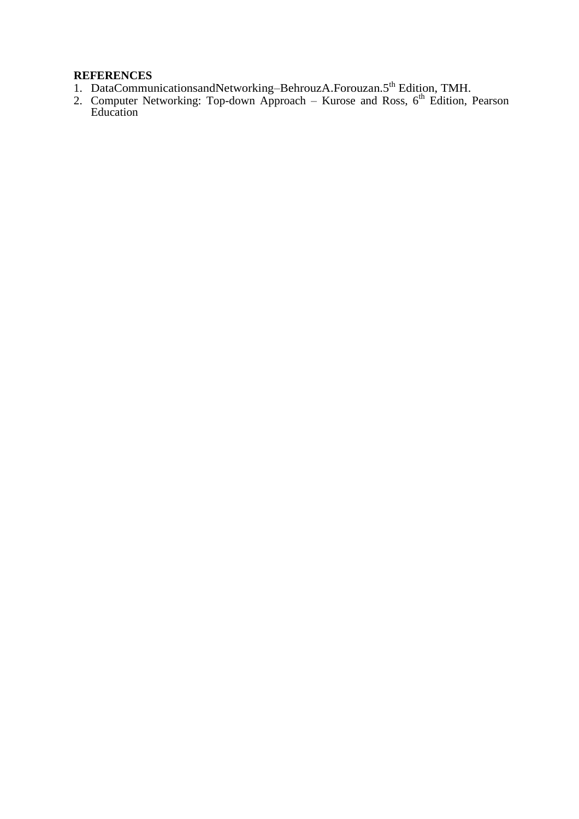- 1. DataCommunicationsandNetworking-BehrouzA.Forouzan.5<sup>th</sup> Edition, TMH.
- 2. Computer Networking: Top-down Approach Kurose and Ross,  $6<sup>th</sup>$  Edition, Pearson Education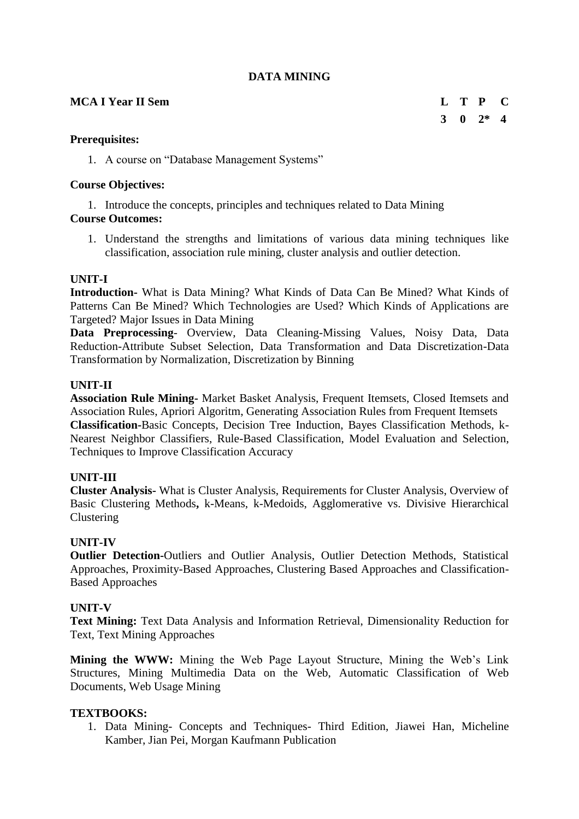### **DATA MINING**

#### **MCA I Year II Sem L T P C**

## **Prerequisites:**

1. A course on "Database Management Systems"

## **Course Objectives:**

1. Introduce the concepts, principles and techniques related to Data Mining

## **Course Outcomes:**

1. Understand the strengths and limitations of various data mining techniques like classification, association rule mining, cluster analysis and outlier detection.

## **UNIT-I**

**Introduction-** What is Data Mining? What Kinds of Data Can Be Mined? What Kinds of Patterns Can Be Mined? Which Technologies are Used? Which Kinds of Applications are Targeted? Major Issues in Data Mining

**Data Preprocessing**- Overview, Data Cleaning-Missing Values, Noisy Data, Data Reduction-Attribute Subset Selection, Data Transformation and Data Discretization-Data Transformation by Normalization, Discretization by Binning

## **UNIT-II**

**Association Rule Mining-** Market Basket Analysis, Frequent Itemsets, Closed Itemsets and Association Rules, Apriori Algoritm, Generating Association Rules from Frequent Itemsets **Classification-**Basic Concepts, Decision Tree Induction, Bayes Classification Methods, k-Nearest Neighbor Classifiers, Rule-Based Classification, Model Evaluation and Selection, Techniques to Improve Classification Accuracy

## **UNIT-III**

**Cluster Analysis-** What is Cluster Analysis, Requirements for Cluster Analysis, Overview of Basic Clustering Methods**,** k-Means, k-Medoids, Agglomerative vs. Divisive Hierarchical Clustering

## **UNIT-IV**

**Outlier Detection-**Outliers and Outlier Analysis, Outlier Detection Methods, Statistical Approaches, Proximity-Based Approaches, Clustering Based Approaches and Classification-Based Approaches

## **UNIT-V**

**Text Mining:** Text Data Analysis and Information Retrieval, Dimensionality Reduction for Text, Text Mining Approaches

**Mining the WWW:** Mining the Web Page Layout Structure, Mining the Web's Link Structures, Mining Multimedia Data on the Web, Automatic Classification of Web Documents, Web Usage Mining

## **TEXTBOOKS:**

1. Data Mining- Concepts and Techniques- Third Edition, Jiawei Han, Micheline Kamber, Jian Pei, Morgan Kaufmann Publication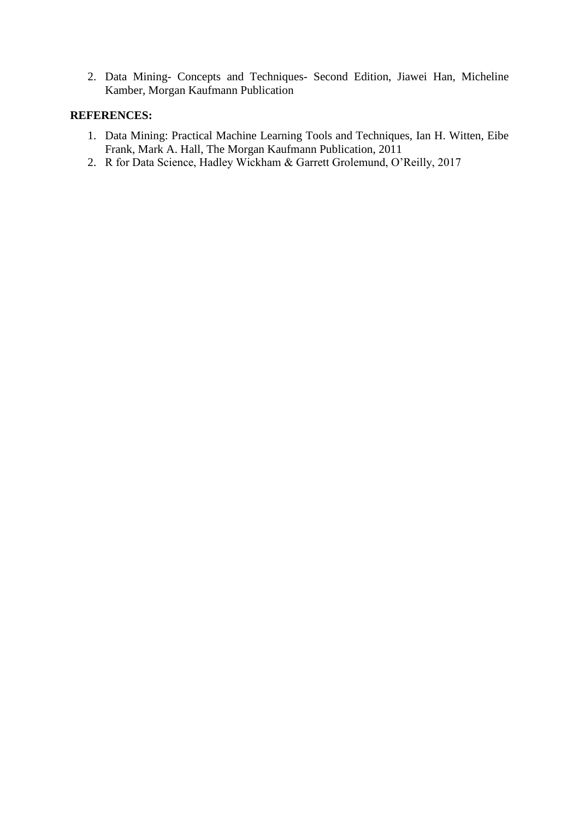2. Data Mining- Concepts and Techniques- Second Edition, Jiawei Han, Micheline Kamber, Morgan Kaufmann Publication

- 1. Data Mining: Practical Machine Learning Tools and Techniques, Ian H. Witten, Eibe Frank, Mark A. Hall, The Morgan Kaufmann Publication, 2011
- 2. R for Data Science, Hadley Wickham & Garrett Grolemund, O'Reilly, 2017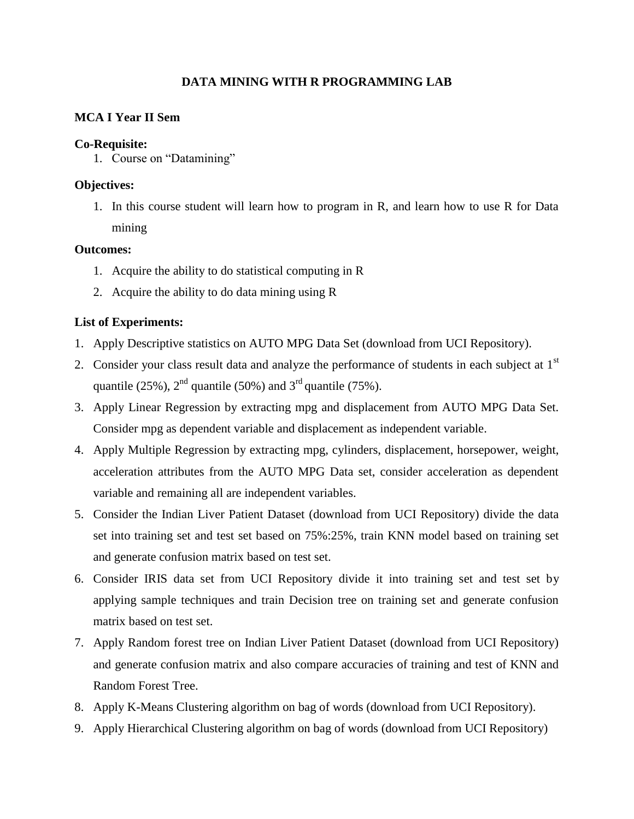## **DATA MINING WITH R PROGRAMMING LAB**

## **MCA I Year II Sem**

#### **Co-Requisite:**

1. Course on "Datamining"

## **Objectives:**

1. In this course student will learn how to program in R, and learn how to use R for Data mining

## **Outcomes:**

- 1. Acquire the ability to do statistical computing in R
- 2. Acquire the ability to do data mining using R

## **List of Experiments:**

- 1. Apply Descriptive statistics on AUTO MPG Data Set (download from UCI Repository).
- 2. Consider your class result data and analyze the performance of students in each subject at  $1<sup>st</sup>$ quantile (25%),  $2<sup>nd</sup>$  quantile (50%) and  $3<sup>rd</sup>$  quantile (75%).
- 3. Apply Linear Regression by extracting mpg and displacement from AUTO MPG Data Set. Consider mpg as dependent variable and displacement as independent variable.
- 4. Apply Multiple Regression by extracting mpg, cylinders, displacement, horsepower, weight, acceleration attributes from the AUTO MPG Data set, consider acceleration as dependent variable and remaining all are independent variables.
- 5. Consider the Indian Liver Patient Dataset (download from UCI Repository) divide the data set into training set and test set based on 75%:25%, train KNN model based on training set and generate confusion matrix based on test set.
- 6. Consider IRIS data set from UCI Repository divide it into training set and test set by applying sample techniques and train Decision tree on training set and generate confusion matrix based on test set.
- 7. Apply Random forest tree on Indian Liver Patient Dataset (download from UCI Repository) and generate confusion matrix and also compare accuracies of training and test of KNN and Random Forest Tree.
- 8. Apply K-Means Clustering algorithm on bag of words (download from UCI Repository).
- 9. Apply Hierarchical Clustering algorithm on bag of words (download from UCI Repository)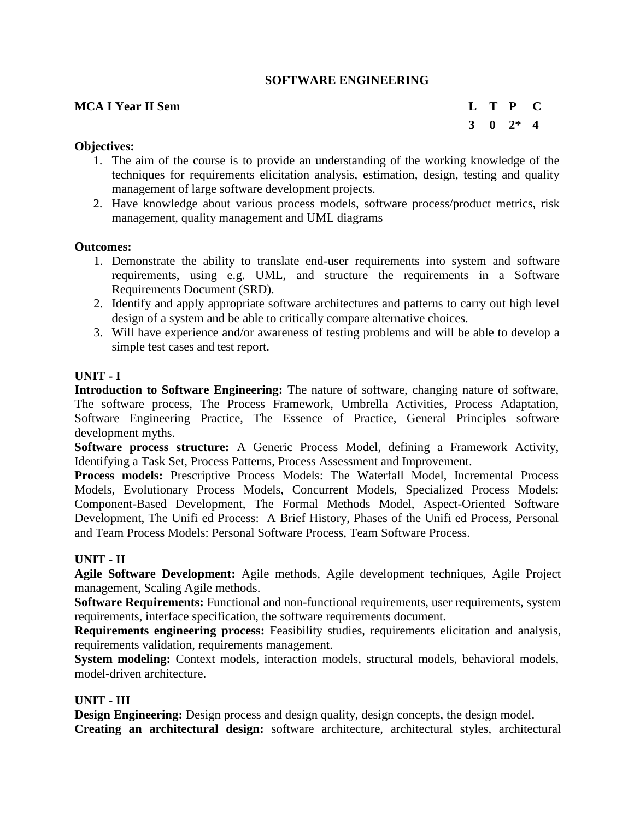#### **SOFTWARE ENGINEERING**

#### **MCA I Year II Sem L T P C**

**3 0 2\* 4**

#### **Objectives:**

- 1. The aim of the course is to provide an understanding of the working knowledge of the techniques for requirements elicitation analysis, estimation, design, testing and quality management of large software development projects.
- 2. Have knowledge about various process models, software process/product metrics, risk management, quality management and UML diagrams

#### **Outcomes:**

- 1. Demonstrate the ability to translate end-user requirements into system and software requirements, using e.g. UML, and structure the requirements in a Software Requirements Document (SRD).
- 2. Identify and apply appropriate software architectures and patterns to carry out high level design of a system and be able to critically compare alternative choices.
- 3. Will have experience and/or awareness of testing problems and will be able to develop a simple test cases and test report.

#### **UNIT - I**

**Introduction to Software Engineering:** The nature of software, changing nature of software, The software process, The Process Framework, Umbrella Activities, Process Adaptation, Software Engineering Practice, The Essence of Practice, General Principles software development myths.

**Software process structure:** A Generic Process Model, defining a Framework Activity, Identifying a Task Set, Process Patterns, Process Assessment and Improvement.

**Process models:** Prescriptive Process Models: The Waterfall Model, Incremental Process Models, Evolutionary Process Models, Concurrent Models, Specialized Process Models: Component-Based Development, The Formal Methods Model, Aspect-Oriented Software Development, The Unifi ed Process: A Brief History, Phases of the Unifi ed Process, Personal and Team Process Models: Personal Software Process, Team Software Process.

#### **UNIT - II**

**Agile Software Development:** Agile methods, Agile development techniques, Agile Project management, Scaling Agile methods.

**Software Requirements:** Functional and non-functional requirements, user requirements, system requirements, interface specification, the software requirements document.

**Requirements engineering process:** Feasibility studies, requirements elicitation and analysis, requirements validation, requirements management.

**System modeling:** Context models, interaction models, structural models, behavioral models, model-driven architecture.

#### **UNIT - III**

**Design Engineering:** Design process and design quality, design concepts, the design model. **Creating an architectural design:** software architecture, architectural styles, architectural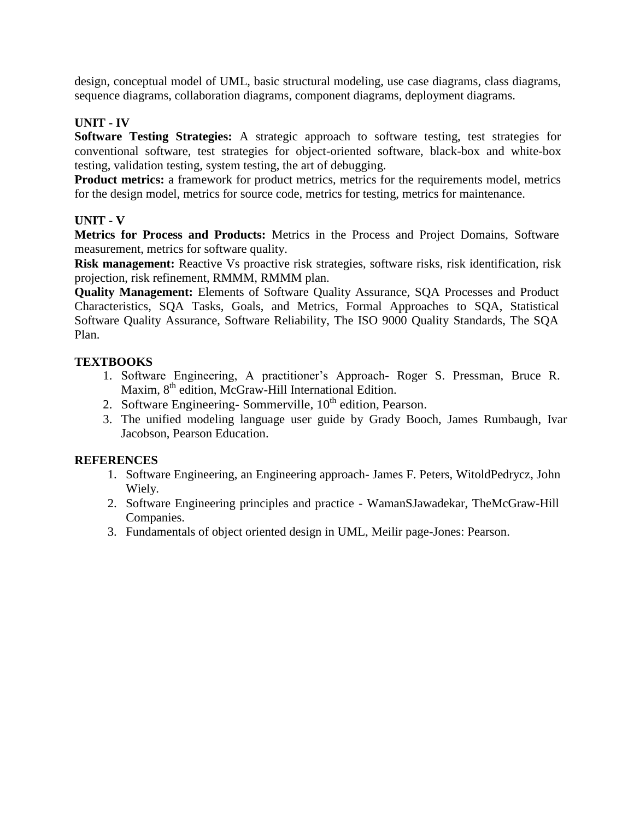design, conceptual model of UML, basic structural modeling, use case diagrams, class diagrams, sequence diagrams, collaboration diagrams, component diagrams, deployment diagrams.

## **UNIT - IV**

**Software Testing Strategies:** A strategic approach to software testing, test strategies for conventional software, test strategies for object-oriented software, black-box and white-box testing, validation testing, system testing, the art of debugging.

**Product metrics:** a framework for product metrics, metrics for the requirements model, metrics for the design model, metrics for source code, metrics for testing, metrics for maintenance.

## **UNIT - V**

**Metrics for Process and Products:** Metrics in the Process and Project Domains, Software measurement, metrics for software quality.

**Risk management:** Reactive Vs proactive risk strategies, software risks, risk identification, risk projection, risk refinement, RMMM, RMMM plan.

**Quality Management:** Elements of Software Quality Assurance, SQA Processes and Product Characteristics, SQA Tasks, Goals, and Metrics, Formal Approaches to SQA, Statistical Software Quality Assurance, Software Reliability, The ISO 9000 Quality Standards, The SQA Plan.

## **TEXTBOOKS**

- 1. Software Engineering, A practitioner's Approach- Roger S. Pressman, Bruce R. Maxim, 8<sup>th</sup> edition, McGraw-Hill International Edition.
- 2. Software Engineering-Sommerville,  $10<sup>th</sup>$  edition, Pearson.
- 3. The unified modeling language user guide by Grady Booch, James Rumbaugh, Ivar Jacobson, Pearson Education.

- 1. Software Engineering, an Engineering approach- James F. Peters, WitoldPedrycz, John Wiely.
- 2. Software Engineering principles and practice WamanSJawadekar, TheMcGraw-Hill Companies.
- 3. Fundamentals of object oriented design in UML, Meilir page-Jones: Pearson.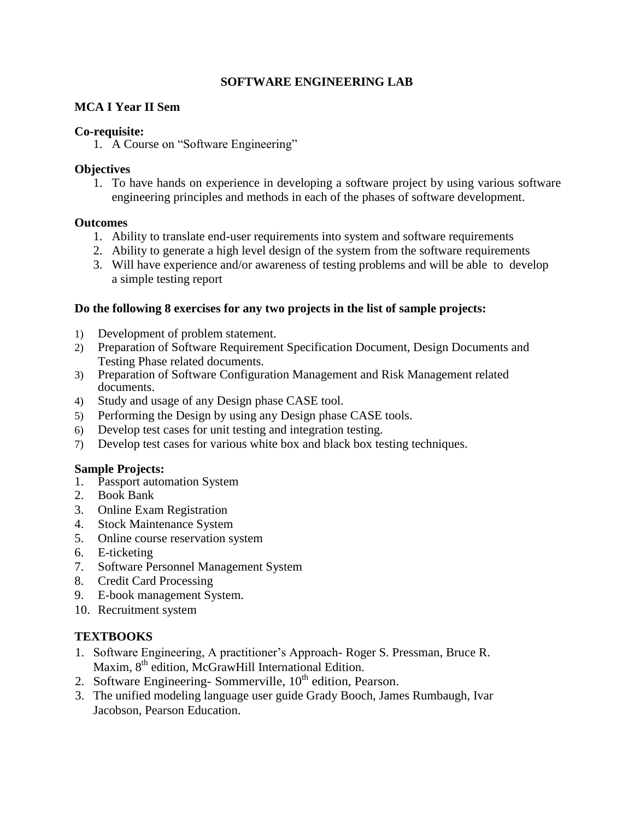## **SOFTWARE ENGINEERING LAB**

#### **MCA I Year II Sem**

#### **Co-requisite:**

1. A Course on "Software Engineering"

## **Objectives**

1. To have hands on experience in developing a software project by using various software engineering principles and methods in each of the phases of software development.

#### **Outcomes**

- 1. Ability to translate end-user requirements into system and software requirements
- 2. Ability to generate a high level design of the system from the software requirements
- 3. Will have experience and/or awareness of testing problems and will be able to develop a simple testing report

#### **Do the following 8 exercises for any two projects in the list of sample projects:**

- 1) Development of problem statement.
- 2) Preparation of Software Requirement Specification Document, Design Documents and Testing Phase related documents.
- 3) Preparation of Software Configuration Management and Risk Management related documents.
- 4) Study and usage of any Design phase CASE tool.
- 5) Performing the Design by using any Design phase CASE tools.
- 6) Develop test cases for unit testing and integration testing.
- 7) Develop test cases for various white box and black box testing techniques.

#### **Sample Projects:**

- 1. Passport automation System
- 2. Book Bank
- 3. Online Exam Registration
- 4. Stock Maintenance System
- 5. Online course reservation system
- 6. E-ticketing
- 7. Software Personnel Management System
- 8. Credit Card Processing
- 9. E-book management System.
- 10. Recruitment system

## **TEXTBOOKS**

- 1. Software Engineering, A practitioner's Approach- Roger S. Pressman, Bruce R. Maxim, 8<sup>th</sup> edition, McGrawHill International Edition.
- 2. Software Engineering-Sommerville,  $10<sup>th</sup>$  edition, Pearson.
- 3. The unified modeling language user guide Grady Booch, James Rumbaugh, Ivar Jacobson, Pearson Education.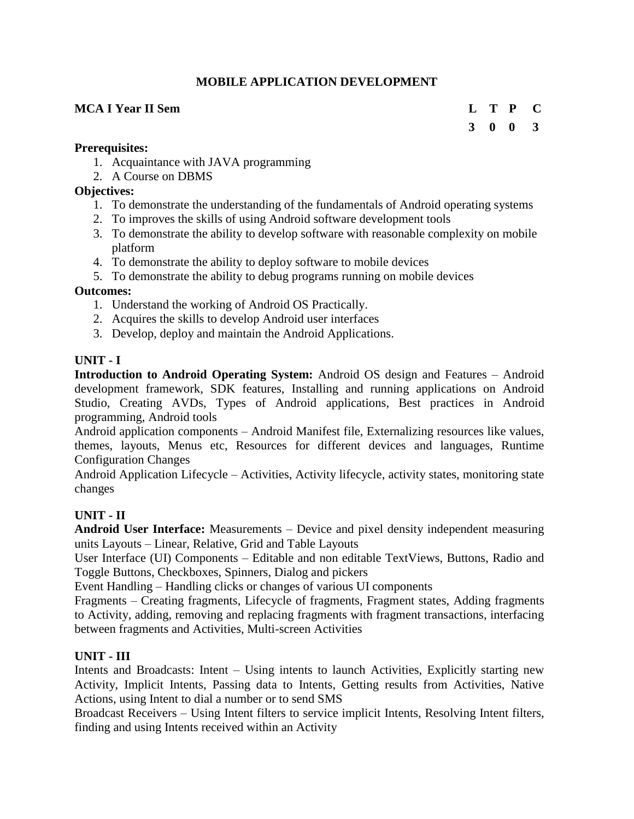## **MOBILE APPLICATION DEVELOPMENT**

## **MCA I Year II Sem L T P C**

# **3 0 0 3**

#### **Prerequisites:**

- 1. Acquaintance with JAVA programming
- 2. A Course on DBMS

## **Objectives:**

- 1. To demonstrate the understanding of the fundamentals of Android operating systems
- 2. To improves the skills of using Android software development tools
- 3. To demonstrate the ability to develop software with reasonable complexity on mobile platform
- 4. To demonstrate the ability to deploy software to mobile devices
- 5. To demonstrate the ability to debug programs running on mobile devices

## **Outcomes:**

- 1. Understand the working of Android OS Practically.
- 2. Acquires the skills to develop Android user interfaces
- 3. Develop, deploy and maintain the Android Applications.

## **UNIT - I**

**Introduction to Android Operating System:** Android OS design and Features – Android development framework, SDK features, Installing and running applications on Android Studio, Creating AVDs, Types of Android applications, Best practices in Android programming, Android tools

Android application components – Android Manifest file, Externalizing resources like values, themes, layouts, Menus etc, Resources for different devices and languages, Runtime Configuration Changes

Android Application Lifecycle – Activities, Activity lifecycle, activity states, monitoring state changes

## **UNIT - II**

**Android User Interface:** Measurements – Device and pixel density independent measuring units Layouts – Linear, Relative, Grid and Table Layouts

User Interface (UI) Components – Editable and non editable TextViews, Buttons, Radio and Toggle Buttons, Checkboxes, Spinners, Dialog and pickers

Event Handling – Handling clicks or changes of various UI components

Fragments – Creating fragments, Lifecycle of fragments, Fragment states, Adding fragments to Activity, adding, removing and replacing fragments with fragment transactions, interfacing between fragments and Activities, Multi-screen Activities

## **UNIT - III**

Intents and Broadcasts: Intent – Using intents to launch Activities, Explicitly starting new Activity, Implicit Intents, Passing data to Intents, Getting results from Activities, Native Actions, using Intent to dial a number or to send SMS

Broadcast Receivers – Using Intent filters to service implicit Intents, Resolving Intent filters, finding and using Intents received within an Activity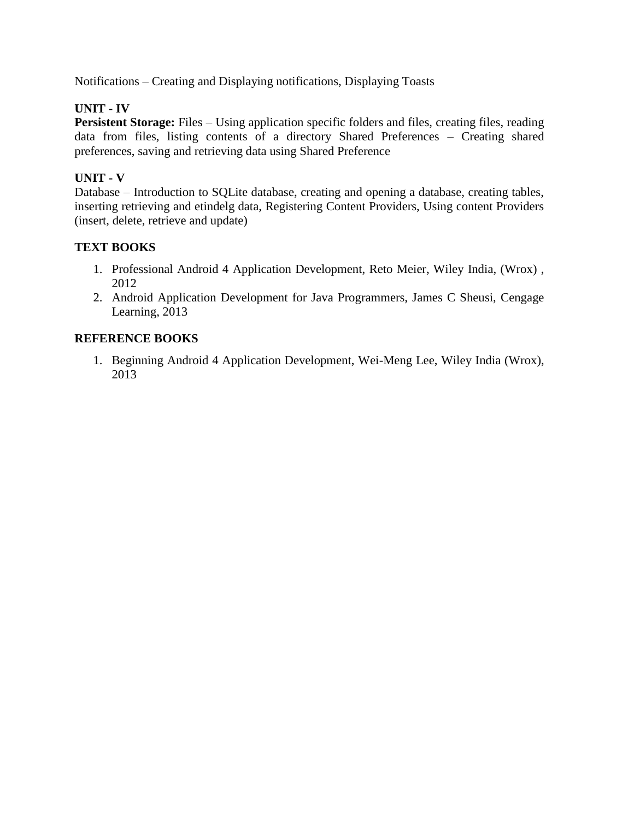Notifications – Creating and Displaying notifications, Displaying Toasts

## **UNIT - IV**

**Persistent Storage:** Files – Using application specific folders and files, creating files, reading data from files, listing contents of a directory Shared Preferences – Creating shared preferences, saving and retrieving data using Shared Preference

## **UNIT - V**

Database – Introduction to SQLite database, creating and opening a database, creating tables, inserting retrieving and etindelg data, Registering Content Providers, Using content Providers (insert, delete, retrieve and update)

## **TEXT BOOKS**

- 1. Professional Android 4 Application Development, Reto Meier, Wiley India, (Wrox) , 2012
- 2. Android Application Development for Java Programmers, James C Sheusi, Cengage Learning, 2013

## **REFERENCE BOOKS**

1. Beginning Android 4 Application Development, Wei-Meng Lee, Wiley India (Wrox), 2013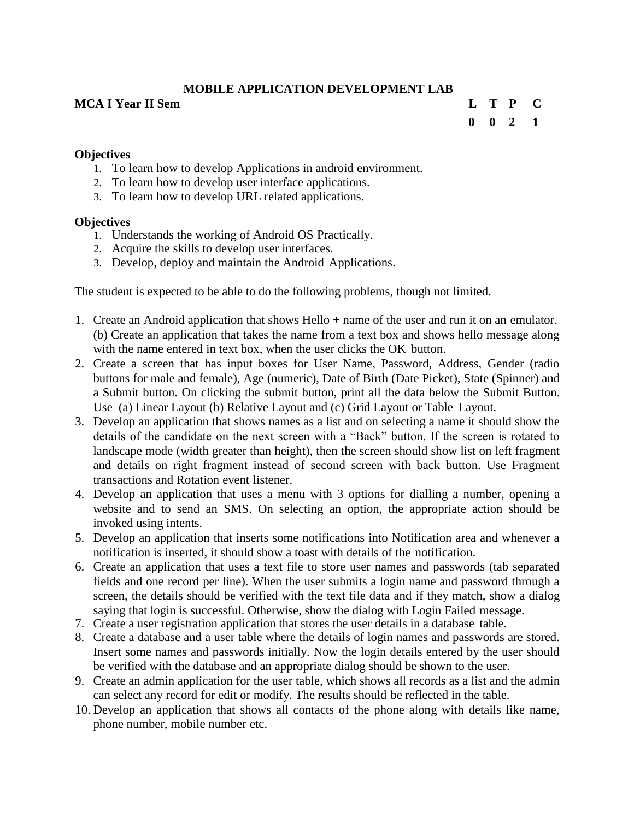## **MOBILE APPLICATION DEVELOPMENT LAB**

#### **MCA I Year II Sem L T P C**

# **0 0 2 1**

## **Objectives**

- 1. To learn how to develop Applications in android environment.
- 2. To learn how to develop user interface applications.
- 3. To learn how to develop URL related applications.

## **Objectives**

- 1. Understands the working of Android OS Practically.
- 2. Acquire the skills to develop user interfaces.
- 3. Develop, deploy and maintain the Android Applications.

The student is expected to be able to do the following problems, though not limited.

- 1. Create an Android application that shows Hello + name of the user and run it on an emulator. (b) Create an application that takes the name from a text box and shows hello message along with the name entered in text box, when the user clicks the OK button.
- 2. Create a screen that has input boxes for User Name, Password, Address, Gender (radio buttons for male and female), Age (numeric), Date of Birth (Date Picket), State (Spinner) and a Submit button. On clicking the submit button, print all the data below the Submit Button. Use (a) Linear Layout (b) Relative Layout and (c) Grid Layout or Table Layout.
- 3. Develop an application that shows names as a list and on selecting a name it should show the details of the candidate on the next screen with a "Back" button. If the screen is rotated to landscape mode (width greater than height), then the screen should show list on left fragment and details on right fragment instead of second screen with back button. Use Fragment transactions and Rotation event listener.
- 4. Develop an application that uses a menu with 3 options for dialling a number, opening a website and to send an SMS. On selecting an option, the appropriate action should be invoked using intents.
- 5. Develop an application that inserts some notifications into Notification area and whenever a notification is inserted, it should show a toast with details of the notification.
- 6. Create an application that uses a text file to store user names and passwords (tab separated fields and one record per line). When the user submits a login name and password through a screen, the details should be verified with the text file data and if they match, show a dialog saying that login is successful. Otherwise, show the dialog with Login Failed message.
- 7. Create a user registration application that stores the user details in a database table.
- 8. Create a database and a user table where the details of login names and passwords are stored. Insert some names and passwords initially. Now the login details entered by the user should be verified with the database and an appropriate dialog should be shown to the user.
- 9. Create an admin application for the user table, which shows all records as a list and the admin can select any record for edit or modify. The results should be reflected in the table.
- 10. Develop an application that shows all contacts of the phone along with details like name, phone number, mobile number etc.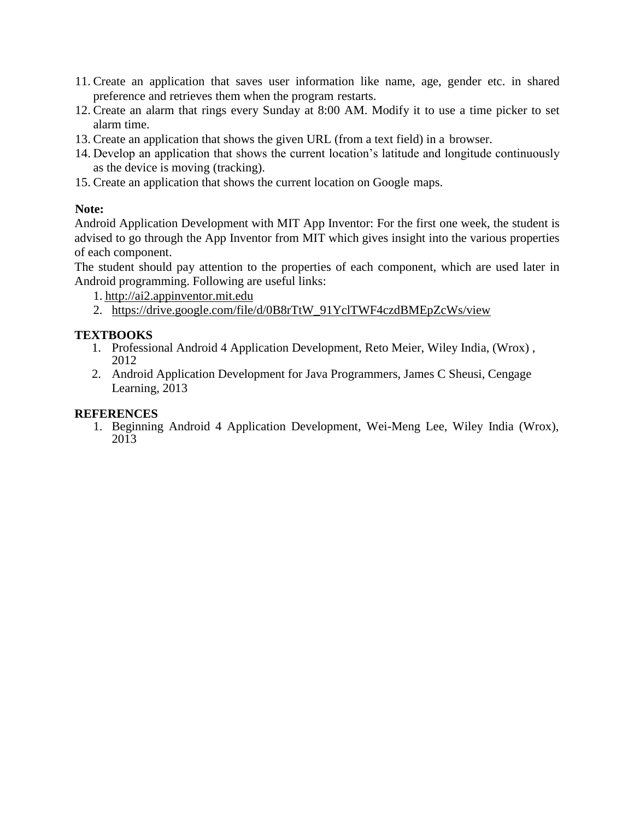- 11. Create an application that saves user information like name, age, gender etc. in shared preference and retrieves them when the program restarts.
- 12. Create an alarm that rings every Sunday at 8:00 AM. Modify it to use a time picker to set alarm time.
- 13. Create an application that shows the given URL (from a text field) in a browser.
- 14. Develop an application that shows the current location's latitude and longitude continuously as the device is moving (tracking).
- 15. Create an application that shows the current location on Google maps.

## **Note:**

Android Application Development with MIT App Inventor: For the first one week, the student is advised to go through the App Inventor from MIT which gives insight into the various properties of each component.

The student should pay attention to the properties of each component, which are used later in Android programming. Following are useful links:

1. [http://ai2.appinventor.mit.edu](http://ai2.appinventor.mit.edu/)

2. https://drive.google.com/file/d/0B8rTtW\_91YclTWF4czdBMEpZcWs/view

## **TEXTBOOKS**

- 1. Professional Android 4 Application Development, Reto Meier, Wiley India, (Wrox) , 2012
- 2. Android Application Development for Java Programmers, James C Sheusi, Cengage Learning, 2013

## **REFERENCES**

1. Beginning Android 4 Application Development, Wei-Meng Lee, Wiley India (Wrox), 2013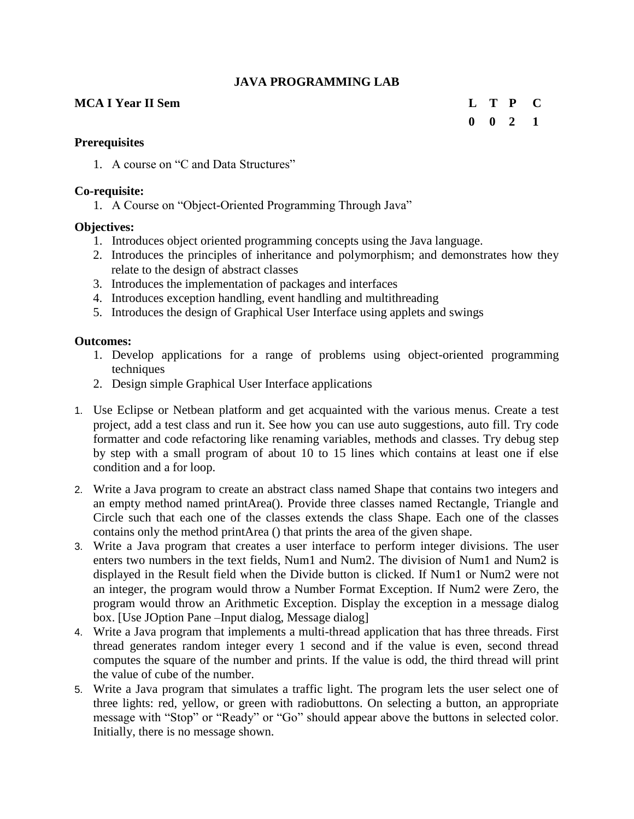## **JAVA PROGRAMMING LAB**

## **MCA I Year II Sem L T P C**

# **0 0 2 1**

## **Prerequisites**

1. A course on "C and Data Structures"

## **Co-requisite:**

1. A Course on "Object-Oriented Programming Through Java"

## **Objectives:**

- 1. Introduces object oriented programming concepts using the Java language.
- 2. Introduces the principles of inheritance and polymorphism; and demonstrates how they relate to the design of abstract classes
- 3. Introduces the implementation of packages and interfaces
- 4. Introduces exception handling, event handling and multithreading
- 5. Introduces the design of Graphical User Interface using applets and swings

## **Outcomes:**

- 1. Develop applications for a range of problems using object-oriented programming techniques
- 2. Design simple Graphical User Interface applications
- 1. Use Eclipse or Netbean platform and get acquainted with the various menus. Create a test project, add a test class and run it. See how you can use auto suggestions, auto fill. Try code formatter and code refactoring like renaming variables, methods and classes. Try debug step by step with a small program of about 10 to 15 lines which contains at least one if else condition and a for loop.
- 2. Write a Java program to create an abstract class named Shape that contains two integers and an empty method named printArea(). Provide three classes named Rectangle, Triangle and Circle such that each one of the classes extends the class Shape. Each one of the classes contains only the method printArea () that prints the area of the given shape.
- 3. Write a Java program that creates a user interface to perform integer divisions. The user enters two numbers in the text fields, Num1 and Num2. The division of Num1 and Num2 is displayed in the Result field when the Divide button is clicked. If Num1 or Num2 were not an integer, the program would throw a Number Format Exception. If Num2 were Zero, the program would throw an Arithmetic Exception. Display the exception in a message dialog box. [Use JOption Pane –Input dialog, Message dialog]
- 4. Write a Java program that implements a multi-thread application that has three threads. First thread generates random integer every 1 second and if the value is even, second thread computes the square of the number and prints. If the value is odd, the third thread will print the value of cube of the number.
- 5. Write a Java program that simulates a traffic light. The program lets the user select one of three lights: red, yellow, or green with radiobuttons. On selecting a button, an appropriate message with "Stop" or "Ready" or "Go" should appear above the buttons in selected color. Initially, there is no message shown.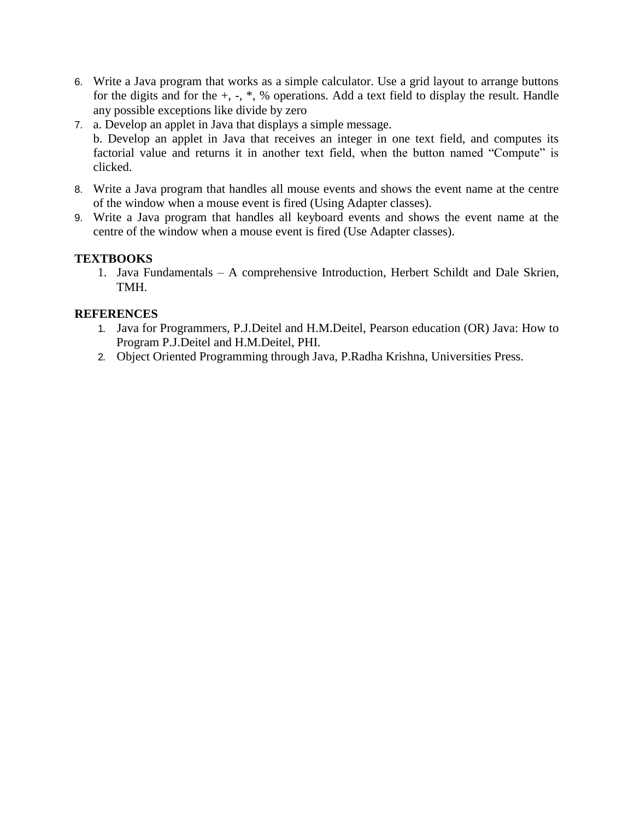- 6. Write a Java program that works as a simple calculator. Use a grid layout to arrange buttons for the digits and for the +, -, \*, % operations. Add a text field to display the result. Handle any possible exceptions like divide by zero
- 7. a. Develop an applet in Java that displays a simple message. b. Develop an applet in Java that receives an integer in one text field, and computes its factorial value and returns it in another text field, when the button named "Compute" is clicked.
- 8. Write a Java program that handles all mouse events and shows the event name at the centre of the window when a mouse event is fired (Using Adapter classes).
- 9. Write a Java program that handles all keyboard events and shows the event name at the centre of the window when a mouse event is fired (Use Adapter classes).

## **TEXTBOOKS**

1. Java Fundamentals – A comprehensive Introduction, Herbert Schildt and Dale Skrien, TMH.

- 1. Java for Programmers, P.J.Deitel and H.M.Deitel, Pearson education (OR) Java: How to Program P.J.Deitel and H.M.Deitel, PHI.
- 2. Object Oriented Programming through Java, P.Radha Krishna, Universities Press.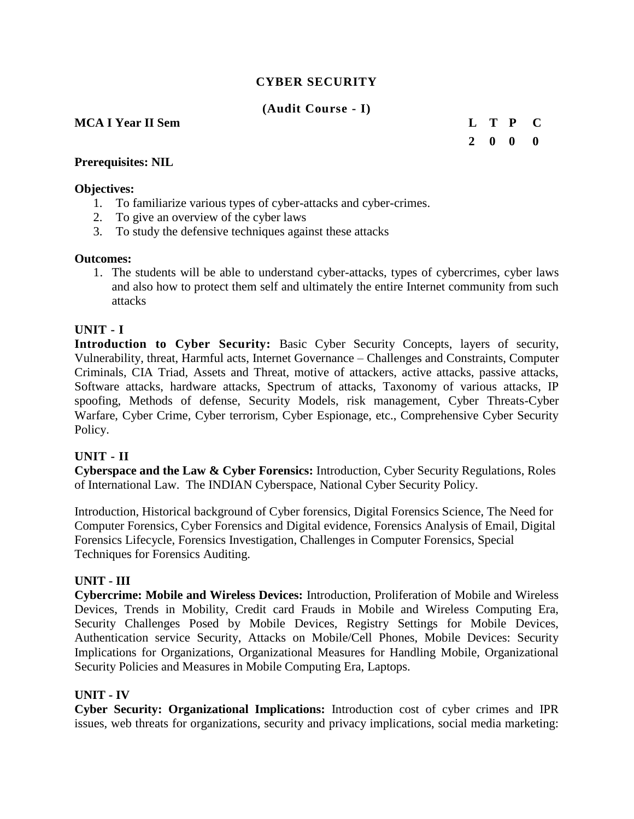## **CYBER SECURITY**

**(Audit Course - I)**

## **MCA I Year II Sem L T P C**

**2 0 0 0**

#### **Prerequisites: NIL**

#### **Objectives:**

- 1. To familiarize various types of cyber-attacks and cyber-crimes.
- 2. To give an overview of the cyber laws
- 3. To study the defensive techniques against these attacks

#### **Outcomes:**

1. The students will be able to understand cyber-attacks, types of cybercrimes, cyber laws and also how to protect them self and ultimately the entire Internet community from such attacks

## **UNIT - I**

**Introduction to Cyber Security:** Basic Cyber Security Concepts, layers of security, Vulnerability, threat, Harmful acts, Internet Governance – Challenges and Constraints, Computer Criminals, CIA Triad, Assets and Threat, motive of attackers, active attacks, passive attacks, Software attacks, hardware attacks, Spectrum of attacks, Taxonomy of various attacks, IP spoofing, Methods of defense, Security Models, risk management, Cyber Threats-Cyber Warfare, Cyber Crime, Cyber terrorism, Cyber Espionage, etc., Comprehensive Cyber Security Policy.

#### **UNIT - II**

**Cyberspace and the Law & Cyber Forensics:** Introduction, Cyber Security Regulations, Roles of International Law. The INDIAN Cyberspace, National Cyber Security Policy.

Introduction, Historical background of Cyber forensics, Digital Forensics Science, The Need for Computer Forensics, Cyber Forensics and Digital evidence, Forensics Analysis of Email, Digital Forensics Lifecycle, Forensics Investigation, Challenges in Computer Forensics, Special Techniques for Forensics Auditing.

## **UNIT - III**

**Cybercrime: Mobile and Wireless Devices:** Introduction, Proliferation of Mobile and Wireless Devices, Trends in Mobility, Credit card Frauds in Mobile and Wireless Computing Era, Security Challenges Posed by Mobile Devices, Registry Settings for Mobile Devices, Authentication service Security, Attacks on Mobile/Cell Phones, Mobile Devices: Security Implications for Organizations, Organizational Measures for Handling Mobile, Organizational Security Policies and Measures in Mobile Computing Era, Laptops.

#### **UNIT - IV**

**Cyber Security: Organizational Implications:** Introduction cost of cyber crimes and IPR issues, web threats for organizations, security and privacy implications, social media marketing: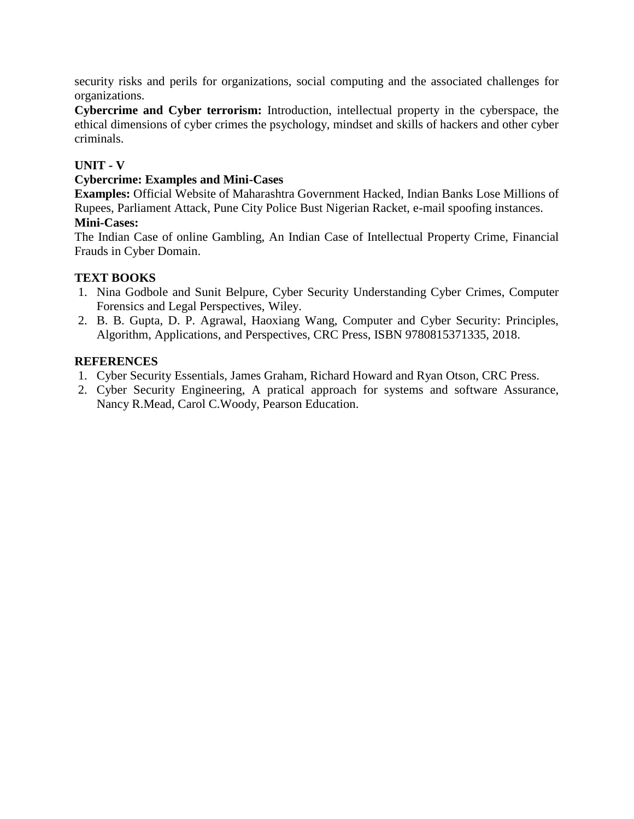security risks and perils for organizations, social computing and the associated challenges for organizations.

**Cybercrime and Cyber terrorism:** Introduction, intellectual property in the cyberspace, the ethical dimensions of cyber crimes the psychology, mindset and skills of hackers and other cyber criminals.

## **UNIT - V**

## **Cybercrime: Examples and Mini-Cases**

**Examples:** Official Website of Maharashtra Government Hacked, Indian Banks Lose Millions of Rupees, Parliament Attack, Pune City Police Bust Nigerian Racket, e-mail spoofing instances. **Mini-Cases:** 

The Indian Case of online Gambling, An Indian Case of Intellectual Property Crime, Financial Frauds in Cyber Domain.

## **TEXT BOOKS**

- 1. Nina Godbole and Sunit Belpure, Cyber Security Understanding Cyber Crimes, Computer Forensics and Legal Perspectives, Wiley.
- 2. B. B. Gupta, D. P. Agrawal, Haoxiang Wang, Computer and Cyber Security: Principles, Algorithm, Applications, and Perspectives, CRC Press, ISBN 9780815371335, 2018.

- 1. Cyber Security Essentials, James Graham, Richard Howard and Ryan Otson, CRC Press.
- 2. Cyber Security Engineering, A pratical approach for systems and software Assurance, Nancy R.Mead, Carol C.Woody, Pearson Education.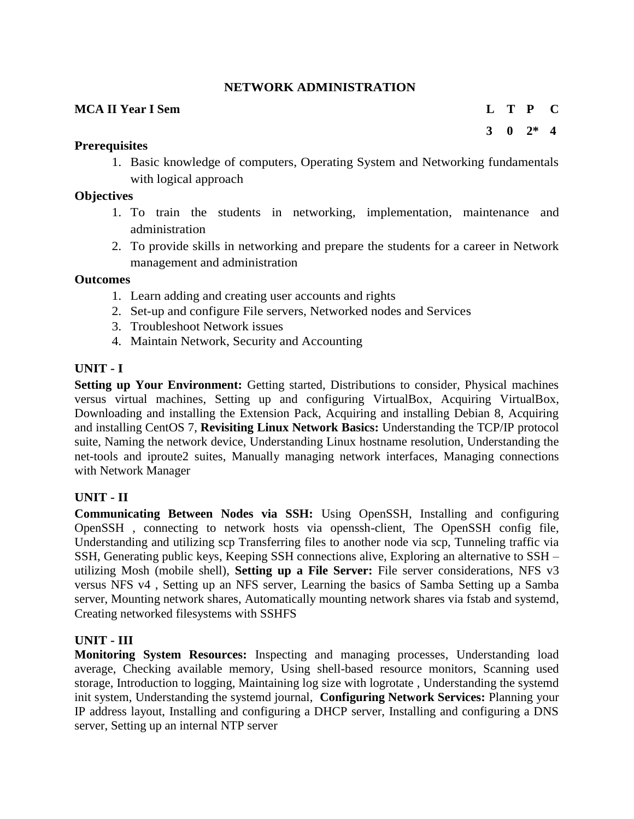## **NETWORK ADMINISTRATION**

## **MCA II Year I Sem L T P C**

**3 0 2\* 4**

#### **Prerequisites**

1. Basic knowledge of computers, Operating System and Networking fundamentals with logical approach

#### **Objectives**

- 1. To train the students in networking, implementation, maintenance and administration
- 2. To provide skills in networking and prepare the students for a career in Network management and administration

#### **Outcomes**

- 1. Learn adding and creating user accounts and rights
- 2. Set-up and configure File servers, Networked nodes and Services
- 3. Troubleshoot Network issues
- 4. Maintain Network, Security and Accounting

## **UNIT - I**

**Setting up Your Environment:** Getting started, Distributions to consider, Physical machines versus virtual machines, Setting up and configuring VirtualBox, Acquiring VirtualBox, Downloading and installing the Extension Pack, Acquiring and installing Debian 8, Acquiring and installing CentOS 7, **Revisiting Linux Network Basics:** Understanding the TCP/IP protocol suite, Naming the network device, Understanding Linux hostname resolution, Understanding the net-tools and iproute2 suites, [Manually managing network interfaces,](https://learning.oreilly.com/library/view/mastering-linux-network/9781784399597/ch02s05.html) [Managing connections](https://learning.oreilly.com/library/view/mastering-linux-network/9781784399597/ch02s06.html)  [with Network Manager](https://learning.oreilly.com/library/view/mastering-linux-network/9781784399597/ch02s06.html)

#### **UNIT - II**

**Communicating Between Nodes via SSH:** [Using OpenSSH,](https://learning.oreilly.com/library/view/mastering-linux-network/9781784399597/ch03.html#ch03lvl1sec22) Installing and configuring OpenSSH , connecting to network hosts via openssh-client, The OpenSSH config file, Understanding and utilizing scp Transferring files to another node via scp, Tunneling traffic via SSH, [Generating public keys,](https://learning.oreilly.com/library/view/mastering-linux-network/9781784399597/ch03s05.html) [Keeping SSH connections](https://learning.oreilly.com/library/view/mastering-linux-network/9781784399597/ch03s06.html) alive, [Exploring an alternative to SSH –](https://learning.oreilly.com/library/view/mastering-linux-network/9781784399597/ch03s07.html) [utilizing Mosh \(mobile shell\),](https://learning.oreilly.com/library/view/mastering-linux-network/9781784399597/ch03s07.html) **Setting up a File Server:** [File server considerations,](https://learning.oreilly.com/library/view/mastering-linux-network/9781784399597/ch04.html#ch04lvl1sec30) [NFS v3](https://learning.oreilly.com/library/view/mastering-linux-network/9781784399597/ch04s02.html)  [versus NFS v4](https://learning.oreilly.com/library/view/mastering-linux-network/9781784399597/ch04s02.html) , [Setting up an NFS server,](https://learning.oreilly.com/library/view/mastering-linux-network/9781784399597/ch04s02.html#ch04lvl2sec13) [Learning the basics of Samba](https://learning.oreilly.com/library/view/mastering-linux-network/9781784399597/ch04s03.html) [Setting up a Samba](https://learning.oreilly.com/library/view/mastering-linux-network/9781784399597/ch04s03.html#ch04lvl2sec14)  [server,](https://learning.oreilly.com/library/view/mastering-linux-network/9781784399597/ch04s03.html#ch04lvl2sec14) [Mounting network shares,](https://learning.oreilly.com/library/view/mastering-linux-network/9781784399597/ch04s04.html) [Automatically mounting network shares via fstab and systemd,](https://learning.oreilly.com/library/view/mastering-linux-network/9781784399597/ch04s05.html) [Creating networked filesystems with SSHFS](https://learning.oreilly.com/library/view/mastering-linux-network/9781784399597/ch04s06.html)

## **UNIT - III**

**[Monitoring System Resources:](https://learning.oreilly.com/library/view/mastering-linux-network/9781784399597/ch05.html)** [Inspecting and managing processes,](https://learning.oreilly.com/library/view/mastering-linux-network/9781784399597/ch05.html#ch05lvl1sec37) [Understanding load](https://learning.oreilly.com/library/view/mastering-linux-network/9781784399597/ch05s02.html)  [average,](https://learning.oreilly.com/library/view/mastering-linux-network/9781784399597/ch05s02.html) [Checking available memory,](https://learning.oreilly.com/library/view/mastering-linux-network/9781784399597/ch05s03.html) [Using shell-based resource monitors,](https://learning.oreilly.com/library/view/mastering-linux-network/9781784399597/ch05s04.html) [Scanning used](https://learning.oreilly.com/library/view/mastering-linux-network/9781784399597/ch05s05.html)  [storage,](https://learning.oreilly.com/library/view/mastering-linux-network/9781784399597/ch05s05.html) [Introduction to logging,](https://learning.oreilly.com/library/view/mastering-linux-network/9781784399597/ch05s06.html) [Maintaining log size with logrotate](https://learning.oreilly.com/library/view/mastering-linux-network/9781784399597/ch05s07.html) , [Understanding the systemd](https://learning.oreilly.com/library/view/mastering-linux-network/9781784399597/ch05s08.html)  [init system,](https://learning.oreilly.com/library/view/mastering-linux-network/9781784399597/ch05s08.html) [Understanding the systemd journal,](https://learning.oreilly.com/library/view/mastering-linux-network/9781784399597/ch05s09.html) **Configuring Network Services:** Planning your IP address layout, Installing and configuring a DHCP server, Installing and configuring a DNS server, Setting up an internal NTP server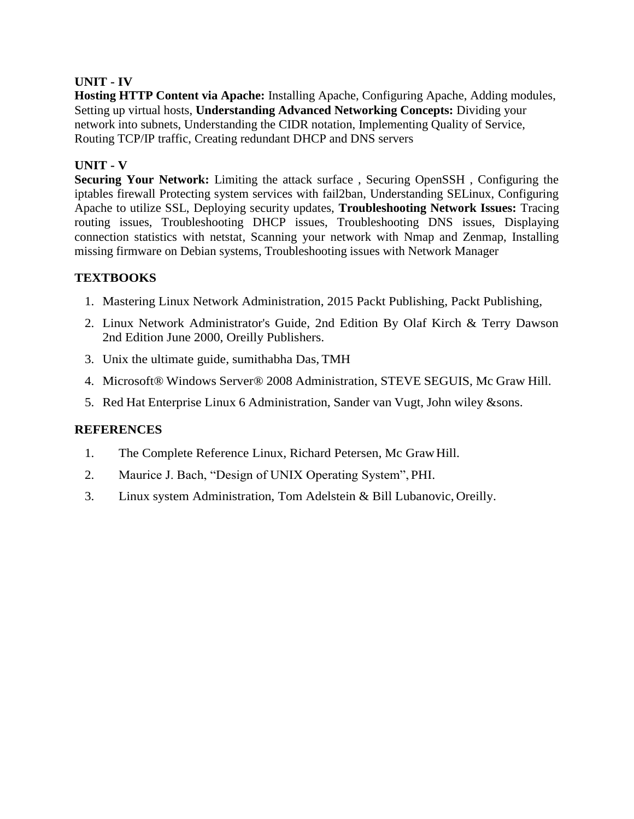## **UNIT - IV**

**Hosting HTTP Content via Apache:** Installing Apache, Configuring Apache, [Adding modules,](https://learning.oreilly.com/library/view/mastering-linux-network/9781784399597/ch07s03.html) Setting up virtual hosts, **Understanding Advanced Networking Concepts:** Dividing your network into subnets, Understanding the CIDR notation, Implementing Quality of Service, Routing TCP/IP traffic, Creating redundant DHCP and DNS servers

## **UNIT - V**

**Securing Your Network:** Limiting the attack surface , Securing OpenSSH , Configuring the iptables firewall Protecting system services with fail2ban, Understanding SELinux, Configuring Apache to utilize SSL, Deploying security updates, **Troubleshooting Network Issues:** Tracing routing issues, Troubleshooting DHCP issues, Troubleshooting DNS issues, [Displaying](https://learning.oreilly.com/library/view/mastering-linux-network/9781784399597/ch10s04.html)  [connection statistics with netstat,](https://learning.oreilly.com/library/view/mastering-linux-network/9781784399597/ch10s04.html) Scanning your network with Nmap and Zenmap, Installing missing firmware on Debian systems, Troubleshooting issues with Network Manager

## **TEXTBOOKS**

- 1. Mastering Linux Network Administration, 2015 Packt Publishing, Packt Publishing,
- 2. Linux Network Administrator's Guide, 2nd Edition By Olaf Kirch & Terry Dawson 2nd Edition June 2000, Oreilly Publishers.
- 3. Unix the ultimate guide, sumithabha Das, TMH
- 4. Microsoft® Windows Server® 2008 Administration, STEVE SEGUIS, Mc Graw Hill.
- 5. Red Hat Enterprise Linux 6 Administration, Sander van Vugt, John wiley &sons.

- 1. The Complete Reference Linux, Richard Petersen, Mc GrawHill.
- 2. Maurice J. Bach, "Design of UNIX Operating System", PHI.
- 3. Linux system Administration, Tom Adelstein & Bill Lubanovic, Oreilly.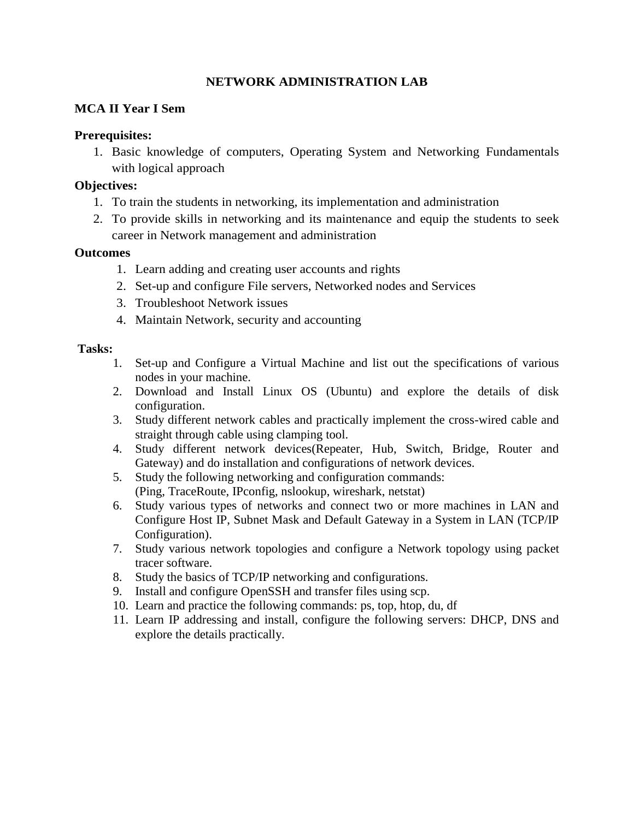## **NETWORK ADMINISTRATION LAB**

## **MCA II Year I Sem**

## **Prerequisites:**

1. Basic knowledge of computers, Operating System and Networking Fundamentals with logical approach

## **Objectives:**

- 1. To train the students in networking, its implementation and administration
- 2. To provide skills in networking and its maintenance and equip the students to seek career in Network management and administration

## **Outcomes**

- 1. Learn adding and creating user accounts and rights
- 2. Set-up and configure File servers, Networked nodes and Services
- 3. Troubleshoot Network issues
- 4. Maintain Network, security and accounting

## **Tasks:**

- 1. Set-up and Configure a Virtual Machine and list out the specifications of various nodes in your machine.
- 2. Download and Install Linux OS (Ubuntu) and explore the details of disk configuration.
- 3. Study different network cables and practically implement the cross-wired cable and straight through cable using clamping tool.
- 4. Study different network devices(Repeater, Hub, Switch, Bridge, Router and Gateway) and do installation and configurations of network devices.
- 5. Study the following networking and configuration commands: (Ping, TraceRoute, IPconfig, nslookup, wireshark, netstat)
- 6. Study various types of networks and connect two or more machines in LAN and Configure Host IP, Subnet Mask and Default Gateway in a System in LAN (TCP/IP Configuration).
- 7. Study various network topologies and configure a Network topology using packet tracer software.
- 8. Study the basics of TCP/IP networking and configurations.
- 9. Install and configure OpenSSH and transfer files using scp.
- 10. Learn and practice the following commands: ps, top, htop, du, df
- 11. Learn IP addressing and install, configure the following servers: DHCP, DNS and explore the details practically.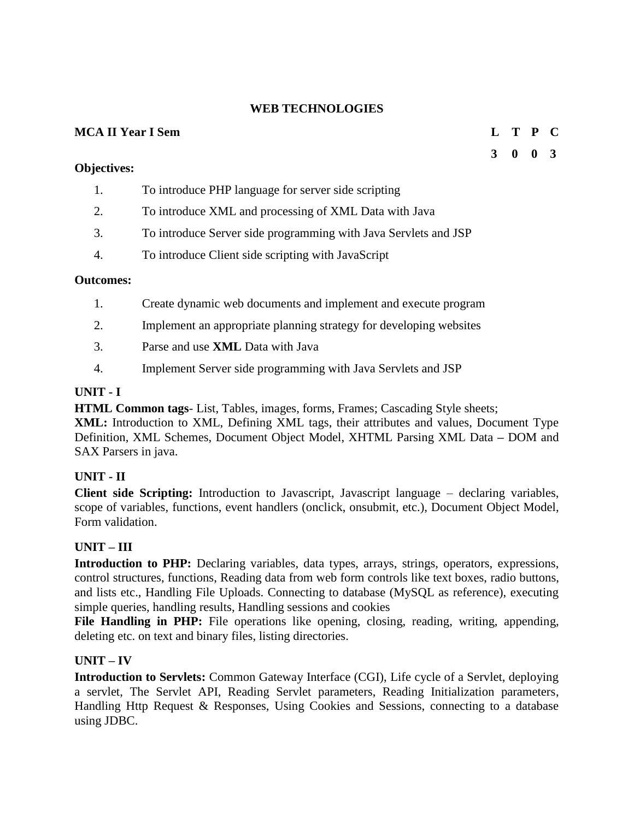## **WEB TECHNOLOGIES**

## **MCA II Year I Sem L T P C**

#### **Objectives:**

- 1. To introduce PHP language for server side scripting
- 2. To introduce XML and processing of XML Data with Java
- 3. To introduce Server side programming with Java Servlets and JSP
- 4. To introduce Client side scripting with JavaScript

#### **Outcomes:**

- 1. Create dynamic web documents and implement and execute program
- 2. Implement an appropriate planning strategy for developing websites
- 3. Parse and use **XML** Data with Java
- 4. Implement Server side programming with Java Servlets and JSP

## **UNIT - I**

**HTML Common tags**- List, Tables, images, forms, Frames; Cascading Style sheets;

**XML:** Introduction to XML, Defining XML tags, their attributes and values, Document Type Definition, XML Schemes, Document Object Model, XHTML Parsing XML Data **–** DOM and SAX Parsers in java.

## **UNIT - II**

**Client side Scripting:** Introduction to Javascript, Javascript language – declaring variables, scope of variables, functions, event handlers (onclick, onsubmit, etc.), Document Object Model, Form validation.

## **UNIT – III**

Introduction to PHP: Declaring variables, data types, arrays, strings, operators, expressions, control structures, functions, Reading data from web form controls like text boxes, radio buttons, and lists etc., Handling File Uploads. Connecting to database (MySQL as reference), executing simple queries, handling results, Handling sessions and cookies

File Handling in PHP: File operations like opening, closing, reading, writing, appending, deleting etc. on text and binary files, listing directories.

## **UNIT – IV**

**Introduction to Servlets:** Common Gateway Interface (CGI), Life cycle of a Servlet, deploying a servlet, The Servlet API, Reading Servlet parameters, Reading Initialization parameters, Handling Http Request & Responses, Using Cookies and Sessions, connecting to a database using JDBC.

## **3 0 0 3**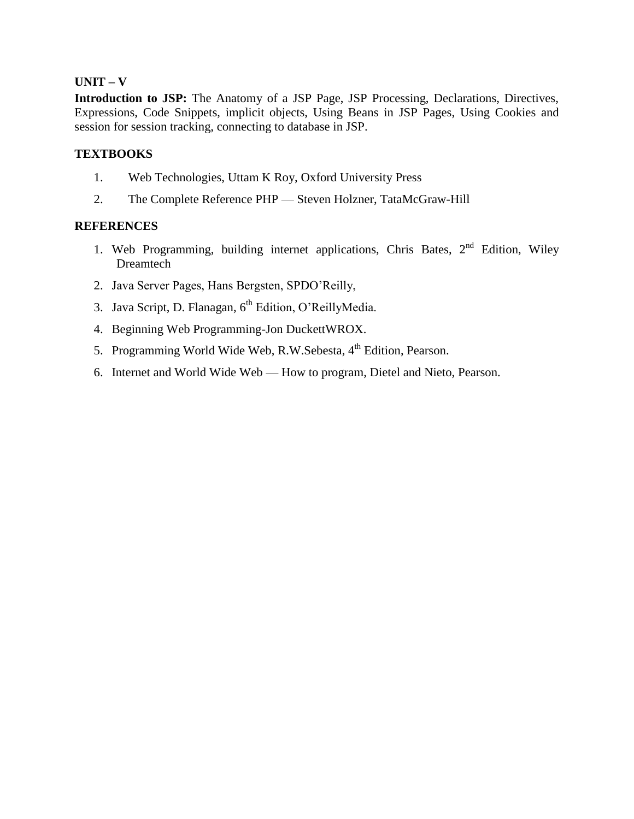#### **UNIT – V**

Introduction to JSP: The Anatomy of a JSP Page, JSP Processing, Declarations, Directives, Expressions, Code Snippets, implicit objects, Using Beans in JSP Pages, Using Cookies and session for session tracking, connecting to database in JSP.

#### **TEXTBOOKS**

- 1. Web Technologies, Uttam K Roy, Oxford University Press
- 2. The Complete Reference PHP Steven Holzner, TataMcGraw-Hill

- 1. Web Programming, building internet applications, Chris Bates,  $2<sup>nd</sup>$  Edition, Wiley Dreamtech
- 2. Java Server Pages, Hans Bergsten, SPDO'Reilly,
- 3. Java Script, D. Flanagan, 6<sup>th</sup> Edition, O'ReillyMedia.
- 4. Beginning Web Programming-Jon DuckettWROX.
- 5. Programming World Wide Web, R.W.Sebesta, 4<sup>th</sup> Edition, Pearson.
- 6. Internet and World Wide Web How to program, Dietel and Nieto, Pearson.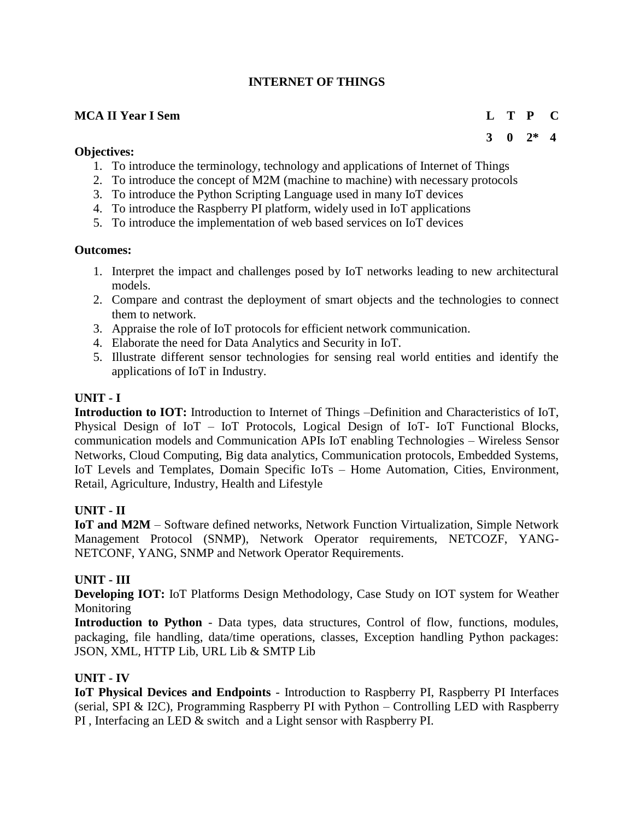## **INTERNET OF THINGS**

## **MCA II Year I Sem L T P C**

## **Objectives:**

- 1. To introduce the terminology, technology and applications of Internet of Things
- 2. To introduce the concept of M2M (machine to machine) with necessary protocols
- 3. To introduce the Python Scripting Language used in many IoT devices
- 4. To introduce the Raspberry PI platform, widely used in IoT applications
- 5. To introduce the implementation of web based services on IoT devices

## **Outcomes:**

- 1. Interpret the impact and challenges posed by IoT networks leading to new architectural models.
- 2. Compare and contrast the deployment of smart objects and the technologies to connect them to network.
- 3. Appraise the role of IoT protocols for efficient network communication.
- 4. Elaborate the need for Data Analytics and Security in IoT.
- 5. Illustrate different sensor technologies for sensing real world entities and identify the applications of IoT in Industry.

## **UNIT - I**

**Introduction to IOT:** Introduction to Internet of Things –Definition and Characteristics of IoT, Physical Design of IoT – IoT Protocols, Logical Design of IoT- IoT Functional Blocks, communication models and Communication APIs IoT enabling Technologies – Wireless Sensor Networks, Cloud Computing, Big data analytics, Communication protocols, Embedded Systems, IoT Levels and Templates, Domain Specific IoTs – Home Automation, Cities, Environment, Retail, Agriculture, Industry, Health and Lifestyle

## **UNIT - II**

**IoT and M2M** – Software defined networks, Network Function Virtualization, Simple Network Management Protocol (SNMP), Network Operator requirements, NETCOZF, YANG-NETCONF, YANG, SNMP and Network Operator Requirements.

## **UNIT - III**

**Developing IOT:** IoT Platforms Design Methodology, Case Study on IOT system for Weather Monitoring

**Introduction to Python** - Data types, data structures, Control of flow, functions, modules, packaging, file handling, data/time operations, classes, Exception handling Python packages: JSON, XML, HTTP Lib, URL Lib & SMTP Lib

## **UNIT - IV**

**IoT Physical Devices and Endpoints** - Introduction to Raspberry PI, Raspberry PI Interfaces (serial, SPI & I2C), Programming Raspberry PI with Python – Controlling LED with Raspberry PI , Interfacing an LED & switch and a Light sensor with Raspberry PI.

# **3 0 2\* 4**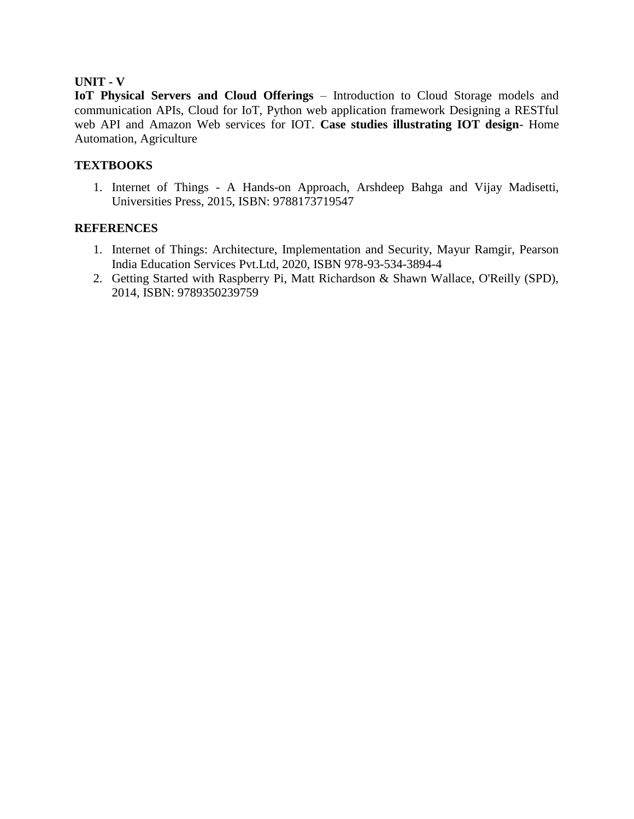## **UNIT - V**

**IoT Physical Servers and Cloud Offerings** – Introduction to Cloud Storage models and communication APIs, Cloud for IoT, Python web application framework Designing a RESTful web API and Amazon Web services for IOT. **Case studies illustrating IOT design**- Home Automation, Agriculture

## **TEXTBOOKS**

1. Internet of Things - A Hands-on Approach, Arshdeep Bahga and Vijay Madisetti, Universities Press, 2015, ISBN: 9788173719547

- 1. Internet of Things: Architecture, Implementation and Security, Mayur Ramgir, Pearson India Education Services Pvt.Ltd, 2020, ISBN 978-93-534-3894-4
- 2. Getting Started with Raspberry Pi, Matt Richardson & Shawn Wallace, O'Reilly (SPD), 2014, ISBN: 9789350239759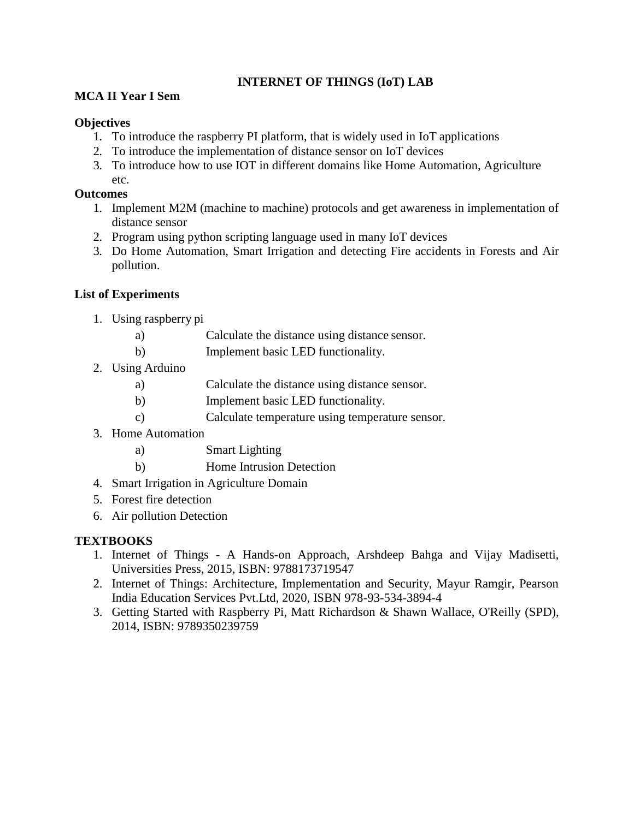## **INTERNET OF THINGS (IoT) LAB**

## **MCA II Year I Sem**

## **Objectives**

- 1. To introduce the raspberry PI platform, that is widely used in IoT applications
- 2. To introduce the implementation of distance sensor on IoT devices
- 3. To introduce how to use IOT in different domains like Home Automation, Agriculture etc.

## **Outcomes**

- 1. Implement M2M (machine to machine) protocols and get awareness in implementation of distance sensor
- 2. Program using python scripting language used in many IoT devices
- 3. Do Home Automation, Smart Irrigation and detecting Fire accidents in Forests and Air pollution.

## **List of Experiments**

- 1. Using raspberry pi
	- a) Calculate the distance using distance sensor.
	- b) Implement basic LED functionality.
- 2. Using Arduino
	- a) Calculate the distance using distance sensor.
	- b) Implement basic LED functionality.
	- c) Calculate temperature using temperature sensor.
- 3. Home Automation
	- a) Smart Lighting
	- b) Home Intrusion Detection
- 4. Smart Irrigation in Agriculture Domain
- 5. Forest fire detection
- 6. Air pollution Detection

## **TEXTBOOKS**

- 1. Internet of Things A Hands-on Approach, Arshdeep Bahga and Vijay Madisetti, Universities Press, 2015, ISBN: 9788173719547
- 2. Internet of Things: Architecture, Implementation and Security, Mayur Ramgir, Pearson India Education Services Pvt.Ltd, 2020, ISBN 978-93-534-3894-4
- 3. Getting Started with Raspberry Pi, Matt Richardson & Shawn Wallace, O'Reilly (SPD), 2014, ISBN: 9789350239759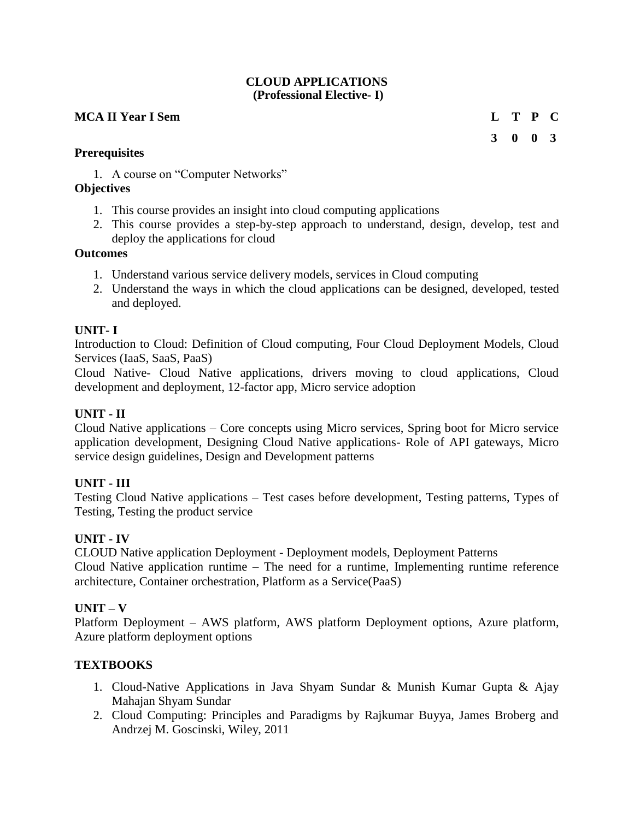## **CLOUD APPLICATIONS (Professional Elective- I)**

## **MCA II Year I Sem L T P C**

**3 0 0 3**

## **Prerequisites**

1. A course on "Computer Networks"

## **Objectives**

- 1. This course provides an insight into cloud computing applications
- 2. This course provides a step-by-step approach to understand, design, develop, test and deploy the applications for cloud

## **Outcomes**

- 1. Understand various service delivery models, services in Cloud computing
- 2. Understand the ways in which the cloud applications can be designed, developed, tested and deployed.

## **UNIT- I**

Introduction to Cloud: Definition of Cloud computing, Four Cloud Deployment Models, Cloud Services (IaaS, SaaS, PaaS)

Cloud Native- Cloud Native applications, drivers moving to cloud applications, Cloud development and deployment, 12-factor app, Micro service adoption

## **UNIT - II**

Cloud Native applications – Core concepts using Micro services, Spring boot for Micro service application development, Designing Cloud Native applications- Role of API gateways, Micro service design guidelines, Design and Development patterns

## **UNIT - III**

Testing Cloud Native applications – Test cases before development, Testing patterns, Types of Testing, Testing the product service

## **UNIT - IV**

CLOUD Native application Deployment - Deployment models, Deployment Patterns Cloud Native application runtime – The need for a runtime, Implementing runtime reference architecture, Container orchestration, Platform as a Service(PaaS)

## **UNIT – V**

Platform Deployment – AWS platform, AWS platform Deployment options, Azure platform, Azure platform deployment options

## **TEXTBOOKS**

- 1. Cloud-Native Applications in Java Shyam Sundar & Munish Kumar Gupta & Ajay Mahajan Shyam Sundar
- 2. Cloud Computing: Principles and Paradigms by Rajkumar Buyya, James Broberg and Andrzej M. Goscinski, Wiley, 2011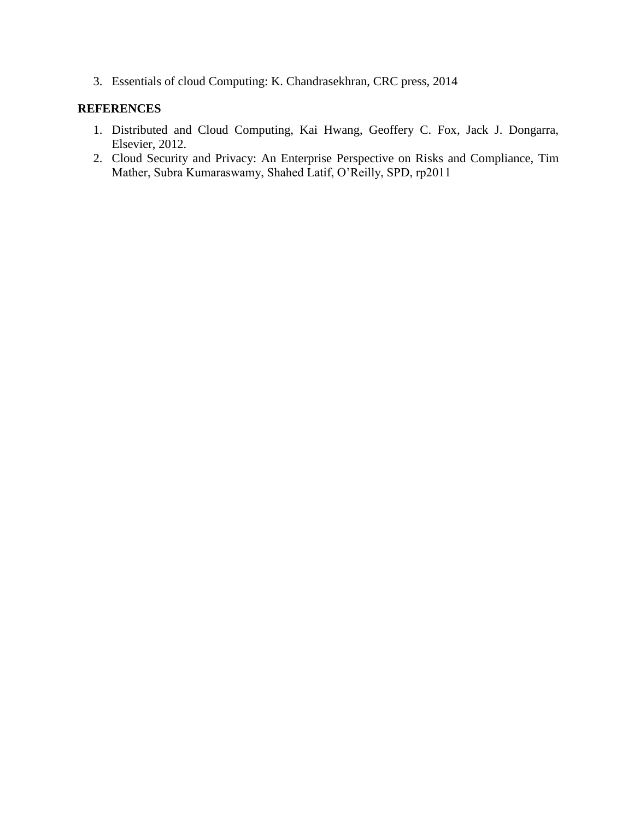3. Essentials of cloud Computing: K. Chandrasekhran, CRC press, 2014

- 1. Distributed and Cloud Computing, Kai Hwang, Geoffery C. Fox, Jack J. Dongarra, Elsevier, 2012.
- 2. Cloud Security and Privacy: An Enterprise Perspective on Risks and Compliance, Tim Mather, Subra Kumaraswamy, Shahed Latif, O'Reilly, SPD, rp2011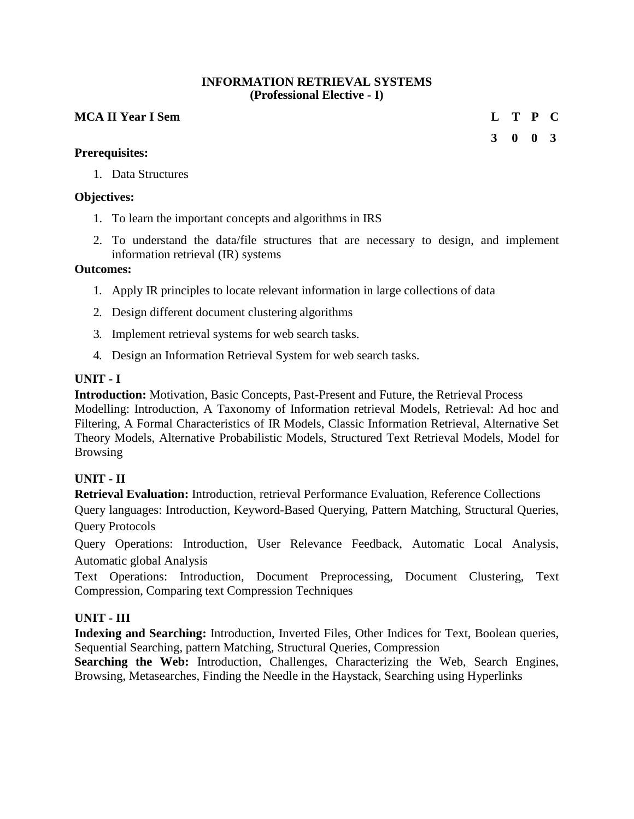#### **INFORMATION RETRIEVAL SYSTEMS (Professional Elective - I)**

## **MCA II Year I Sem L T P C**

## **Prerequisites:**

1. Data Structures

## **Objectives:**

- 1. To learn the important concepts and algorithms in IRS
- 2. To understand the data/file structures that are necessary to design, and implement information retrieval (IR) systems

#### **Outcomes:**

- 1. Apply IR principles to locate relevant information in large collections of data
- 2. Design different document clustering algorithms
- 3. Implement retrieval systems for web search tasks.
- 4. Design an Information Retrieval System for web search tasks.

#### **UNIT - I**

**Introduction:** Motivation, Basic Concepts, Past-Present and Future, the Retrieval Process Modelling: Introduction, A Taxonomy of Information retrieval Models, Retrieval: Ad hoc and Filtering, A Formal Characteristics of IR Models, Classic Information Retrieval, Alternative Set Theory Models, Alternative Probabilistic Models, Structured Text Retrieval Models, Model for Browsing

## **UNIT - II**

**Retrieval Evaluation:** Introduction, retrieval Performance Evaluation, Reference Collections

Query languages: Introduction, Keyword-Based Querying, Pattern Matching, Structural Queries, Query Protocols

Query Operations: Introduction, User Relevance Feedback, Automatic Local Analysis, Automatic global Analysis

Text Operations: Introduction, Document Preprocessing, Document Clustering, Text Compression, Comparing text Compression Techniques

## **UNIT - III**

**Indexing and Searching:** Introduction, Inverted Files, Other Indices for Text, Boolean queries, Sequential Searching, pattern Matching, Structural Queries, Compression

**Searching the Web:** Introduction, Challenges, Characterizing the Web, Search Engines, Browsing, Metasearches, Finding the Needle in the Haystack, Searching using Hyperlinks

**3 0 0 3**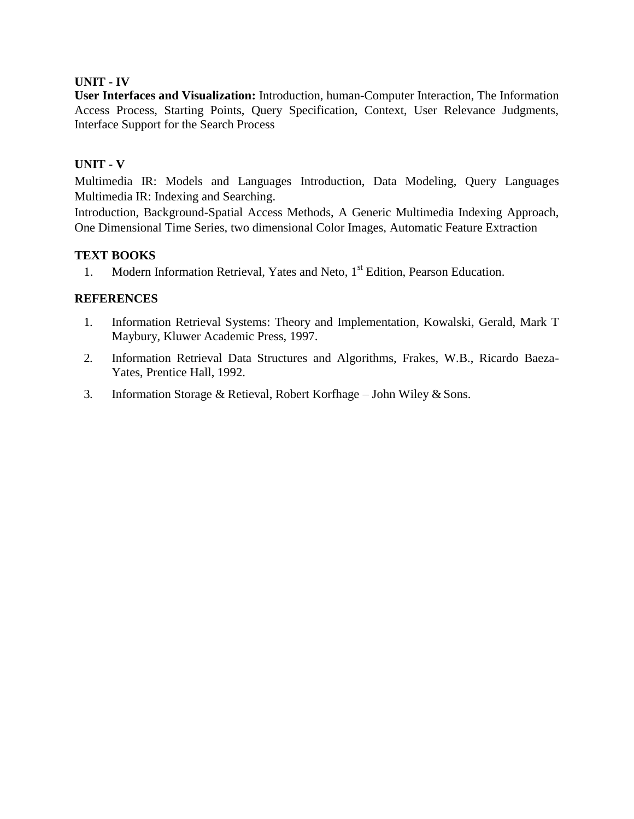## **UNIT - IV**

**User Interfaces and Visualization:** Introduction, human-Computer Interaction, The Information Access Process, Starting Points, Query Specification, Context, User Relevance Judgments, Interface Support for the Search Process

## **UNIT - V**

Multimedia IR: Models and Languages Introduction, Data Modeling, Query Languages Multimedia IR: Indexing and Searching.

Introduction, Background-Spatial Access Methods, A Generic Multimedia Indexing Approach, One Dimensional Time Series, two dimensional Color Images, Automatic Feature Extraction

#### **TEXT BOOKS**

1. Modern Information Retrieval, Yates and Neto, 1<sup>st</sup> Edition, Pearson Education.

- 1. Information Retrieval Systems: Theory and Implementation, Kowalski, Gerald, Mark T Maybury, Kluwer Academic Press, 1997.
- 2. Information Retrieval Data Structures and Algorithms, Frakes, W.B., Ricardo Baeza-Yates, Prentice Hall, 1992.
- 3. Information Storage & Retieval, Robert Korfhage John Wiley & Sons.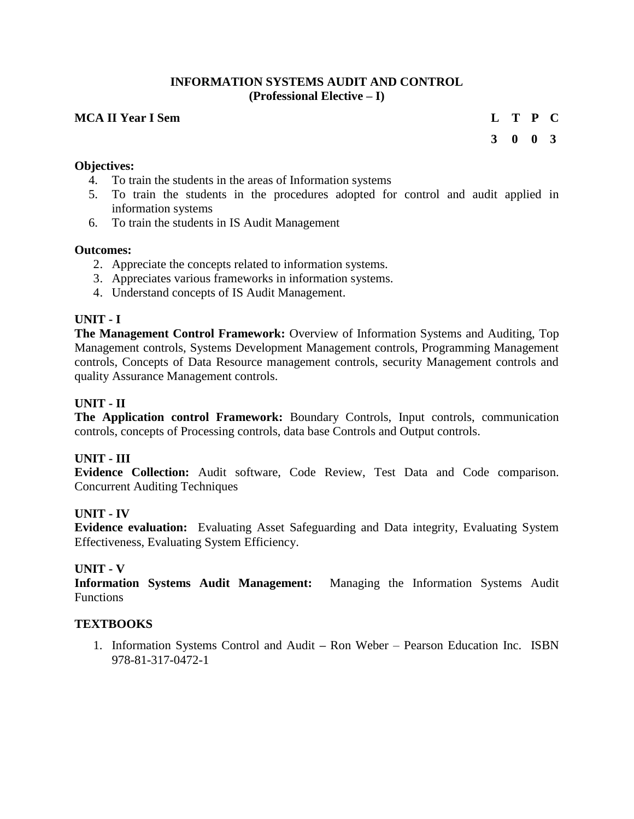#### **INFORMATION SYSTEMS AUDIT AND CONTROL (Professional Elective – I)**

## **MCA II Year I Sem L T P C**

**3 0 0 3**

#### **Objectives:**

- 4. To train the students in the areas of Information systems
- 5. To train the students in the procedures adopted for control and audit applied in information systems
- 6. To train the students in IS Audit Management

#### **Outcomes:**

- 2. Appreciate the concepts related to information systems.
- 3. Appreciates various frameworks in information systems.
- 4. Understand concepts of IS Audit Management.

## **UNIT - I**

**The Management Control Framework:** Overview of Information Systems and Auditing, Top Management controls, Systems Development Management controls, Programming Management controls, Concepts of Data Resource management controls, security Management controls and quality Assurance Management controls.

#### **UNIT - II**

**The Application control Framework:** Boundary Controls, Input controls, communication controls, concepts of Processing controls, data base Controls and Output controls.

#### **UNIT - III**

**Evidence Collection:** Audit software, Code Review, Test Data and Code comparison. Concurrent Auditing Techniques

#### **UNIT - IV**

**Evidence evaluation:** Evaluating Asset Safeguarding and Data integrity, Evaluating System Effectiveness, Evaluating System Efficiency.

#### **UNIT - V**

**Information Systems Audit Management:** Managing the Information Systems Audit Functions

#### **TEXTBOOKS**

1. Information Systems Control and Audit **–** Ron Weber – Pearson Education Inc. ISBN 978-81-317-0472-1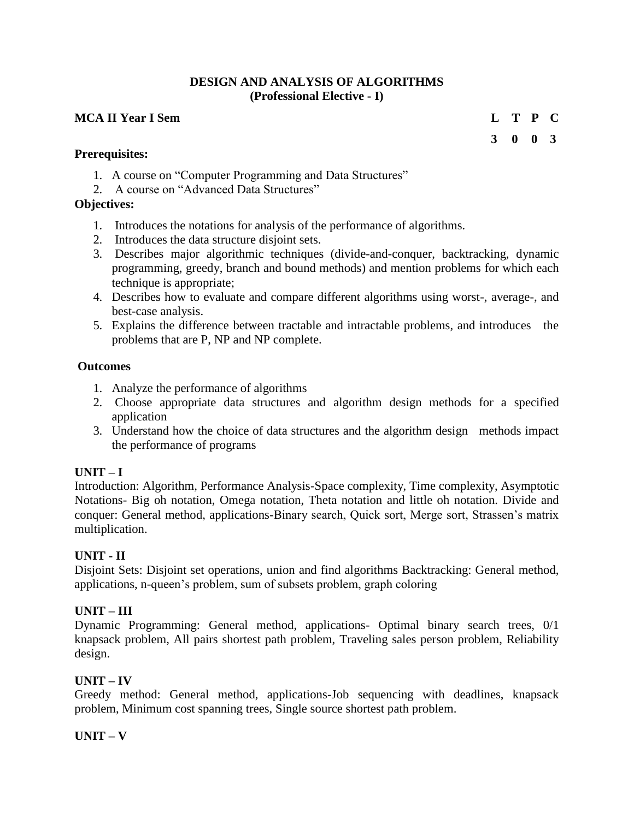## **DESIGN AND ANALYSIS OF ALGORITHMS (Professional Elective - I)**

## **MCA II Year I Sem L T P C**

## **Prerequisites:**

- 1. A course on "Computer Programming and Data Structures"
- 2. A course on "Advanced Data Structures"

## **Objectives:**

- 1. Introduces the notations for analysis of the performance of algorithms.
- 2. Introduces the data structure disjoint sets.
- 3. Describes major algorithmic techniques (divide-and-conquer, backtracking, dynamic programming, greedy, branch and bound methods) and mention problems for which each technique is appropriate;
- 4. Describes how to evaluate and compare different algorithms using worst-, average-, and best-case analysis.
- 5. Explains the difference between tractable and intractable problems, and introduces the problems that are P, NP and NP complete.

## **Outcomes**

- 1. Analyze the performance of algorithms
- 2. Choose appropriate data structures and algorithm design methods for a specified application
- 3. Understand how the choice of data structures and the algorithm design methods impact the performance of programs

## **UNIT – I**

Introduction: Algorithm, Performance Analysis-Space complexity, Time complexity, Asymptotic Notations- Big oh notation, Omega notation, Theta notation and little oh notation. Divide and conquer: General method, applications-Binary search, Quick sort, Merge sort, Strassen's matrix multiplication.

## **UNIT - II**

Disjoint Sets: Disjoint set operations, union and find algorithms Backtracking: General method, applications, n-queen's problem, sum of subsets problem, graph coloring

## **UNIT – III**

Dynamic Programming: General method, applications- Optimal binary search trees, 0/1 knapsack problem, All pairs shortest path problem, Traveling sales person problem, Reliability design.

#### **UNIT – IV**

Greedy method: General method, applications-Job sequencing with deadlines, knapsack problem, Minimum cost spanning trees, Single source shortest path problem.

#### **UNIT – V**

**3 0 0 3**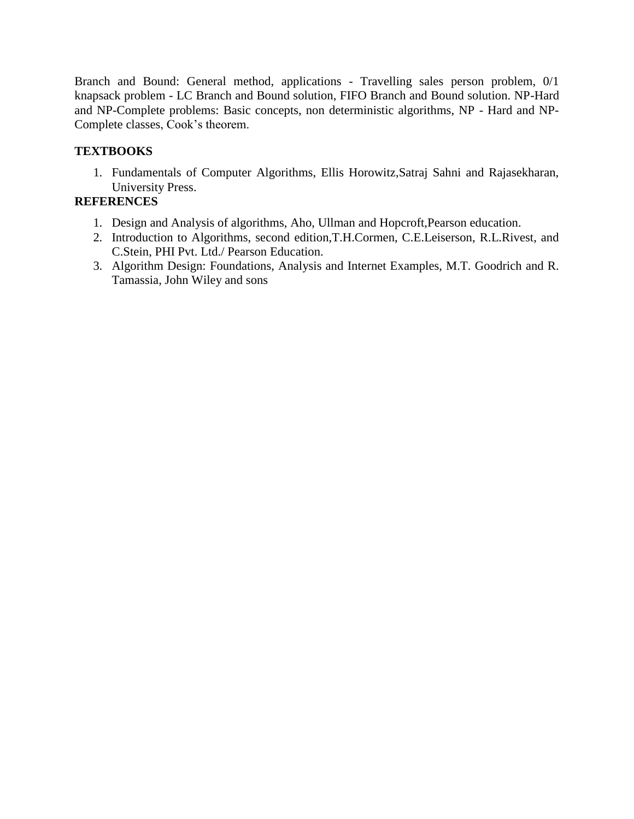Branch and Bound: General method, applications - Travelling sales person problem, 0/1 knapsack problem - LC Branch and Bound solution, FIFO Branch and Bound solution. NP-Hard and NP-Complete problems: Basic concepts, non deterministic algorithms, NP - Hard and NP-Complete classes, Cook's theorem.

## **TEXTBOOKS**

1. Fundamentals of Computer Algorithms, Ellis Horowitz,Satraj Sahni and Rajasekharan, University Press.

- 1. Design and Analysis of algorithms, Aho, Ullman and Hopcroft,Pearson education.
- 2. Introduction to Algorithms, second edition,T.H.Cormen, C.E.Leiserson, R.L.Rivest, and C.Stein, PHI Pvt. Ltd./ Pearson Education.
- 3. Algorithm Design: Foundations, Analysis and Internet Examples, M.T. Goodrich and R. Tamassia, John Wiley and sons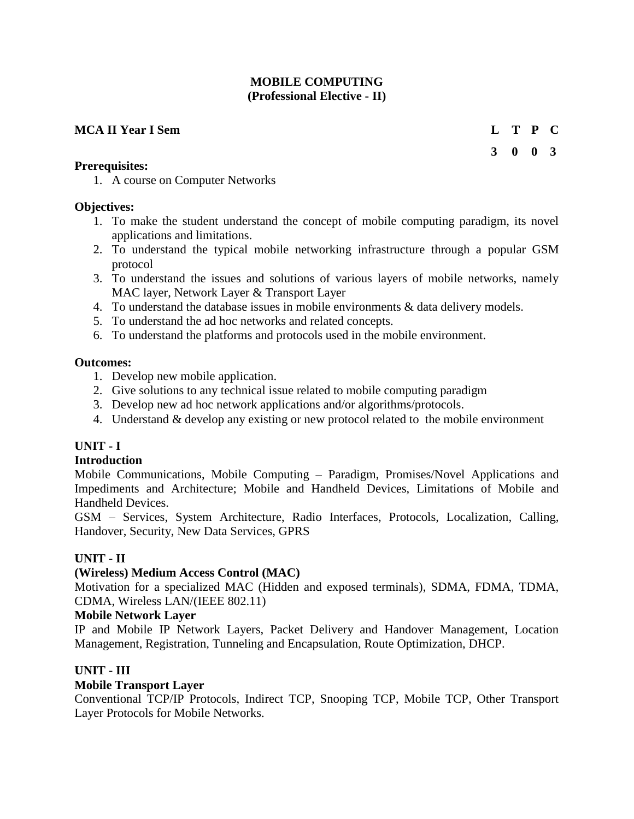## **MOBILE COMPUTING (Professional Elective - II)**

## **MCA II Year I Sem L T P C**

**Prerequisites:**

**3 0 0 3**

1. A course on Computer Networks

## **Objectives:**

- 1. To make the student understand the concept of mobile computing paradigm, its novel applications and limitations.
- 2. To understand the typical mobile networking infrastructure through a popular GSM protocol
- 3. To understand the issues and solutions of various layers of mobile networks, namely MAC layer, Network Layer & Transport Layer
- 4. To understand the database issues in mobile environments & data delivery models.
- 5. To understand the ad hoc networks and related concepts.
- 6. To understand the platforms and protocols used in the mobile environment.

#### **Outcomes:**

- 1. Develop new mobile application.
- 2. Give solutions to any technical issue related to mobile computing paradigm
- 3. Develop new ad hoc network applications and/or algorithms/protocols.
- 4. Understand & develop any existing or new protocol related to the mobile environment

## **UNIT - I**

#### **Introduction**

Mobile Communications, Mobile Computing – Paradigm, Promises/Novel Applications and Impediments and Architecture; Mobile and Handheld Devices, Limitations of Mobile and Handheld Devices.

GSM – Services, System Architecture, Radio Interfaces, Protocols, Localization, Calling, Handover, Security, New Data Services, GPRS

## **UNIT - II**

## **(Wireless) Medium Access Control (MAC)**

Motivation for a specialized MAC (Hidden and exposed terminals), SDMA, FDMA, TDMA, CDMA, Wireless LAN/(IEEE 802.11)

#### **Mobile Network Layer**

IP and Mobile IP Network Layers, Packet Delivery and Handover Management, Location Management, Registration, Tunneling and Encapsulation, Route Optimization, DHCP.

## **UNIT - III**

## **Mobile Transport Layer**

Conventional TCP/IP Protocols, Indirect TCP, Snooping TCP, Mobile TCP, Other Transport Layer Protocols for Mobile Networks.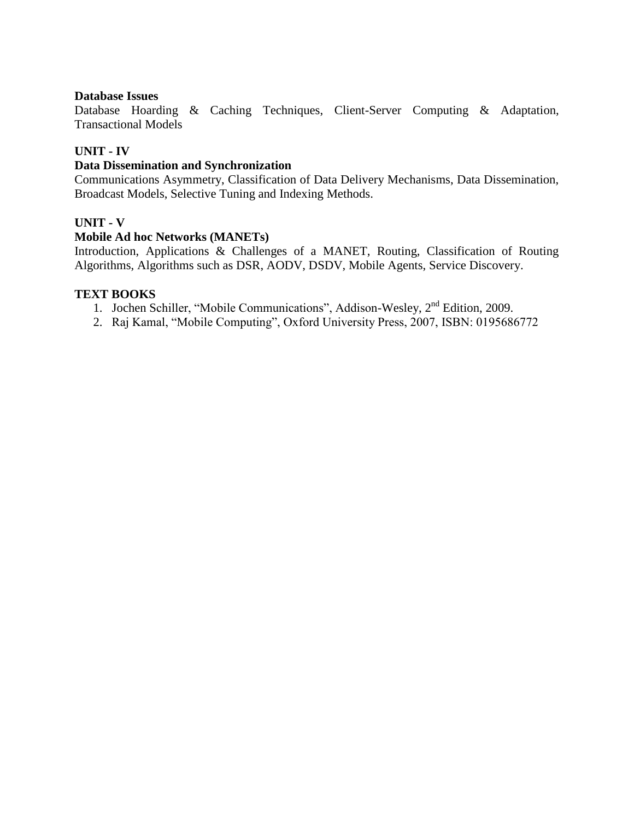#### **Database Issues**

Database Hoarding & Caching Techniques, Client-Server Computing & Adaptation, Transactional Models

#### **UNIT - IV**

#### **Data Dissemination and Synchronization**

Communications Asymmetry, Classification of Data Delivery Mechanisms, Data Dissemination, Broadcast Models, Selective Tuning and Indexing Methods.

#### **UNIT - V**

#### **Mobile Ad hoc Networks (MANETs)**

Introduction, Applications & Challenges of a MANET, Routing, Classification of Routing Algorithms, Algorithms such as DSR, AODV, DSDV, Mobile Agents, Service Discovery.

#### **TEXT BOOKS**

- 1. Jochen Schiller, "Mobile Communications", Addison-Wesley, 2<sup>nd</sup> Edition, 2009.
- 2. Raj Kamal, "Mobile Computing", Oxford University Press, 2007, ISBN: 0195686772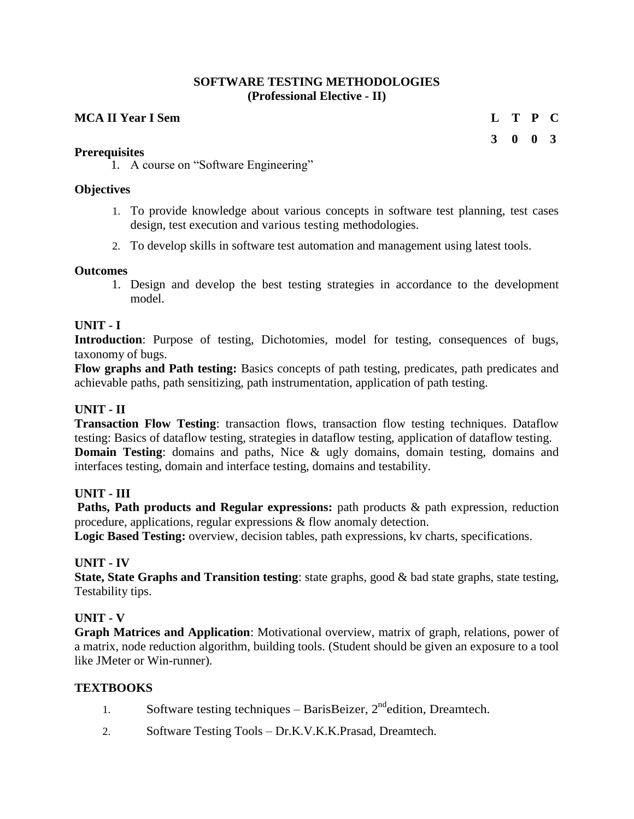#### **SOFTWARE TESTING METHODOLOGIES (Professional Elective - II)**

## **MCA II Year I Sem L T P C**

#### **Prerequisites**

**3 0 0 3**

1. A course on "Software Engineering"

#### **Objectives**

- 1. To provide knowledge about various concepts in software test planning, test cases design, test execution and various testing methodologies.
- 2. To develop skills in software test automation and management using latest tools.

#### **Outcomes**

1. Design and develop the best testing strategies in accordance to the development model.

## **UNIT - I**

**Introduction**: Purpose of testing, Dichotomies, model for testing, consequences of bugs, taxonomy of bugs.

**Flow graphs and Path testing:** Basics concepts of path testing, predicates, path predicates and achievable paths, path sensitizing, path instrumentation, application of path testing.

## **UNIT - II**

**Transaction Flow Testing**: transaction flows, transaction flow testing techniques. Dataflow testing: Basics of dataflow testing, strategies in dataflow testing, application of dataflow testing. **Domain Testing**: domains and paths, Nice & ugly domains, domain testing, domains and interfaces testing, domain and interface testing, domains and testability.

#### **UNIT - III**

Paths, Path products and Regular expressions: path products & path expression, reduction procedure, applications, regular expressions & flow anomaly detection.

**Logic Based Testing:** overview, decision tables, path expressions, kv charts, specifications.

#### **UNIT - IV**

**State, State Graphs and Transition testing**: state graphs, good & bad state graphs, state testing, Testability tips.

## **UNIT - V**

**Graph Matrices and Application**: Motivational overview, matrix of graph, relations, power of a matrix, node reduction algorithm, building tools. (Student should be given an exposure to a tool like JMeter or Win-runner).

#### **TEXTBOOKS**

- 1. Software testing techniques BarisBeizer,  $2<sup>nd</sup>$ edition, Dreamtech.
- 2. Software Testing Tools Dr.K.V.K.K.Prasad, Dreamtech.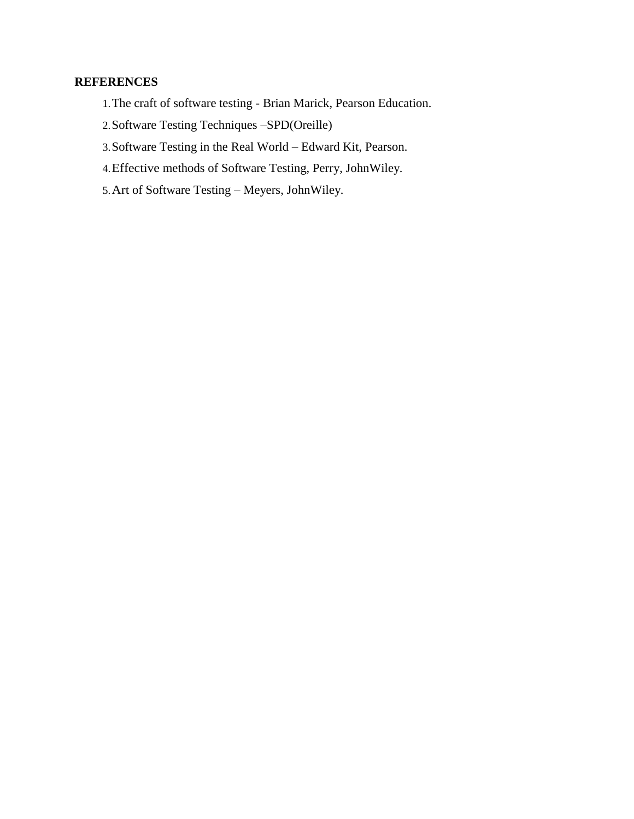- 1.The craft of software testing Brian Marick, Pearson Education.
- 2.Software Testing Techniques –SPD(Oreille)
- 3.Software Testing in the Real World Edward Kit, Pearson.
- 4.Effective methods of Software Testing, Perry, JohnWiley.
- 5.Art of Software Testing Meyers, JohnWiley.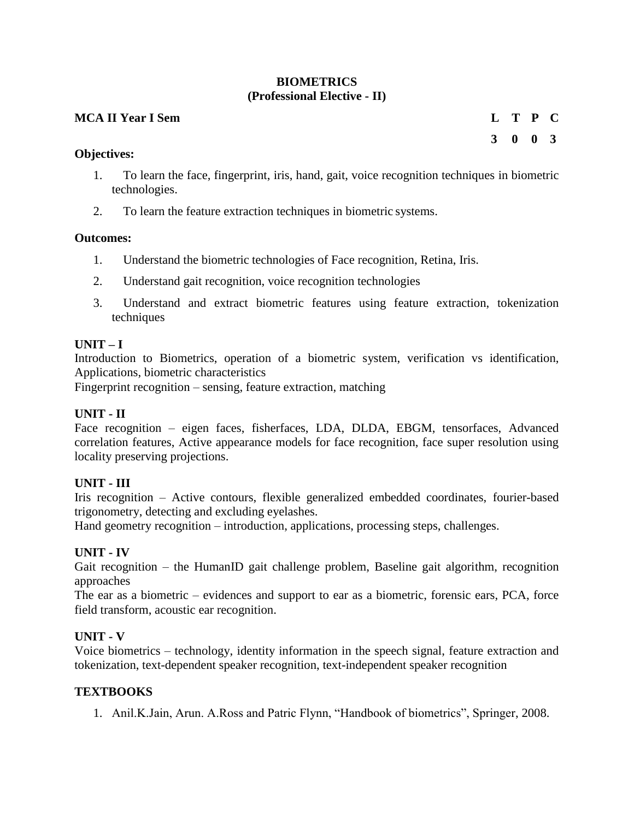## **BIOMETRICS (Professional Elective - II)**

#### **MCA II Year I Sem L T P C**

**Objectives:**

1. To learn the face, fingerprint, iris, hand, gait, voice recognition techniques in biometric technologies.

**3 0 0 3**

2. To learn the feature extraction techniques in biometric systems.

#### **Outcomes:**

- 1. Understand the biometric technologies of Face recognition, Retina, Iris.
- 2. Understand gait recognition, voice recognition technologies
- 3. Understand and extract biometric features using feature extraction, tokenization techniques

#### **UNIT – I**

Introduction to Biometrics, operation of a biometric system, verification vs identification, Applications, biometric characteristics

Fingerprint recognition – sensing, feature extraction, matching

#### **UNIT - II**

Face recognition – eigen faces, fisherfaces, LDA, DLDA, EBGM, tensorfaces, Advanced correlation features, Active appearance models for face recognition, face super resolution using locality preserving projections.

#### **UNIT - III**

Iris recognition – Active contours, flexible generalized embedded coordinates, fourier-based trigonometry, detecting and excluding eyelashes.

Hand geometry recognition – introduction, applications, processing steps, challenges.

#### **UNIT - IV**

Gait recognition – the HumanID gait challenge problem, Baseline gait algorithm, recognition approaches

The ear as a biometric – evidences and support to ear as a biometric, forensic ears, PCA, force field transform, acoustic ear recognition.

#### **UNIT - V**

Voice biometrics – technology, identity information in the speech signal, feature extraction and tokenization, text-dependent speaker recognition, text-independent speaker recognition

#### **TEXTBOOKS**

1. Anil.K.Jain, Arun. A.Ross and Patric Flynn, "Handbook of biometrics", Springer, 2008.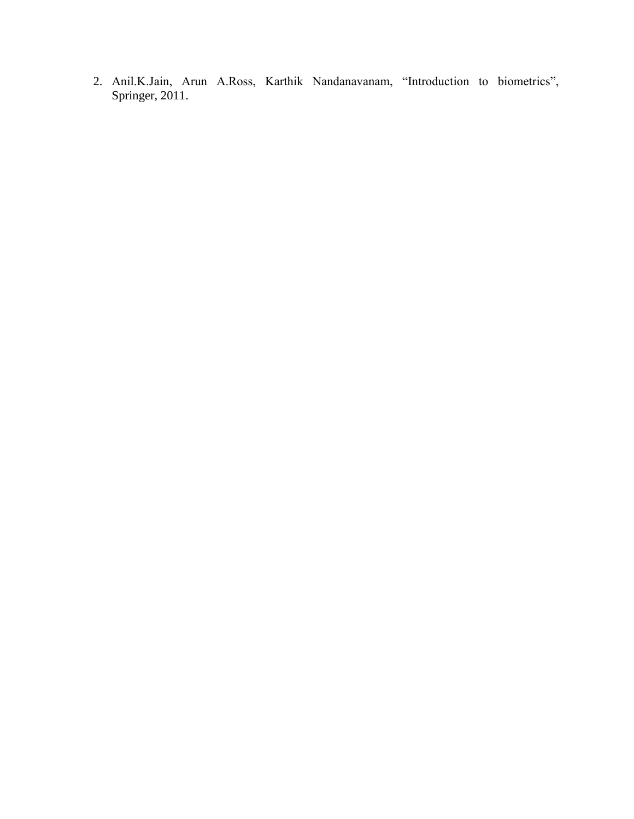2. Anil.K.Jain, Arun A.Ross, Karthik Nandanavanam, "Introduction to biometrics", Springer, 2011.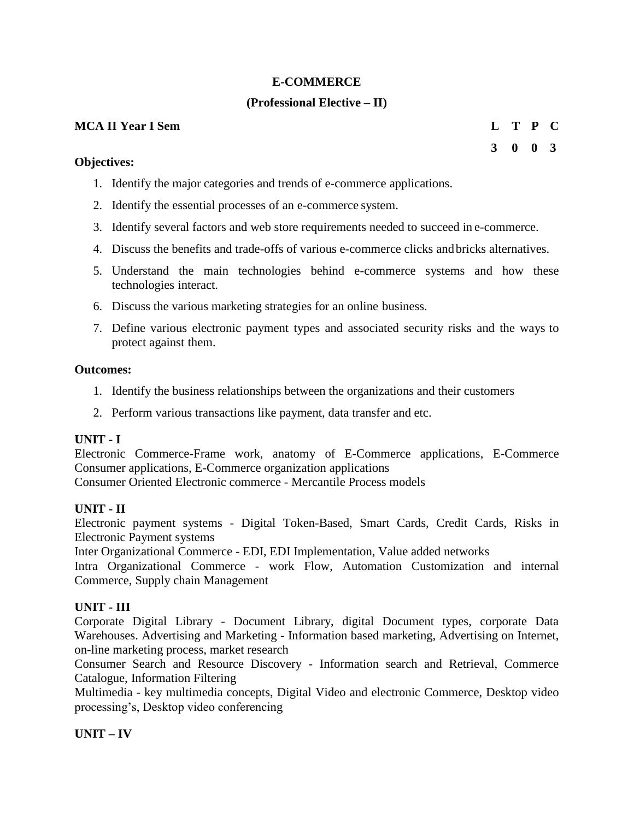## **E-COMMERCE**

## **(Professional Elective – II)**

#### **MCA II Year I Sem L T P C**

#### **Objectives:**

- 1. Identify the major categories and trends of e-commerce applications.
- 2. Identify the essential processes of an e-commerce system.
- 3. Identify several factors and web store requirements needed to succeed in e-commerce.
- 4. Discuss the benefits and trade-offs of various e-commerce clicks andbricks alternatives.
- 5. Understand the main technologies behind e-commerce systems and how these technologies interact.
- 6. Discuss the various marketing strategies for an online business.
- 7. Define various electronic payment types and associated security risks and the ways to protect against them.

#### **Outcomes:**

- 1. Identify the business relationships between the organizations and their customers
- 2. Perform various transactions like payment, data transfer and etc.

#### **UNIT - I**

Electronic Commerce-Frame work, anatomy of E-Commerce applications, E-Commerce Consumer applications, E-Commerce organization applications Consumer Oriented Electronic commerce - Mercantile Process models

#### **UNIT - II**

Electronic payment systems - Digital Token-Based, Smart Cards, Credit Cards, Risks in Electronic Payment systems

Inter Organizational Commerce - EDI, EDI Implementation, Value added networks

Intra Organizational Commerce - work Flow, Automation Customization and internal Commerce, Supply chain Management

#### **UNIT - III**

Corporate Digital Library - Document Library, digital Document types, corporate Data Warehouses. Advertising and Marketing - Information based marketing, Advertising on Internet, on-line marketing process, market research

Consumer Search and Resource Discovery - Information search and Retrieval, Commerce Catalogue, Information Filtering

Multimedia - key multimedia concepts, Digital Video and electronic Commerce, Desktop video processing's, Desktop video conferencing

#### **UNIT – IV**

## **3 0 0 3**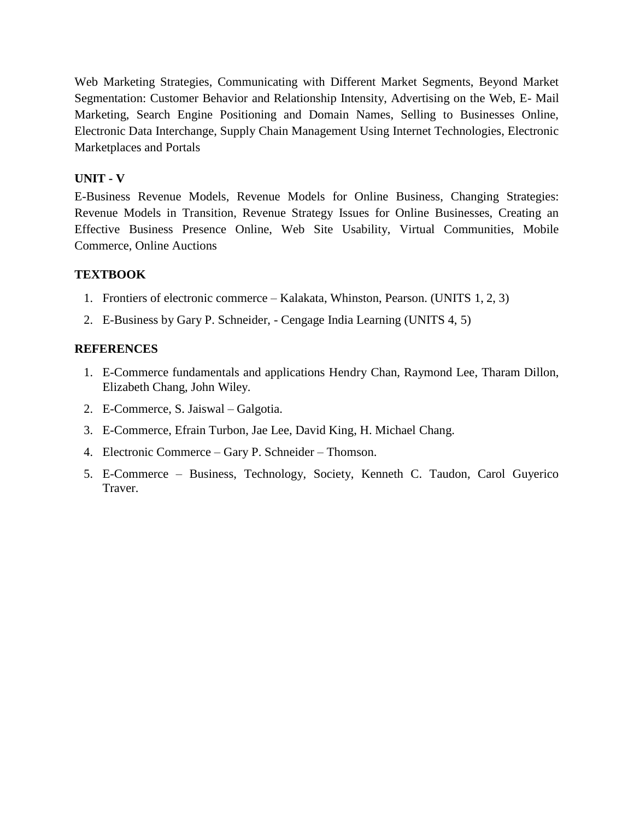Web Marketing Strategies, Communicating with Different Market Segments, Beyond Market Segmentation: Customer Behavior and Relationship Intensity, Advertising on the Web, E- Mail Marketing, Search Engine Positioning and Domain Names, Selling to Businesses Online, Electronic Data Interchange, Supply Chain Management Using Internet Technologies, Electronic Marketplaces and Portals

## **UNIT - V**

E-Business Revenue Models, Revenue Models for Online Business, Changing Strategies: Revenue Models in Transition, Revenue Strategy Issues for Online Businesses, Creating an Effective Business Presence Online, Web Site Usability, Virtual Communities, Mobile Commerce, Online Auctions

## **TEXTBOOK**

- 1. Frontiers of electronic commerce Kalakata, Whinston, Pearson. (UNITS 1, 2, 3)
- 2. E-Business by Gary P. Schneider, Cengage India Learning (UNITS 4, 5)

- 1. E-Commerce fundamentals and applications Hendry Chan, Raymond Lee, Tharam Dillon, Elizabeth Chang, John Wiley.
- 2. E-Commerce, S. Jaiswal Galgotia.
- 3. E-Commerce, Efrain Turbon, Jae Lee, David King, H. Michael Chang.
- 4. Electronic Commerce Gary P. Schneider Thomson.
- 5. E-Commerce Business, Technology, Society, Kenneth C. Taudon, Carol Guyerico Traver.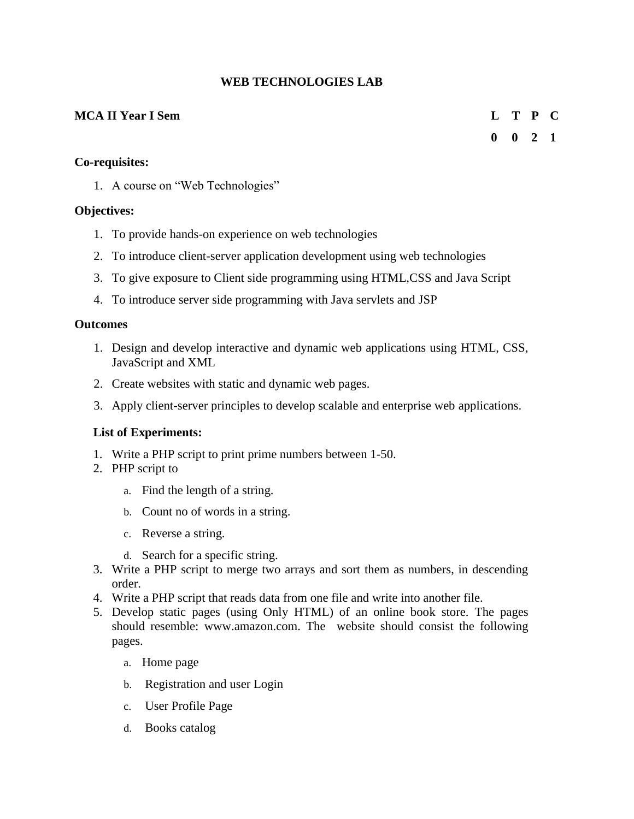## **WEB TECHNOLOGIES LAB**

## **MCA II Year I Sem L T P C**

## **0 0 2 1**

## **Co-requisites:**

1. A course on "Web Technologies"

## **Objectives:**

- 1. To provide hands-on experience on web technologies
- 2. To introduce client-server application development using web technologies
- 3. To give exposure to Client side programming using HTML,CSS and Java Script
- 4. To introduce server side programming with Java servlets and JSP

#### **Outcomes**

- 1. Design and develop interactive and dynamic web applications using HTML, CSS, JavaScript and XML
- 2. Create websites with static and dynamic web pages.
- 3. Apply client-server principles to develop scalable and enterprise web applications.

#### **List of Experiments:**

- 1. Write a PHP script to print prime numbers between 1-50.
- 2. PHP script to
	- a. Find the length of a string.
	- b. Count no of words in a string.
	- c. Reverse a string.
	- d. Search for a specific string.
- 3. Write a PHP script to merge two arrays and sort them as numbers, in descending order.
- 4. Write a PHP script that reads data from one file and write into another file.
- 5. Develop static pages (using Only HTML) of an online book store. The pages should resemble: www.amazon.com. The website should consist the following pages.
	- a. Home page
	- b. Registration and user Login
	- c. User Profile Page
	- d. Books catalog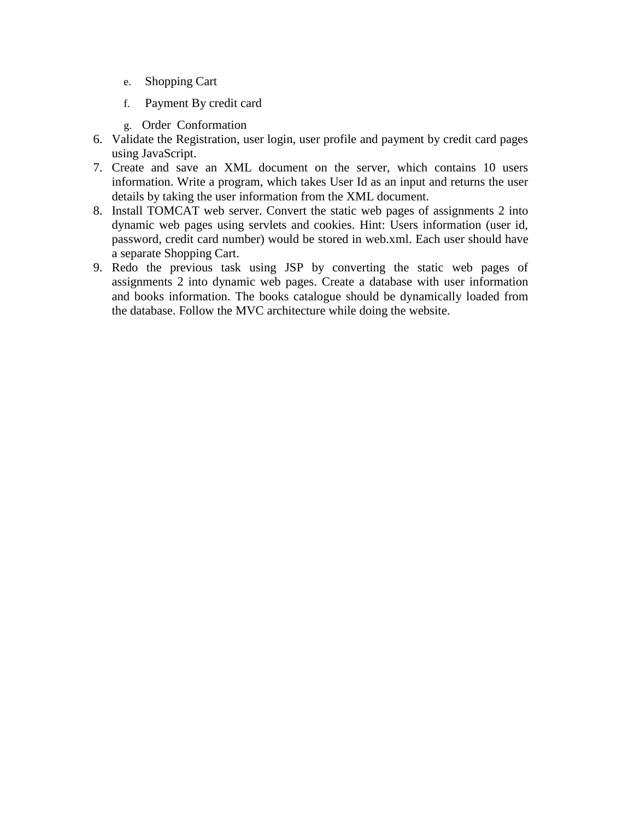- e. Shopping Cart
- f. Payment By credit card
- g. Order Conformation
- 6. Validate the Registration, user login, user profile and payment by credit card pages using JavaScript.
- 7. Create and save an XML document on the server, which contains 10 users information. Write a program, which takes User Id as an input and returns the user details by taking the user information from the XML document.
- 8. Install TOMCAT web server. Convert the static web pages of assignments 2 into dynamic web pages using servlets and cookies. Hint: Users information (user id, password, credit card number) would be stored in web.xml. Each user should have a separate Shopping Cart.
- 9. Redo the previous task using JSP by converting the static web pages of assignments 2 into dynamic web pages. Create a database with user information and books information. The books catalogue should be dynamically loaded from the database. Follow the MVC architecture while doing the website.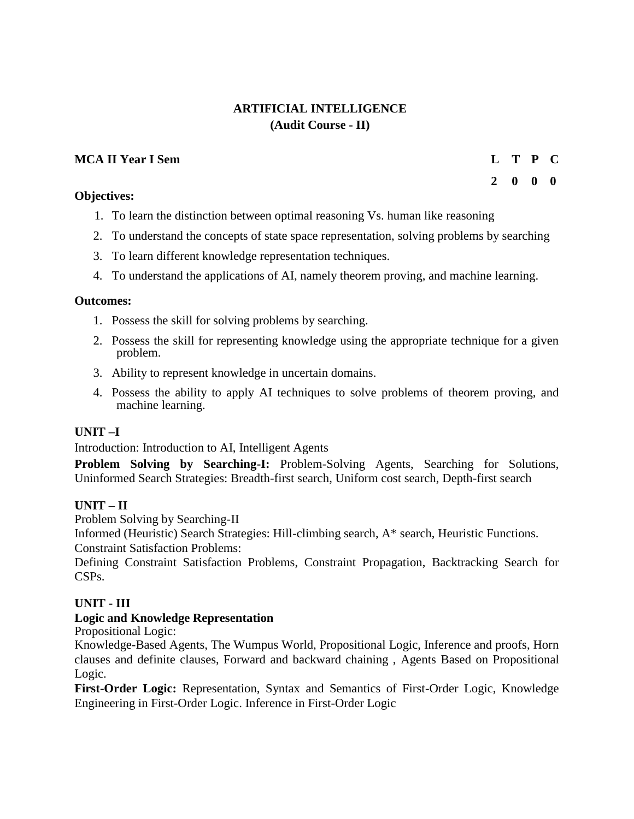## **ARTIFICIAL INTELLIGENCE (Audit Course - II)**

## **MCA II Year I Sem L T P C**

## **Objectives:**

- 1. To learn the distinction between optimal reasoning Vs. human like reasoning
- 2. To understand the concepts of state space representation, solving problems by searching
- 3. To learn different knowledge representation techniques.
- 4. To understand the applications of AI, namely theorem proving, and machine learning.

#### **Outcomes:**

- 1. Possess the skill for solving problems by searching.
- 2. Possess the skill for representing knowledge using the appropriate technique for a given problem.
- 3. Ability to represent knowledge in uncertain domains.
- 4. Possess the ability to apply AI techniques to solve problems of theorem proving, and machine learning.

#### **UNIT –I**

Introduction: Introduction to AI, Intelligent Agents

**Problem Solving by Searching-I:** Problem-Solving Agents, Searching for Solutions, Uninformed Search Strategies: Breadth-first search, Uniform cost search, Depth-first search

## **UNIT – II**

Problem Solving by Searching-II

Informed (Heuristic) Search Strategies: Hill-climbing search, A\* search, Heuristic Functions.

Constraint Satisfaction Problems:

Defining Constraint Satisfaction Problems, Constraint Propagation, Backtracking Search for CSPs.

## **UNIT - III**

## **Logic and Knowledge Representation**

Propositional Logic:

Knowledge-Based Agents, The Wumpus World, Propositional Logic, Inference and proofs, Horn clauses and definite clauses, Forward and backward chaining , Agents Based on Propositional Logic.

**First-Order Logic:** Representation, Syntax and Semantics of First-Order Logic, Knowledge Engineering in First-Order Logic. Inference in First-Order Logic

## **2 0 0 0**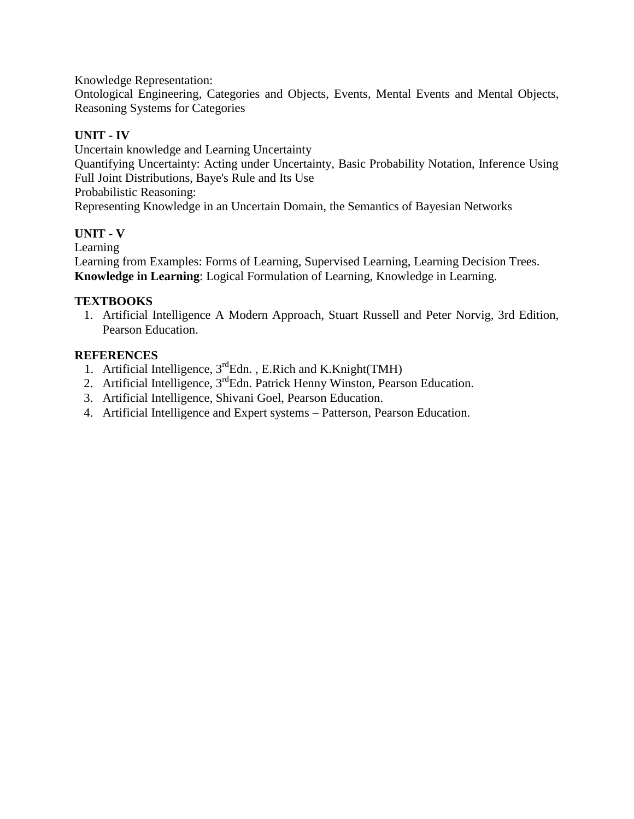Knowledge Representation:

Ontological Engineering, Categories and Objects, Events, Mental Events and Mental Objects, Reasoning Systems for Categories

## **UNIT - IV**

Uncertain knowledge and Learning Uncertainty Quantifying Uncertainty: Acting under Uncertainty, Basic Probability Notation, Inference Using Full Joint Distributions, Baye's Rule and Its Use Probabilistic Reasoning: Representing Knowledge in an Uncertain Domain, the Semantics of Bayesian Networks

## **UNIT - V**

Learning

Learning from Examples: Forms of Learning, Supervised Learning, Learning Decision Trees. **Knowledge in Learning**: Logical Formulation of Learning, Knowledge in Learning.

## **TEXTBOOKS**

1. Artificial Intelligence A Modern Approach, Stuart Russell and Peter Norvig, 3rd Edition, Pearson Education.

- 1. Artificial Intelligence,  $3^{rd}$ Edn., E.Rich and K.Knight(TMH)
- 2. Artificial Intelligence, 3<sup>rd</sup>Edn. Patrick Henny Winston, Pearson Education.
- 3. Artificial Intelligence, Shivani Goel, Pearson Education.
- 4. Artificial Intelligence and Expert systems Patterson, Pearson Education.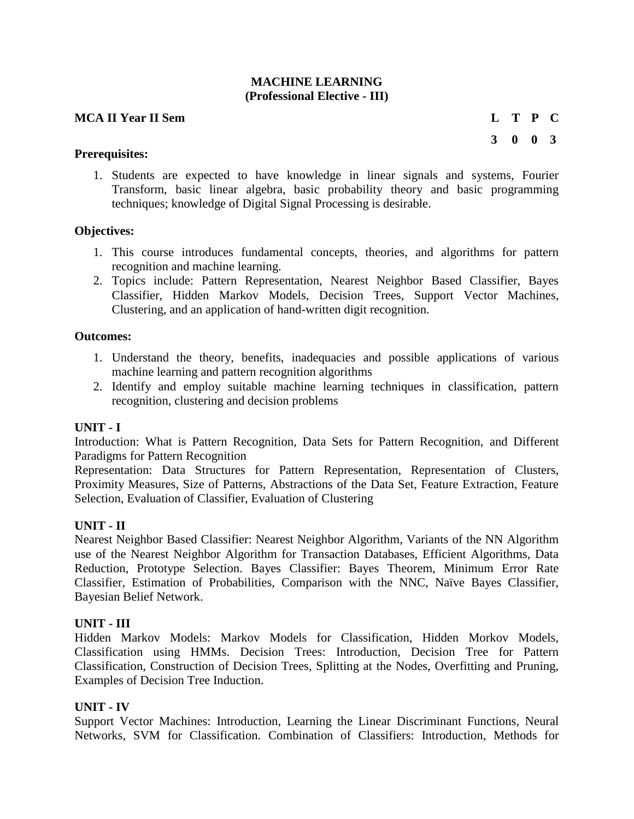#### **MACHINE LEARNING (Professional Elective - III)**

#### **MCA II Year II Sem L T P C**

**3 0 0 3**

## **Prerequisites:**

1. Students are expected to have knowledge in linear signals and systems, Fourier Transform, basic linear algebra, basic probability theory and basic programming techniques; knowledge of Digital Signal Processing is desirable.

## **Objectives:**

- 1. This course introduces fundamental concepts, theories, and algorithms for pattern recognition and machine learning.
- 2. Topics include: Pattern Representation, Nearest Neighbor Based Classifier, Bayes Classifier, Hidden Markov Models, Decision Trees, Support Vector Machines, Clustering, and an application of hand-written digit recognition.

## **Outcomes:**

- 1. Understand the theory, benefits, inadequacies and possible applications of various machine learning and pattern recognition algorithms
- 2. Identify and employ suitable machine learning techniques in classification, pattern recognition, clustering and decision problems

## **UNIT - I**

Introduction: What is Pattern Recognition, Data Sets for Pattern Recognition, and Different Paradigms for Pattern Recognition

Representation: Data Structures for Pattern Representation, Representation of Clusters, Proximity Measures, Size of Patterns, Abstractions of the Data Set, Feature Extraction, Feature Selection, Evaluation of Classifier, Evaluation of Clustering

## **UNIT - II**

Nearest Neighbor Based Classifier: Nearest Neighbor Algorithm, Variants of the NN Algorithm use of the Nearest Neighbor Algorithm for Transaction Databases, Efficient Algorithms, Data Reduction, Prototype Selection. Bayes Classifier: Bayes Theorem, Minimum Error Rate Classifier, Estimation of Probabilities, Comparison with the NNC, Naïve Bayes Classifier, Bayesian Belief Network.

## **UNIT - III**

Hidden Markov Models: Markov Models for Classification, Hidden Morkov Models, Classification using HMMs. Decision Trees: Introduction, Decision Tree for Pattern Classification, Construction of Decision Trees, Splitting at the Nodes, Overfitting and Pruning, Examples of Decision Tree Induction.

## **UNIT - IV**

Support Vector Machines: Introduction, Learning the Linear Discriminant Functions, Neural Networks, SVM for Classification. Combination of Classifiers: Introduction, Methods for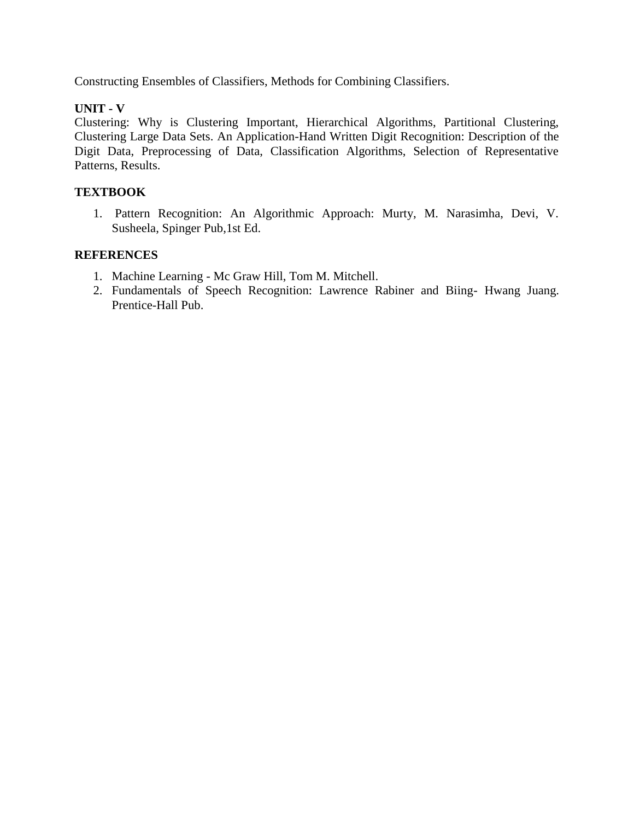Constructing Ensembles of Classifiers, Methods for Combining Classifiers.

## **UNIT - V**

Clustering: Why is Clustering Important, Hierarchical Algorithms, Partitional Clustering, Clustering Large Data Sets. An Application-Hand Written Digit Recognition: Description of the Digit Data, Preprocessing of Data, Classification Algorithms, Selection of Representative Patterns, Results.

#### **TEXTBOOK**

1. Pattern Recognition: An Algorithmic Approach: Murty, M. Narasimha, Devi, V. Susheela, Spinger Pub,1st Ed.

- 1. Machine Learning Mc Graw Hill, Tom M. Mitchell.
- 2. Fundamentals of Speech Recognition: Lawrence Rabiner and Biing- Hwang Juang. Prentice-Hall Pub.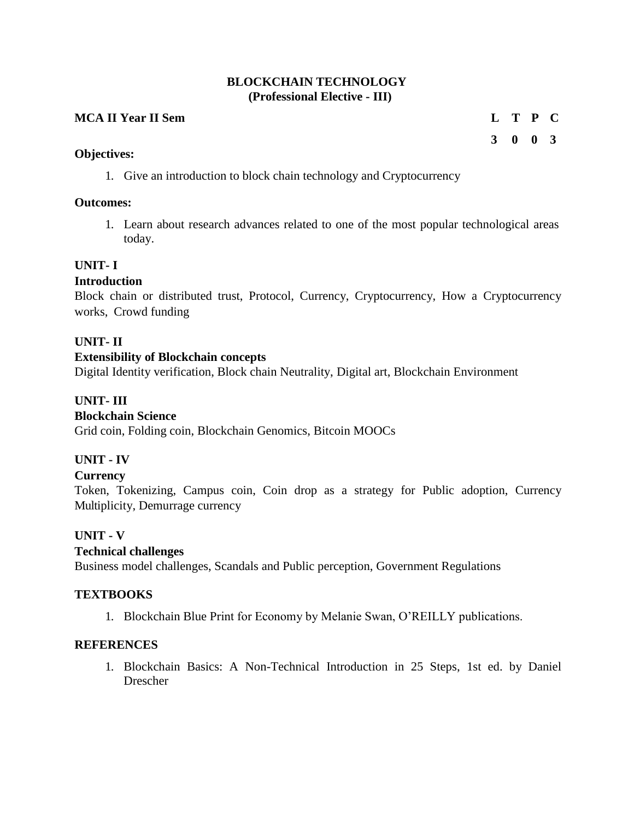## **BLOCKCHAIN TECHNOLOGY (Professional Elective - III)**

## **MCA II Year II Sem L T P C**

## **3 0 0 3**

#### **Objectives:**

1. Give an introduction to block chain technology and Cryptocurrency

#### **Outcomes:**

1. Learn about research advances related to one of the most popular technological areas today.

#### **UNIT- I**

#### **Introduction**

Block chain or distributed trust, Protocol, Currency, Cryptocurrency, How a Cryptocurrency works, Crowd funding

## **UNIT- II**

## **Extensibility of Blockchain concepts**

Digital Identity verification, Block chain Neutrality, Digital art, Blockchain Environment

## **UNIT- III**

## **Blockchain Science**

Grid coin, Folding coin, Blockchain Genomics, Bitcoin MOOCs

## **UNIT - IV**

#### **Currency**

Token, Tokenizing, Campus coin, Coin drop as a strategy for Public adoption, Currency Multiplicity, Demurrage currency

#### **UNIT - V**

## **Technical challenges**

Business model challenges, Scandals and Public perception, Government Regulations

#### **TEXTBOOKS**

1. Blockchain Blue Print for Economy by Melanie Swan, O'REILLY publications.

## **REFERENCES**

1. Blockchain Basics: A Non-Technical Introduction in 25 Steps, 1st ed. by Daniel Drescher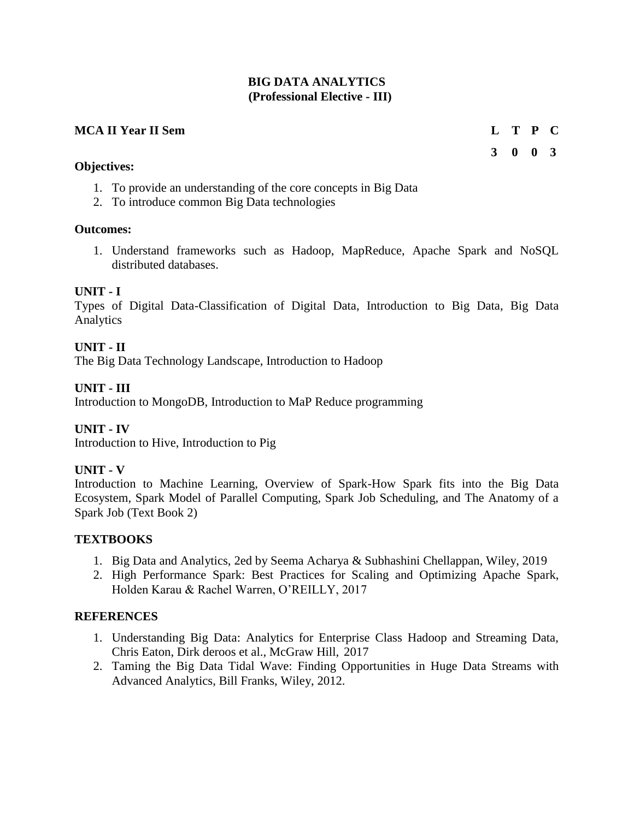## **BIG DATA ANALYTICS (Professional Elective - III)**

#### **MCA II Year II Sem L T P C**

#### **Objectives:**

- 1. To provide an understanding of the core concepts in Big Data
- 2. To introduce common Big Data technologies

#### **Outcomes:**

1. Understand frameworks such as Hadoop, MapReduce, Apache Spark and NoSQL distributed databases.

#### **UNIT - I**

Types of Digital Data-Classification of Digital Data, Introduction to Big Data, Big Data Analytics

## **UNIT - II**

The Big Data Technology Landscape, Introduction to Hadoop

## **UNIT - III**

Introduction to MongoDB, Introduction to MaP Reduce programming

#### **UNIT - IV**

Introduction to Hive, Introduction to Pig

#### **UNIT - V**

Introduction to Machine Learning, Overview of Spark-How Spark fits into the Big Data Ecosystem, Spark Model of Parallel Computing, Spark Job Scheduling, and The Anatomy of a Spark Job (Text Book 2)

#### **TEXTBOOKS**

- 1. Big Data and Analytics, 2ed by Seema Acharya & Subhashini Chellappan, Wiley, 2019
- 2. High Performance Spark: Best Practices for Scaling and Optimizing Apache Spark, Holden Karau & Rachel Warren, O'REILLY, 2017

## **REFERENCES**

- 1. Understanding Big Data: Analytics for Enterprise Class Hadoop and Streaming Data, Chris Eaton, Dirk deroos et al., McGraw Hill, 2017
- 2. Taming the Big Data Tidal Wave: Finding Opportunities in Huge Data Streams with Advanced Analytics, Bill Franks, Wiley, 2012.

**3 0 0 3**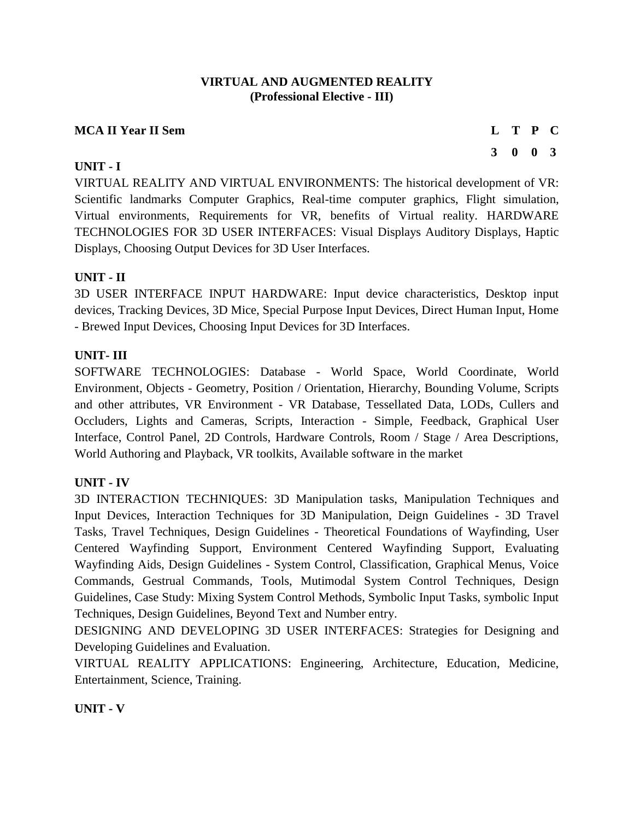# **VIRTUAL AND AUGMENTED REALITY (Professional Elective - III)**

# **MCA II Year II Sem L T P C**

## **UNIT - I**

VIRTUAL REALITY AND VIRTUAL ENVIRONMENTS: The historical development of VR: Scientific landmarks Computer Graphics, Real-time computer graphics, Flight simulation, Virtual environments, Requirements for VR, benefits of Virtual reality. HARDWARE TECHNOLOGIES FOR 3D USER INTERFACES: Visual Displays Auditory Displays, Haptic Displays, Choosing Output Devices for 3D User Interfaces.

## **UNIT - II**

3D USER INTERFACE INPUT HARDWARE: Input device characteristics, Desktop input devices, Tracking Devices, 3D Mice, Special Purpose Input Devices, Direct Human Input, Home - Brewed Input Devices, Choosing Input Devices for 3D Interfaces.

## **UNIT- III**

SOFTWARE TECHNOLOGIES: Database - World Space, World Coordinate, World Environment, Objects - Geometry, Position / Orientation, Hierarchy, Bounding Volume, Scripts and other attributes, VR Environment - VR Database, Tessellated Data, LODs, Cullers and Occluders, Lights and Cameras, Scripts, Interaction - Simple, Feedback, Graphical User Interface, Control Panel, 2D Controls, Hardware Controls, Room / Stage / Area Descriptions, World Authoring and Playback, VR toolkits, Available software in the market

# **UNIT - IV**

3D INTERACTION TECHNIQUES: 3D Manipulation tasks, Manipulation Techniques and Input Devices, Interaction Techniques for 3D Manipulation, Deign Guidelines - 3D Travel Tasks, Travel Techniques, Design Guidelines - Theoretical Foundations of Wayfinding, User Centered Wayfinding Support, Environment Centered Wayfinding Support, Evaluating Wayfinding Aids, Design Guidelines - System Control, Classification, Graphical Menus, Voice Commands, Gestrual Commands, Tools, Mutimodal System Control Techniques, Design Guidelines, Case Study: Mixing System Control Methods, Symbolic Input Tasks, symbolic Input Techniques, Design Guidelines, Beyond Text and Number entry.

DESIGNING AND DEVELOPING 3D USER INTERFACES: Strategies for Designing and Developing Guidelines and Evaluation.

VIRTUAL REALITY APPLICATIONS: Engineering, Architecture, Education, Medicine, Entertainment, Science, Training.

# **UNIT - V**

**3 0 0 3**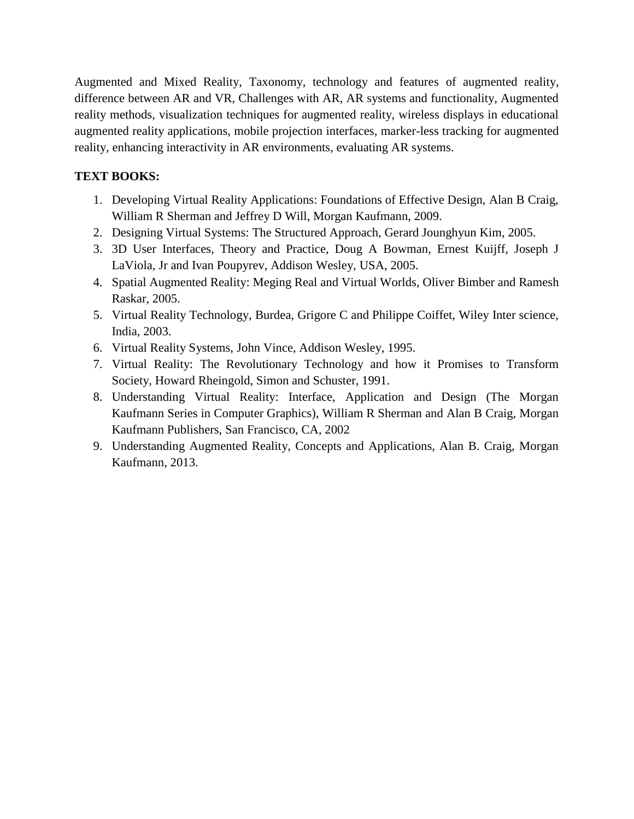Augmented and Mixed Reality, Taxonomy, technology and features of augmented reality, difference between AR and VR, Challenges with AR, AR systems and functionality, Augmented reality methods, visualization techniques for augmented reality, wireless displays in educational augmented reality applications, mobile projection interfaces, marker-less tracking for augmented reality, enhancing interactivity in AR environments, evaluating AR systems.

# **TEXT BOOKS:**

- 1. Developing Virtual Reality Applications: Foundations of Effective Design, Alan B Craig, William R Sherman and Jeffrey D Will, Morgan Kaufmann, 2009.
- 2. Designing Virtual Systems: The Structured Approach, Gerard Jounghyun Kim, 2005.
- 3. 3D User Interfaces, Theory and Practice, Doug A Bowman, Ernest Kuijff, Joseph J LaViola, Jr and Ivan Poupyrev, Addison Wesley, USA, 2005.
- 4. Spatial Augmented Reality: Meging Real and Virtual Worlds, Oliver Bimber and Ramesh Raskar, 2005.
- 5. Virtual Reality Technology, Burdea, Grigore C and Philippe Coiffet, Wiley Inter science, India, 2003.
- 6. Virtual Reality Systems, John Vince, Addison Wesley, 1995.
- 7. Virtual Reality: The Revolutionary Technology and how it Promises to Transform Society, Howard Rheingold, Simon and Schuster, 1991.
- 8. Understanding Virtual Reality: Interface, Application and Design (The Morgan Kaufmann Series in Computer Graphics), William R Sherman and Alan B Craig, Morgan Kaufmann Publishers, San Francisco, CA, 2002
- 9. Understanding Augmented Reality, Concepts and Applications, Alan B. Craig, Morgan Kaufmann, 2013.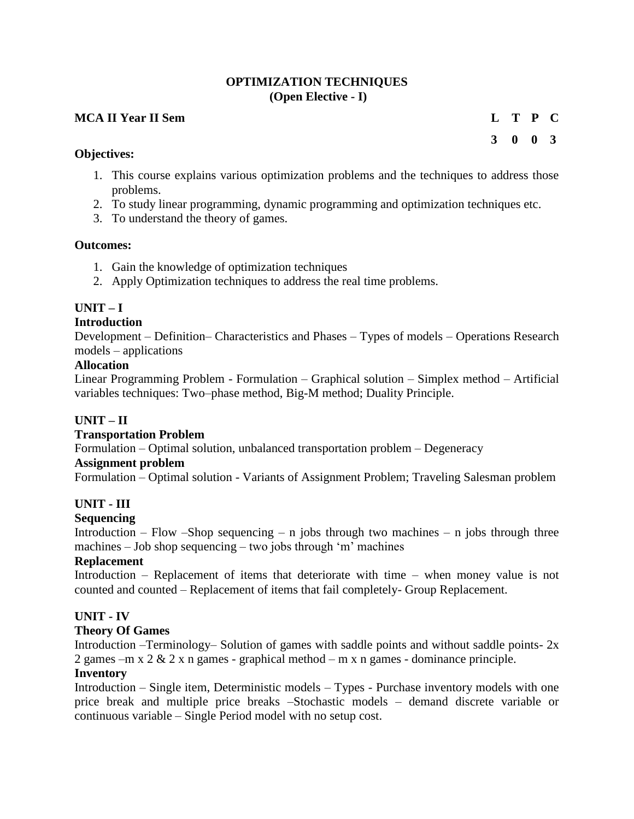## **OPTIMIZATION TECHNIQUES (Open Elective - I)**

## **MCA II Year II Sem L T P C**

**3 0 0 3**

#### **Objectives:**

- 1. This course explains various optimization problems and the techniques to address those problems.
- 2. To study linear programming, dynamic programming and optimization techniques etc.
- 3. To understand the theory of games.

#### **Outcomes:**

- 1. Gain the knowledge of optimization techniques
- 2. Apply Optimization techniques to address the real time problems.

# **UNIT – I**

## **Introduction**

Development – Definition– Characteristics and Phases – Types of models – Operations Research models – applications

## **Allocation**

Linear Programming Problem - Formulation – Graphical solution – Simplex method – Artificial variables techniques: Two–phase method, Big-M method; Duality Principle.

# **UNIT – II**

# **Transportation Problem**

Formulation – Optimal solution, unbalanced transportation problem – Degeneracy

#### **Assignment problem**

Formulation – Optimal solution - Variants of Assignment Problem; Traveling Salesman problem

# **UNIT - III**

# **Sequencing**

Introduction – Flow –Shop sequencing – n jobs through two machines – n jobs through three machines – Job shop sequencing – two jobs through 'm' machines

#### **Replacement**

Introduction – Replacement of items that deteriorate with time – when money value is not counted and counted – Replacement of items that fail completely- Group Replacement.

# **UNIT - IV**

#### **Theory Of Games**

Introduction –Terminology– Solution of games with saddle points and without saddle points-  $2x$ 2 games –m x  $2 \& 2x$  n games - graphical method – m x n games - dominance principle.

#### **Inventory**

Introduction – Single item, Deterministic models – Types - Purchase inventory models with one price break and multiple price breaks –Stochastic models – demand discrete variable or continuous variable – Single Period model with no setup cost.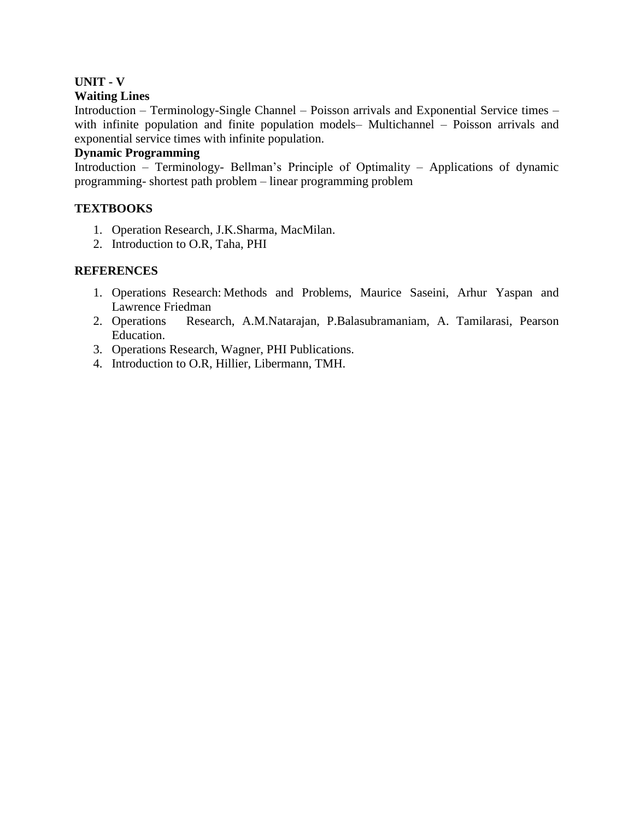# **UNIT - V**

## **Waiting Lines**

Introduction – Terminology-Single Channel – Poisson arrivals and Exponential Service times – with infinite population and finite population models– Multichannel – Poisson arrivals and exponential service times with infinite population.

# **Dynamic Programming**

Introduction – Terminology- Bellman's Principle of Optimality – Applications of dynamic programming- shortest path problem – linear programming problem

## **TEXTBOOKS**

- 1. Operation Research, J.K.Sharma, MacMilan.
- 2. Introduction to O.R, Taha, PHI

## **REFERENCES**

- 1. Operations Research: Methods and Problems, Maurice Saseini, Arhur Yaspan and Lawrence Friedman
- 2. Operations Research, A.M.Natarajan, P.Balasubramaniam, A. Tamilarasi, Pearson Education.
- 3. Operations Research, Wagner, PHI Publications.
- 4. Introduction to O.R, Hillier, Libermann, TMH.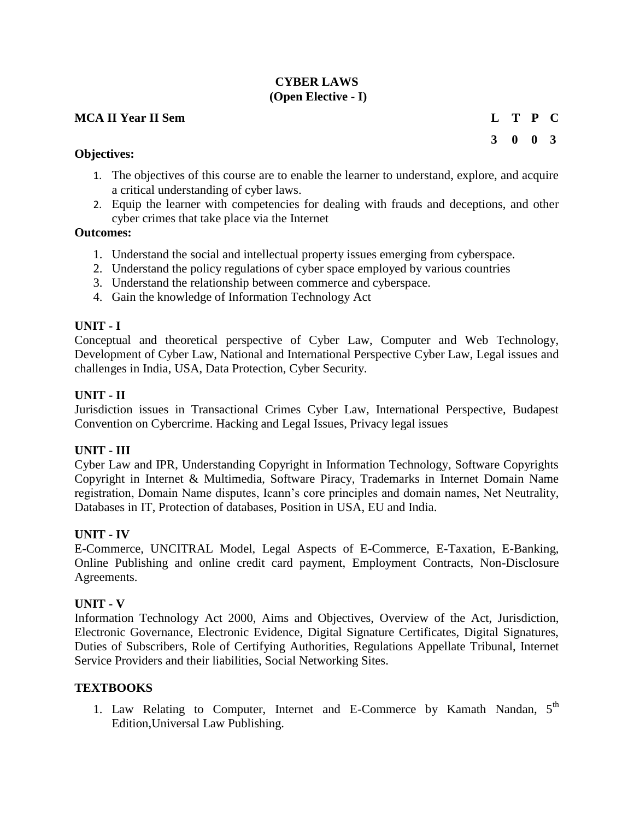# **CYBER LAWS (Open Elective - I)**

# **MCA II Year II Sem L T P C**

**3 0 0 3**

#### **Objectives:**

- 1. The objectives of this course are to enable the learner to understand, explore, and acquire a critical understanding of cyber laws.
- 2. Equip the learner with competencies for dealing with frauds and deceptions, and other cyber crimes that take place via the Internet

#### **Outcomes:**

- 1. Understand the social and intellectual property issues emerging from cyberspace.
- 2. Understand the policy regulations of cyber space employed by various countries
- 3. Understand the relationship between commerce and cyberspace.
- 4. Gain the knowledge of Information Technology Act

## **UNIT - I**

Conceptual and theoretical perspective of Cyber Law, Computer and Web Technology, Development of Cyber Law, National and International Perspective Cyber Law, Legal issues and challenges in India, USA, Data Protection, Cyber Security.

## **UNIT - II**

Jurisdiction issues in Transactional Crimes Cyber Law, International Perspective, Budapest Convention on Cybercrime. Hacking and Legal Issues, Privacy legal issues

# **UNIT - III**

Cyber Law and IPR, Understanding Copyright in Information Technology, Software Copyrights Copyright in Internet & Multimedia, Software Piracy, Trademarks in Internet Domain Name registration, Domain Name disputes, Icann's core principles and domain names, Net Neutrality, Databases in IT, Protection of databases, Position in USA, EU and India.

#### **UNIT - IV**

E-Commerce, UNCITRAL Model, Legal Aspects of E-Commerce, E-Taxation, E-Banking, Online Publishing and online credit card payment, Employment Contracts, Non-Disclosure Agreements.

# **UNIT - V**

Information Technology Act 2000, Aims and Objectives, Overview of the Act, Jurisdiction, Electronic Governance, Electronic Evidence, Digital Signature Certificates, Digital Signatures, Duties of Subscribers, Role of Certifying Authorities, Regulations Appellate Tribunal, Internet Service Providers and their liabilities, Social Networking Sites.

# **TEXTBOOKS**

1. Law Relating to Computer, Internet and E-Commerce by Kamath Nandan, 5<sup>th</sup> Edition,Universal Law Publishing.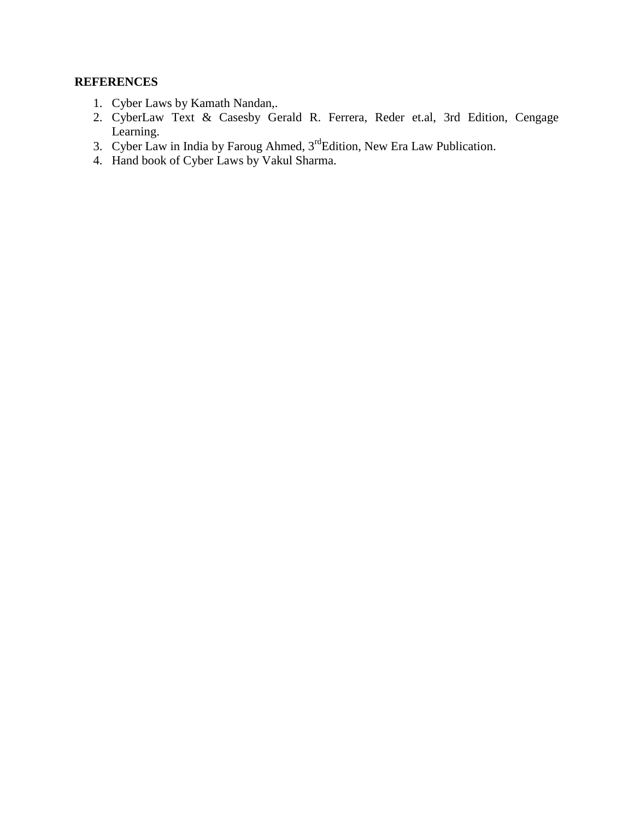# **REFERENCES**

- 1. Cyber Laws by Kamath Nandan,.
- 2. CyberLaw Text & Casesby Gerald R. Ferrera, Reder et.al, 3rd Edition, Cengage Learning.
- 3. Cyber Law in India by Faroug Ahmed,  $3<sup>rd</sup>$ Edition, New Era Law Publication.
- 4. Hand book of Cyber Laws by Vakul Sharma.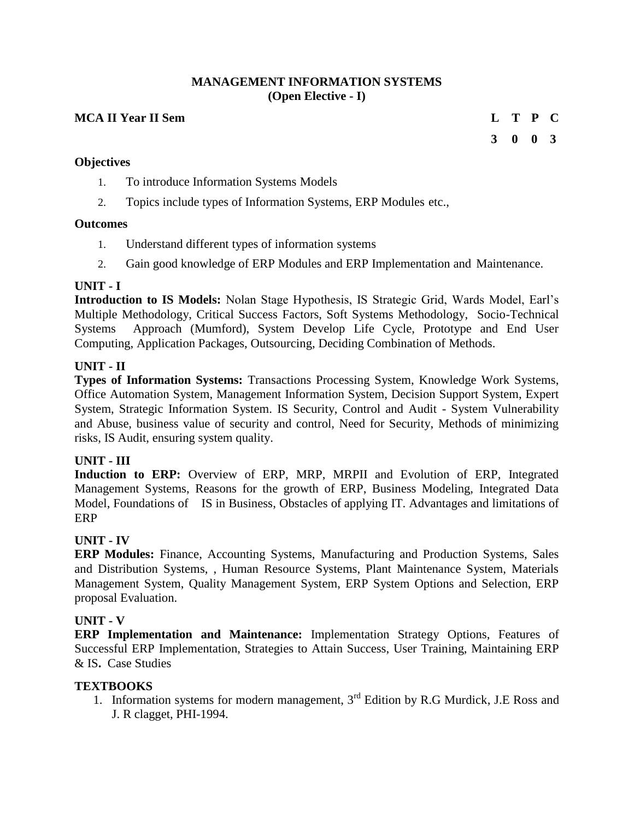#### **MANAGEMENT INFORMATION SYSTEMS (Open Elective - I)**

# **MCA II Year II Sem L T P C**

# **3 0 0 3**

## **Objectives**

- 1. To introduce Information Systems Models
- 2. Topics include types of Information Systems, ERP Modules etc.,

#### **Outcomes**

- 1. Understand different types of information systems
- 2. Gain good knowledge of ERP Modules and ERP Implementation and Maintenance.

#### **UNIT - I**

**Introduction to IS Models:** Nolan Stage Hypothesis, IS Strategic Grid, Wards Model, Earl's Multiple Methodology, Critical Success Factors, Soft Systems Methodology, Socio-Technical Systems Approach (Mumford), System Develop Life Cycle, Prototype and End User Computing, Application Packages, Outsourcing, Deciding Combination of Methods.

## **UNIT - II**

**Types of Information Systems:** Transactions Processing System, Knowledge Work Systems, Office Automation System, Management Information System, Decision Support System, Expert System, Strategic Information System. IS Security, Control and Audit - System Vulnerability and Abuse, business value of security and control, Need for Security, Methods of minimizing risks, IS Audit, ensuring system quality.

# **UNIT - III**

**Induction to ERP:** Overview of ERP, MRP, MRPII and Evolution of ERP, Integrated Management Systems, Reasons for the growth of ERP, Business Modeling, Integrated Data Model, Foundations of IS in Business, Obstacles of applying IT. Advantages and limitations of ERP

# **UNIT - IV**

**ERP Modules:** Finance, Accounting Systems, Manufacturing and Production Systems, Sales and Distribution Systems, , Human Resource Systems, Plant Maintenance System, Materials Management System, Quality Management System, ERP System Options and Selection, ERP proposal Evaluation.

#### **UNIT - V**

**ERP Implementation and Maintenance:** Implementation Strategy Options, Features of Successful ERP Implementation, Strategies to Attain Success, User Training, Maintaining ERP & IS**.** Case Studies

#### **TEXTBOOKS**

1. Information systems for modern management,  $3^{rd}$  Edition by R.G Murdick, J.E Ross and J. R clagget, PHI-1994.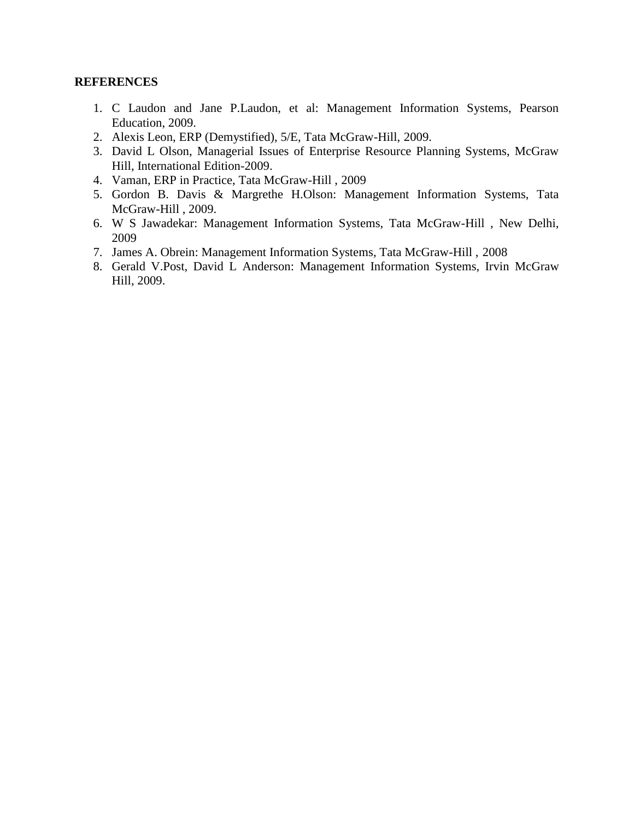#### **REFERENCES**

- 1. C Laudon and Jane P.Laudon, et al: Management Information Systems, Pearson Education, 2009.
- 2. Alexis Leon, ERP (Demystified), 5/E, Tata McGraw-Hill, 2009.
- 3. David L Olson, Managerial Issues of Enterprise Resource Planning Systems, McGraw Hill, International Edition-2009.
- 4. Vaman, ERP in Practice, Tata McGraw-Hill , 2009
- 5. Gordon B. Davis & Margrethe H.Olson: Management Information Systems, Tata McGraw-Hill , 2009.
- 6. W S Jawadekar: Management Information Systems, Tata McGraw-Hill , New Delhi, 2009
- 7. James A. Obrein: Management Information Systems, Tata McGraw-Hill , 2008
- 8. Gerald V.Post, David L Anderson: Management Information Systems, Irvin McGraw Hill, 2009.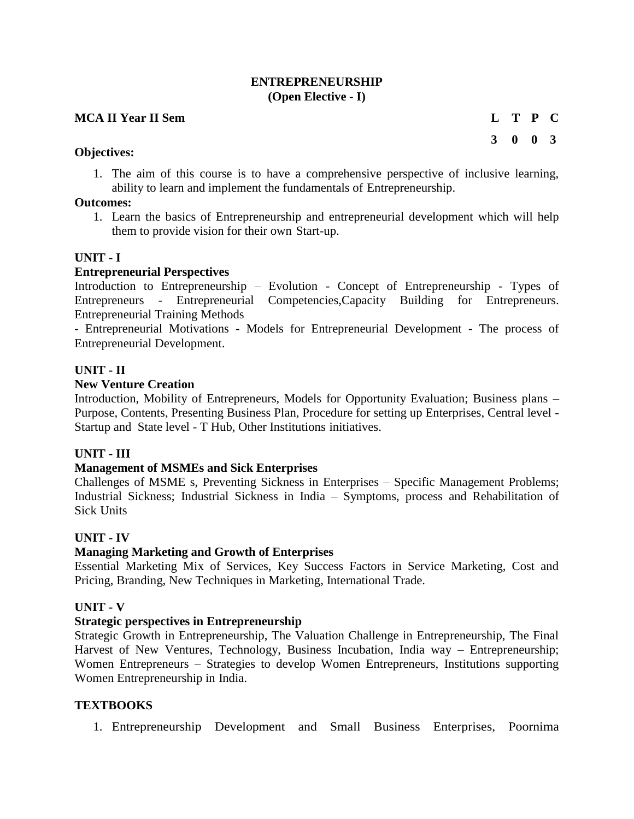## **ENTREPRENEURSHIP (Open Elective - I)**

## **MCA II Year II Sem L T P C**

**3 0 0 3**

## **Objectives:**

1. The aim of this course is to have a comprehensive perspective of inclusive learning, ability to learn and implement the fundamentals of Entrepreneurship.

# **Outcomes:**

1. Learn the basics of Entrepreneurship and entrepreneurial development which will help them to provide vision for their own Start-up.

## **UNIT - I**

## **Entrepreneurial Perspectives**

Introduction to Entrepreneurship – Evolution - Concept of Entrepreneurship - Types of Entrepreneurs - Entrepreneurial Competencies,Capacity Building for Entrepreneurs. Entrepreneurial Training Methods

- Entrepreneurial Motivations - Models for Entrepreneurial Development - The process of Entrepreneurial Development.

## **UNIT - II**

#### **New Venture Creation**

Introduction, Mobility of Entrepreneurs, Models for Opportunity Evaluation; Business plans – Purpose, Contents, Presenting Business Plan, Procedure for setting up Enterprises, Central level - Startup and State level - T Hub, Other Institutions initiatives.

# **UNIT - III**

#### **Management of MSMEs and Sick Enterprises**

Challenges of MSME s, Preventing Sickness in Enterprises – Specific Management Problems; Industrial Sickness; Industrial Sickness in India – Symptoms, process and Rehabilitation of Sick Units

#### **UNIT - IV**

# **Managing Marketing and Growth of Enterprises**

Essential Marketing Mix of Services, Key Success Factors in Service Marketing, Cost and Pricing, Branding, New Techniques in Marketing, International Trade.

#### **UNIT - V**

#### **Strategic perspectives in Entrepreneurship**

Strategic Growth in Entrepreneurship, The Valuation Challenge in Entrepreneurship, The Final Harvest of New Ventures, Technology, Business Incubation, India way – Entrepreneurship; Women Entrepreneurs – Strategies to develop Women Entrepreneurs, Institutions supporting Women Entrepreneurship in India.

## **TEXTBOOKS**

1. Entrepreneurship Development and Small Business Enterprises, Poornima